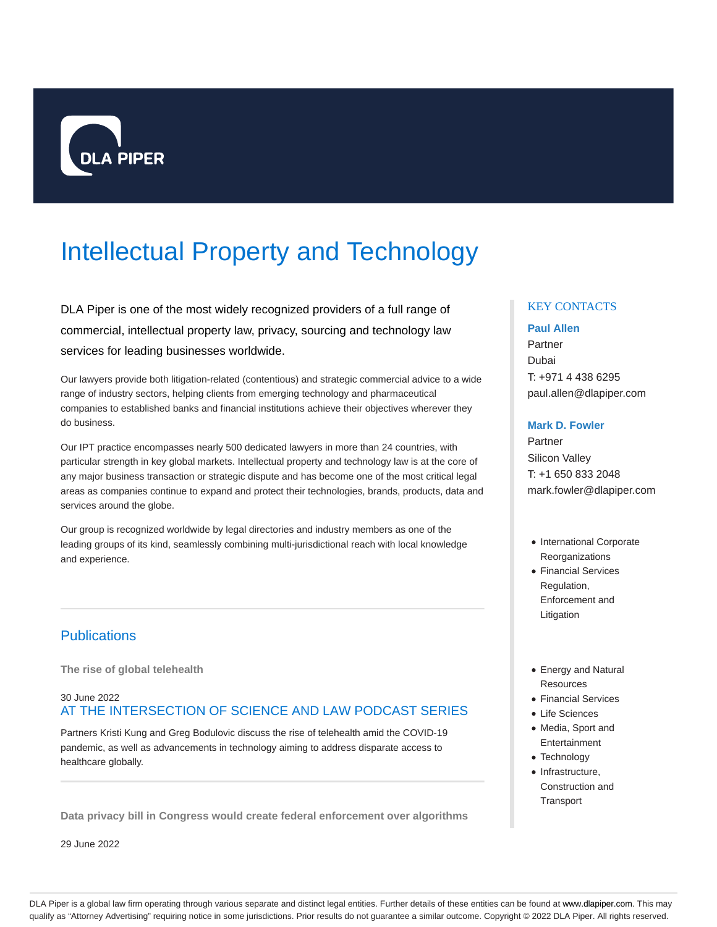

# Intellectual Property and Technology

DLA Piper is one of the most widely recognized providers of a full range of commercial, intellectual property law, privacy, sourcing and technology law services for leading businesses worldwide.

Our lawyers provide both litigation-related (contentious) and strategic commercial advice to a wide range of industry sectors, helping clients from emerging technology and pharmaceutical companies to established banks and financial institutions achieve their objectives wherever they do business.

Our IPT practice encompasses nearly 500 dedicated lawyers in more than 24 countries, with particular strength in key global markets. Intellectual property and technology law is at the core of any major business transaction or strategic dispute and has become one of the most critical legal areas as companies continue to expand and protect their technologies, brands, products, data and services around the globe.

Our group is recognized worldwide by legal directories and industry members as one of the leading groups of its kind, seamlessly combining multi-jurisdictional reach with local knowledge and experience.

# **Publications**

**The rise of global telehealth**

# 30 June 2022 AT THE INTERSECTION OF SCIENCE AND LAW PODCAST SERIES

Partners Kristi Kung and Greg Bodulovic discuss the rise of telehealth amid the COVID-19 pandemic, as well as advancements in technology aiming to address disparate access to healthcare globally.

**Data privacy bill in Congress would create federal enforcement over algorithms**

29 June 2022

# KEY CONTACTS

#### **Paul Allen**

Partner Dubai T: +971 4 438 6295 paul.allen@dlapiper.com

#### **Mark D. Fowler**

Partner Silicon Valley T: +1 650 833 2048 mark.fowler@dlapiper.com

- International Corporate **Reorganizations**
- Financial Services Regulation, Enforcement and Litigation
- Energy and Natural Resources
- Financial Services
- Life Sciences
- Media, Sport and **Entertainment**
- Technology
- Infrastructure, Construction and **Transport**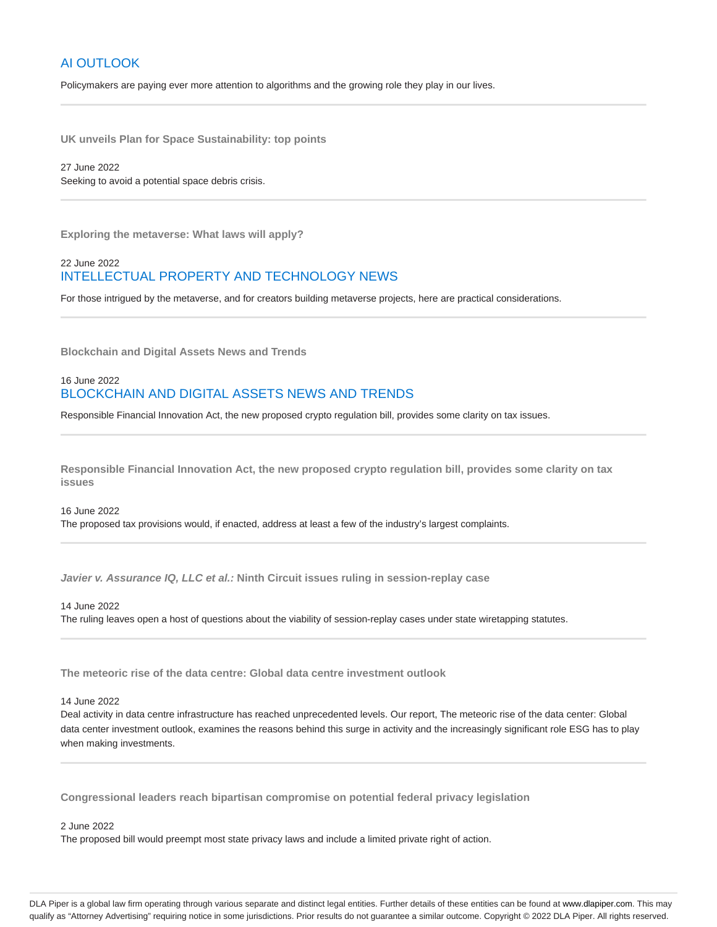# AI OUTLOOK

Policymakers are paying ever more attention to algorithms and the growing role they play in our lives.

**UK unveils Plan for Space Sustainability: top points**

27 June 2022 Seeking to avoid a potential space debris crisis.

**Exploring the metaverse: What laws will apply?**

# 22 June 2022 INTELLECTUAL PROPERTY AND TECHNOLOGY NEWS

For those intrigued by the metaverse, and for creators building metaverse projects, here are practical considerations.

**Blockchain and Digital Assets News and Trends**

### 16 June 2022 BLOCKCHAIN AND DIGITAL ASSETS NEWS AND TRENDS

Responsible Financial Innovation Act, the new proposed crypto regulation bill, provides some clarity on tax issues.

**Responsible Financial Innovation Act, the new proposed crypto regulation bill, provides some clarity on tax issues**

16 June 2022 The proposed tax provisions would, if enacted, address at least a few of the industry's largest complaints.

**Javier v. Assurance IQ, LLC et al.: Ninth Circuit issues ruling in session-replay case**

14 June 2022 The ruling leaves open a host of questions about the viability of session-replay cases under state wiretapping statutes.

**The meteoric rise of the data centre: Global data centre investment outlook**

#### 14 June 2022

Deal activity in data centre infrastructure has reached unprecedented levels. Our report, The meteoric rise of the data center: Global data center investment outlook, examines the reasons behind this surge in activity and the increasingly significant role ESG has to play when making investments.

**Congressional leaders reach bipartisan compromise on potential federal privacy legislation**

#### 2 June 2022

The proposed bill would preempt most state privacy laws and include a limited private right of action.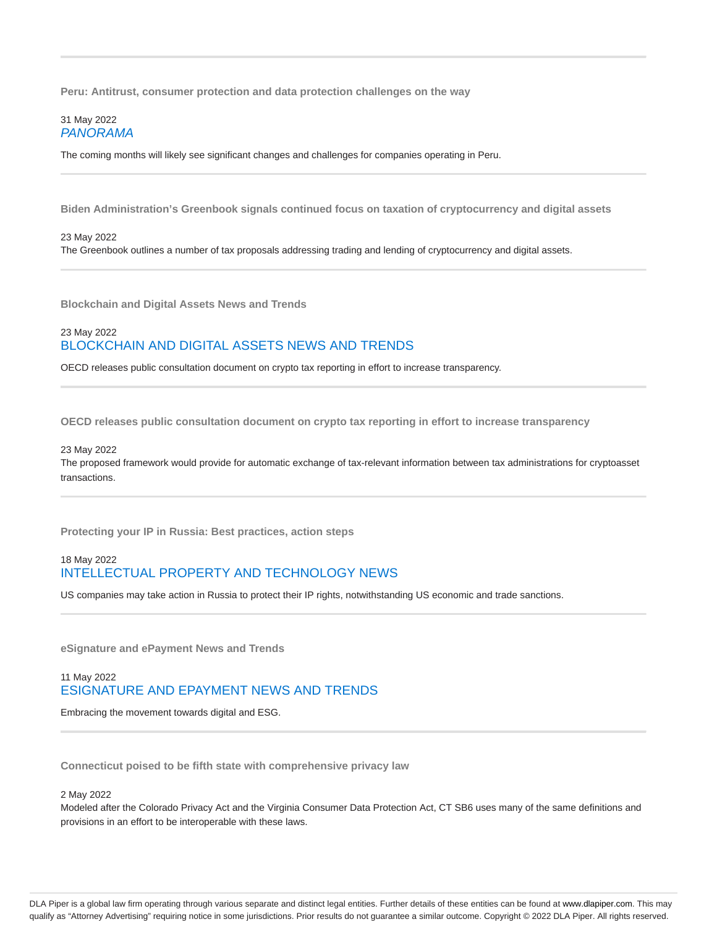**Peru: Antitrust, consumer protection and data protection challenges on the way**

#### 31 May 2022 PANORAMA

The coming months will likely see significant changes and challenges for companies operating in Peru.

**Biden Administration's Greenbook signals continued focus on taxation of cryptocurrency and digital assets**

23 May 2022 The Greenbook outlines a number of tax proposals addressing trading and lending of cryptocurrency and digital assets.

**Blockchain and Digital Assets News and Trends**

### 23 May 2022 BLOCKCHAIN AND DIGITAL ASSETS NEWS AND TRENDS

OECD releases public consultation document on crypto tax reporting in effort to increase transparency.

**OECD releases public consultation document on crypto tax reporting in effort to increase transparency**

#### 23 May 2022

The proposed framework would provide for automatic exchange of tax-relevant information between tax administrations for cryptoasset transactions.

**Protecting your IP in Russia: Best practices, action steps**

# 18 May 2022 INTELLECTUAL PROPERTY AND TECHNOLOGY NEWS

US companies may take action in Russia to protect their IP rights, notwithstanding US economic and trade sanctions.

**eSignature and ePayment News and Trends**

# 11 May 2022 ESIGNATURE AND EPAYMENT NEWS AND TRENDS

Embracing the movement towards digital and ESG.

**Connecticut poised to be fifth state with comprehensive privacy law**

#### 2 May 2022

Modeled after the Colorado Privacy Act and the Virginia Consumer Data Protection Act, CT SB6 uses many of the same definitions and provisions in an effort to be interoperable with these laws.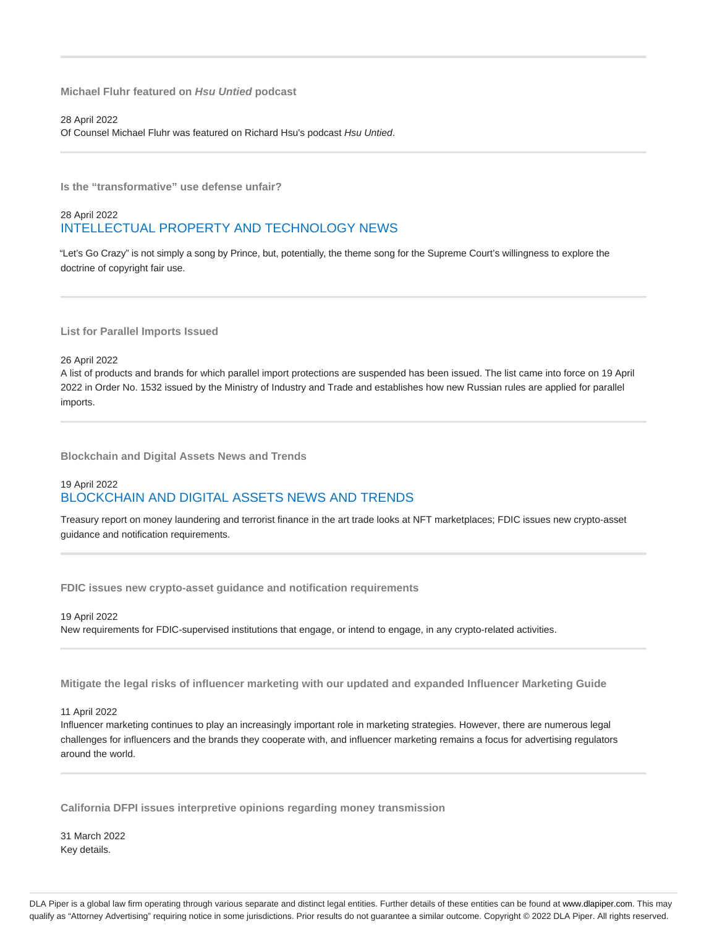**Michael Fluhr featured on Hsu Untied podcast**

28 April 2022 Of Counsel Michael Fluhr was featured on Richard Hsu's podcast Hsu Untied.

**Is the "transformative" use defense unfair?**

# 28 April 2022 INTELLECTUAL PROPERTY AND TECHNOLOGY NEWS

"Let's Go Crazy" is not simply a song by Prince, but, potentially, the theme song for the Supreme Court's willingness to explore the doctrine of copyright fair use.

**List for Parallel Imports Issued**

26 April 2022

A list of products and brands for which parallel import protections are suspended has been issued. The list came into force on 19 April 2022 in Order No. 1532 issued by the Ministry of Industry and Trade and establishes how new Russian rules are applied for parallel imports.

**Blockchain and Digital Assets News and Trends**

# 19 April 2022 BLOCKCHAIN AND DIGITAL ASSETS NEWS AND TRENDS

Treasury report on money laundering and terrorist finance in the art trade looks at NFT marketplaces; FDIC issues new crypto-asset guidance and notification requirements.

**FDIC issues new crypto-asset guidance and notification requirements**

19 April 2022 New requirements for FDIC-supervised institutions that engage, or intend to engage, in any crypto-related activities.

**Mitigate the legal risks of influencer marketing with our updated and expanded Influencer Marketing Guide**

11 April 2022

Influencer marketing continues to play an increasingly important role in marketing strategies. However, there are numerous legal challenges for influencers and the brands they cooperate with, and influencer marketing remains a focus for advertising regulators around the world.

**California DFPI issues interpretive opinions regarding money transmission**

31 March 2022 Key details.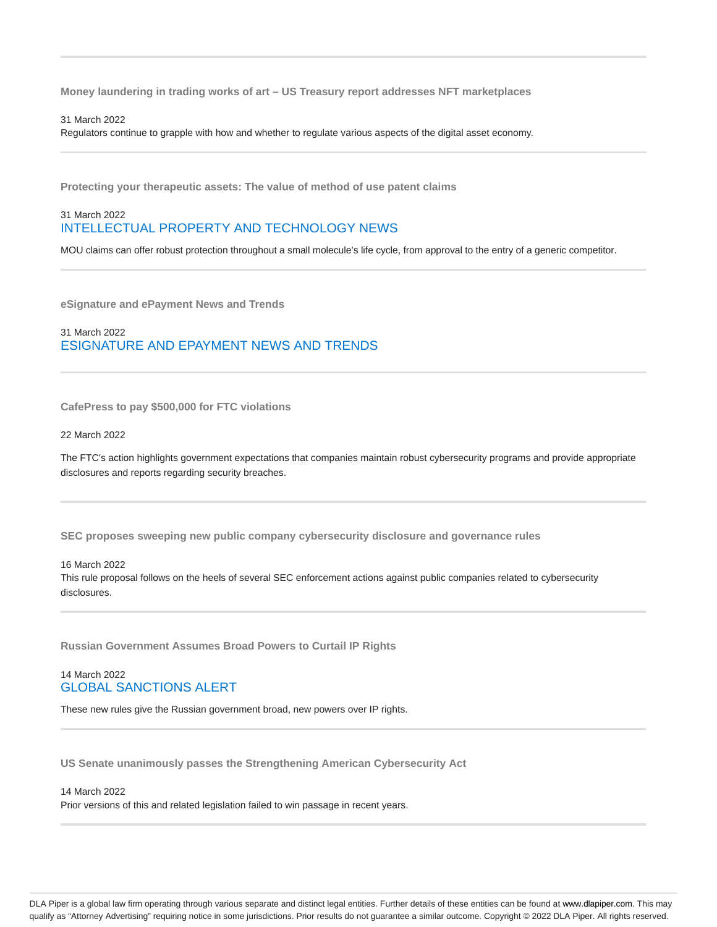**Money laundering in trading works of art – US Treasury report addresses NFT marketplaces**

#### 31 March 2022

Regulators continue to grapple with how and whether to regulate various aspects of the digital asset economy.

**Protecting your therapeutic assets: The value of method of use patent claims**

### 31 March 2022 INTELLECTUAL PROPERTY AND TECHNOLOGY NEWS

MOU claims can offer robust protection throughout a small molecule's life cycle, from approval to the entry of a generic competitor.

**eSignature and ePayment News and Trends**

31 March 2022 ESIGNATURE AND EPAYMENT NEWS AND TRENDS

**CafePress to pay \$500,000 for FTC violations**

22 March 2022

The FTC's action highlights government expectations that companies maintain robust cybersecurity programs and provide appropriate disclosures and reports regarding security breaches.

**SEC proposes sweeping new public company cybersecurity disclosure and governance rules**

16 March 2022

This rule proposal follows on the heels of several SEC enforcement actions against public companies related to cybersecurity disclosures.

**Russian Government Assumes Broad Powers to Curtail IP Rights**

### 14 March 2022 GLOBAL SANCTIONS ALERT

These new rules give the Russian government broad, new powers over IP rights.

**US Senate unanimously passes the Strengthening American Cybersecurity Act**

#### 14 March 2022

Prior versions of this and related legislation failed to win passage in recent years.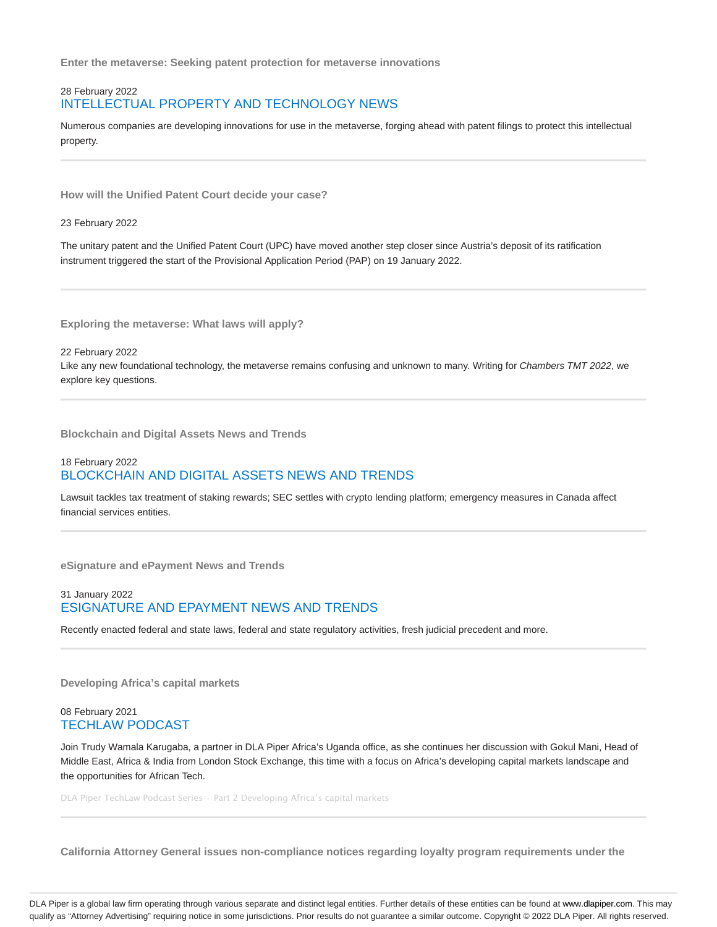**Enter the metaverse: Seeking patent protection for metaverse innovations**

### 28 February 2022 INTELLECTUAL PROPERTY AND TECHNOLOGY NEWS

Numerous companies are developing innovations for use in the metaverse, forging ahead with patent filings to protect this intellectual property.

**How will the Unified Patent Court decide your case?**

#### 23 February 2022

The unitary patent and the Unified Patent Court (UPC) have moved another step closer since Austria's deposit of its ratification instrument triggered the start of the Provisional Application Period (PAP) on 19 January 2022.

**Exploring the metaverse: What laws will apply?**

22 February 2022 Like any new foundational technology, the metaverse remains confusing and unknown to many. Writing for Chambers TMT 2022, we explore key questions.

**Blockchain and Digital Assets News and Trends**

# 18 February 2022 BLOCKCHAIN AND DIGITAL ASSETS NEWS AND TRENDS

Lawsuit tackles tax treatment of staking rewards; SEC settles with crypto lending platform; emergency measures in Canada affect financial services entities.

**eSignature and ePayment News and Trends**

#### 31 January 2022 ESIGNATURE AND EPAYMENT NEWS AND TRENDS

Recently enacted federal and state laws, federal and state regulatory activities, fresh judicial precedent and more.

**Developing Africa's capital markets**

### 08 February 2021 TECHLAW PODCAST

Join Trudy Wamala Karugaba, a partner in DLA Piper Africa's Uganda office, as she continues her discussion with Gokul Mani, Head of Middle East, Africa & India from London Stock Exchange, this time with a focus on Africa's developing capital markets landscape and the opportunities for African Tech.

DLA Piper TechLaw Podcast Series · Part 2 Developing Africa's capital markets

**California Attorney General issues non-compliance notices regarding loyalty program requirements under the**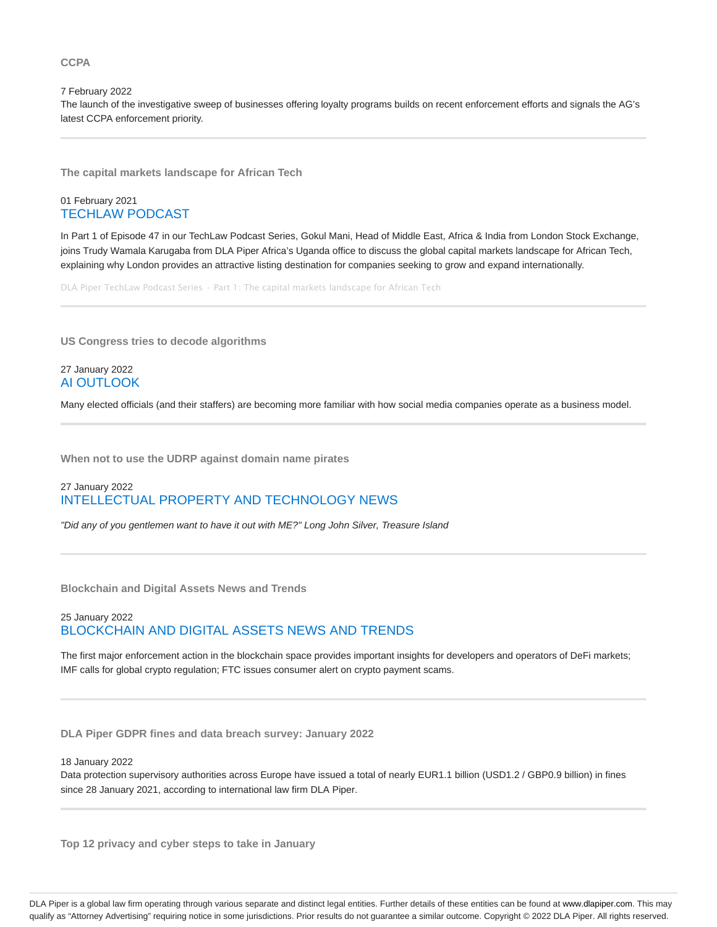#### **CCPA**

7 February 2022 The launch of the investigative sweep of businesses offering loyalty programs builds on recent enforcement efforts and signals the AG's latest CCPA enforcement priority.

**The capital markets landscape for African Tech**

### 01 February 2021 TECHLAW PODCAST

In Part 1 of Episode 47 in our TechLaw Podcast Series, Gokul Mani, Head of Middle East, Africa & India from London Stock Exchange, joins Trudy Wamala Karugaba from DLA Piper Africa's Uganda office to discuss the global capital markets landscape for African Tech, explaining why London provides an attractive listing destination for companies seeking to grow and expand internationally.

DLA Piper TechLaw Podcast Series · Part 1: The capital markets landscape for African Tech

**US Congress tries to decode algorithms**

#### 27 January 2022 AI OUTLOOK

Many elected officials (and their staffers) are becoming more familiar with how social media companies operate as a business model.

**When not to use the UDRP against domain name pirates**

# 27 January 2022 INTELLECTUAL PROPERTY AND TECHNOLOGY NEWS

"Did any of you gentlemen want to have it out with ME?" Long John Silver, Treasure Island

**Blockchain and Digital Assets News and Trends**

# 25 January 2022 BLOCKCHAIN AND DIGITAL ASSETS NEWS AND TRENDS

The first major enforcement action in the blockchain space provides important insights for developers and operators of DeFi markets; IMF calls for global crypto regulation; FTC issues consumer alert on crypto payment scams.

**DLA Piper GDPR fines and data breach survey: January 2022**

#### 18 January 2022

Data protection supervisory authorities across Europe have issued a total of nearly EUR1.1 billion (USD1.2 / GBP0.9 billion) in fines since 28 January 2021, according to international law firm DLA Piper.

**Top 12 privacy and cyber steps to take in January**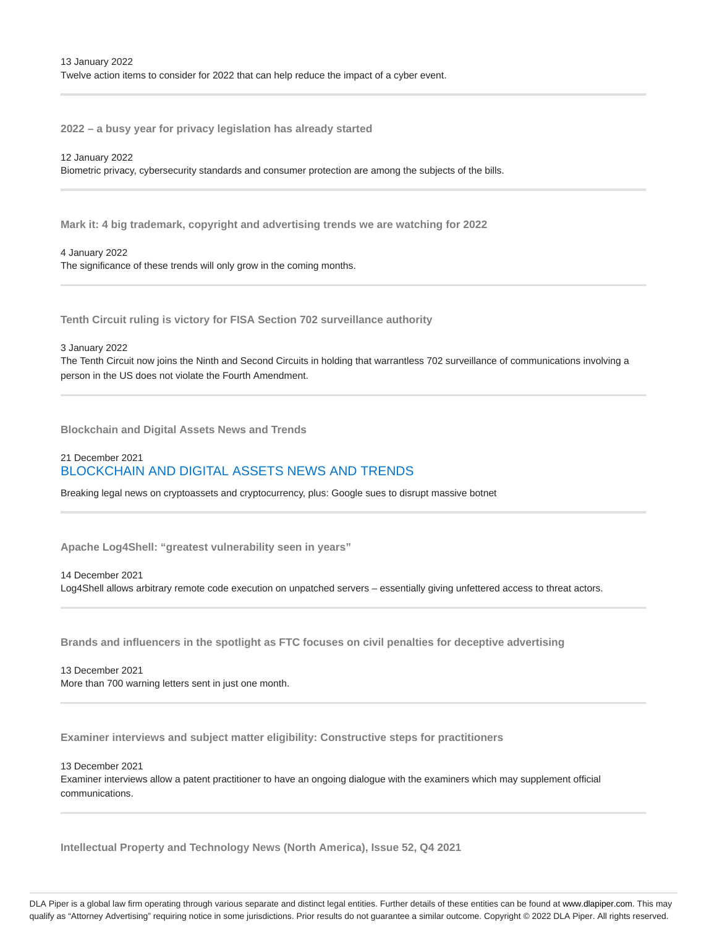**2022 – a busy year for privacy legislation has already started**

#### 12 January 2022

Biometric privacy, cybersecurity standards and consumer protection are among the subjects of the bills.

**Mark it: 4 big trademark, copyright and advertising trends we are watching for 2022**

#### 4 January 2022

The significance of these trends will only grow in the coming months.

**Tenth Circuit ruling is victory for FISA Section 702 surveillance authority**

#### 3 January 2022

The Tenth Circuit now joins the Ninth and Second Circuits in holding that warrantless 702 surveillance of communications involving a person in the US does not violate the Fourth Amendment.

**Blockchain and Digital Assets News and Trends**

# 21 December 2021 BLOCKCHAIN AND DIGITAL ASSETS NEWS AND TRENDS

Breaking legal news on cryptoassets and cryptocurrency, plus: Google sues to disrupt massive botnet

**Apache Log4Shell: "greatest vulnerability seen in years"**

14 December 2021 Log4Shell allows arbitrary remote code execution on unpatched servers – essentially giving unfettered access to threat actors.

**Brands and influencers in the spotlight as FTC focuses on civil penalties for deceptive advertising**

13 December 2021 More than 700 warning letters sent in just one month.

**Examiner interviews and subject matter eligibility: Constructive steps for practitioners**

13 December 2021

Examiner interviews allow a patent practitioner to have an ongoing dialogue with the examiners which may supplement official communications.

**Intellectual Property and Technology News (North America), Issue 52, Q4 2021**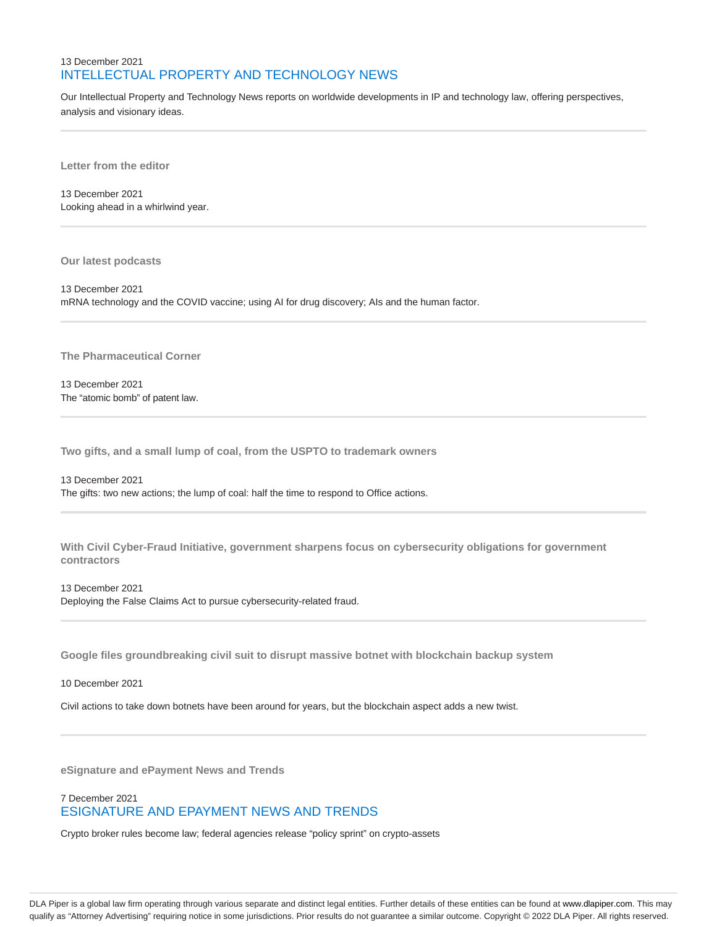# 13 December 2021 INTELLECTUAL PROPERTY AND TECHNOLOGY NEWS

Our Intellectual Property and Technology News reports on worldwide developments in IP and technology law, offering perspectives, analysis and visionary ideas.

**Letter from the editor**

13 December 2021 Looking ahead in a whirlwind year.

**Our latest podcasts**

13 December 2021 mRNA technology and the COVID vaccine; using AI for drug discovery; AIs and the human factor.

**The Pharmaceutical Corner**

13 December 2021 The "atomic bomb" of patent law.

**Two gifts, and a small lump of coal, from the USPTO to trademark owners**

13 December 2021 The gifts: two new actions; the lump of coal: half the time to respond to Office actions.

**With Civil Cyber-Fraud Initiative, government sharpens focus on cybersecurity obligations for government contractors**

13 December 2021

Deploying the False Claims Act to pursue cybersecurity-related fraud.

**Google files groundbreaking civil suit to disrupt massive botnet with blockchain backup system**

10 December 2021

Civil actions to take down botnets have been around for years, but the blockchain aspect adds a new twist.

**eSignature and ePayment News and Trends**

# 7 December 2021 ESIGNATURE AND EPAYMENT NEWS AND TRENDS

Crypto broker rules become law; federal agencies release "policy sprint" on crypto-assets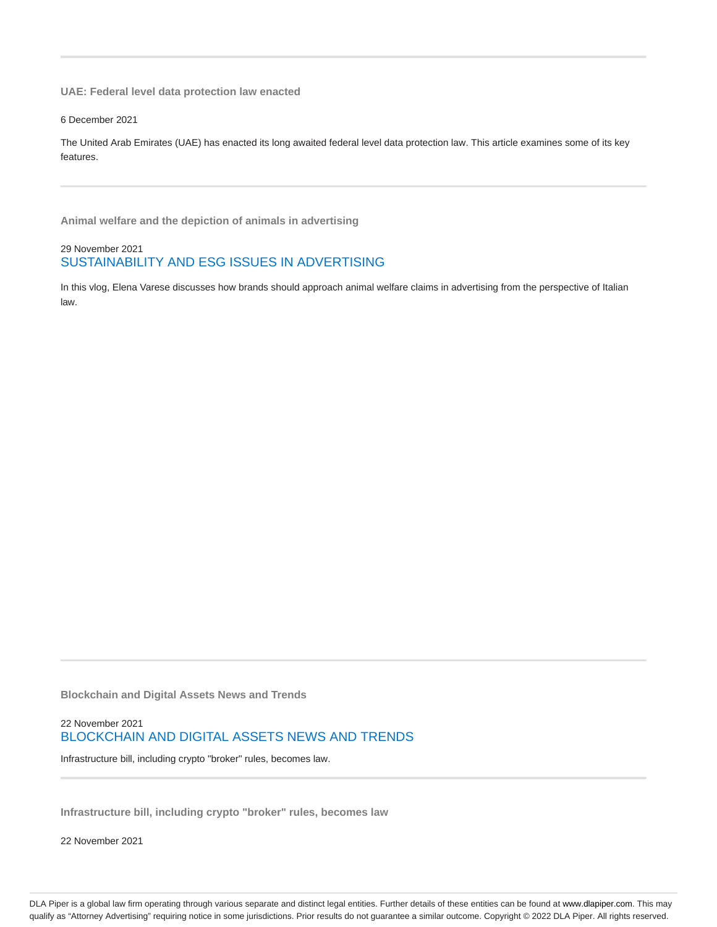**UAE: Federal level data protection law enacted**

6 December 2021

The United Arab Emirates (UAE) has enacted its long awaited federal level data protection law. This article examines some of its key features.

**Animal welfare and the depiction of animals in advertising**

29 November 2021 SUSTAINABILITY AND ESG ISSUES IN ADVERTISING

In this vlog, Elena Varese discusses how brands should approach animal welfare claims in advertising from the perspective of Italian law.

**Blockchain and Digital Assets News and Trends**

### 22 November 2021 BLOCKCHAIN AND DIGITAL ASSETS NEWS AND TRENDS

Infrastructure bill, including crypto "broker" rules, becomes law.

**Infrastructure bill, including crypto "broker" rules, becomes law**

22 November 2021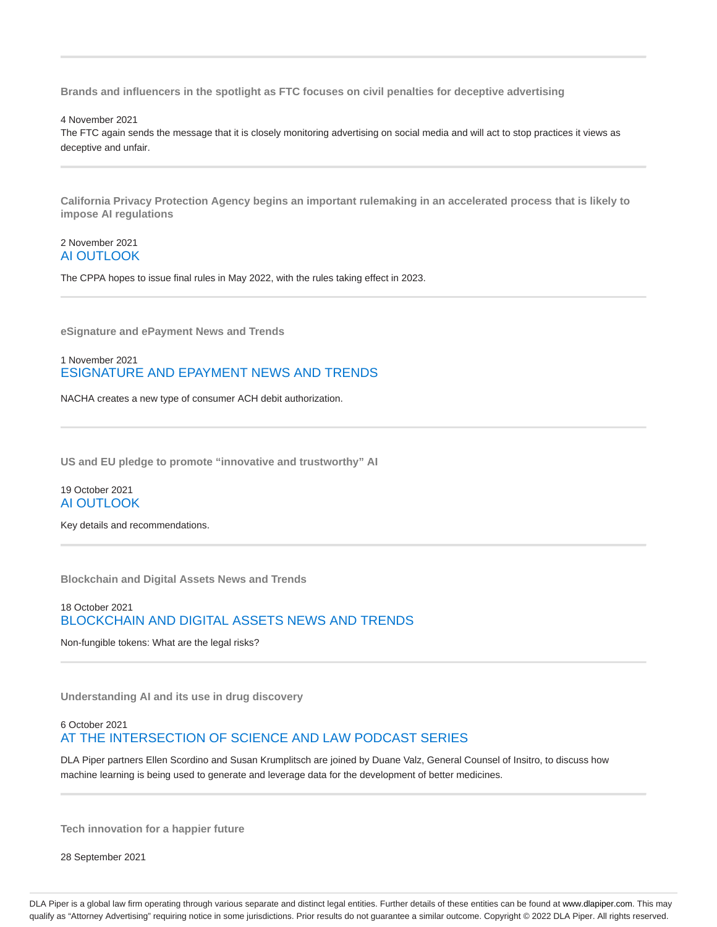**Brands and influencers in the spotlight as FTC focuses on civil penalties for deceptive advertising**

4 November 2021

The FTC again sends the message that it is closely monitoring advertising on social media and will act to stop practices it views as deceptive and unfair.

**California Privacy Protection Agency begins an important rulemaking in an accelerated process that is likely to impose AI regulations**

### 2 November 2021 AI OUTLOOK

The CPPA hopes to issue final rules in May 2022, with the rules taking effect in 2023.

**eSignature and ePayment News and Trends**

1 November 2021 ESIGNATURE AND EPAYMENT NEWS AND TRENDS

NACHA creates a new type of consumer ACH debit authorization.

**US and EU pledge to promote "innovative and trustworthy" AI**

### 19 October 2021 AI OUTLOOK

Key details and recommendations.

**Blockchain and Digital Assets News and Trends**

# 18 October 2021 BLOCKCHAIN AND DIGITAL ASSETS NEWS AND TRENDS

Non-fungible tokens: What are the legal risks?

**Understanding AI and its use in drug discovery**

### 6 October 2021 AT THE INTERSECTION OF SCIENCE AND LAW PODCAST SERIES

DLA Piper partners Ellen Scordino and Susan Krumplitsch are joined by Duane Valz, General Counsel of Insitro, to discuss how machine learning is being used to generate and leverage data for the development of better medicines.

**Tech innovation for a happier future**

28 September 2021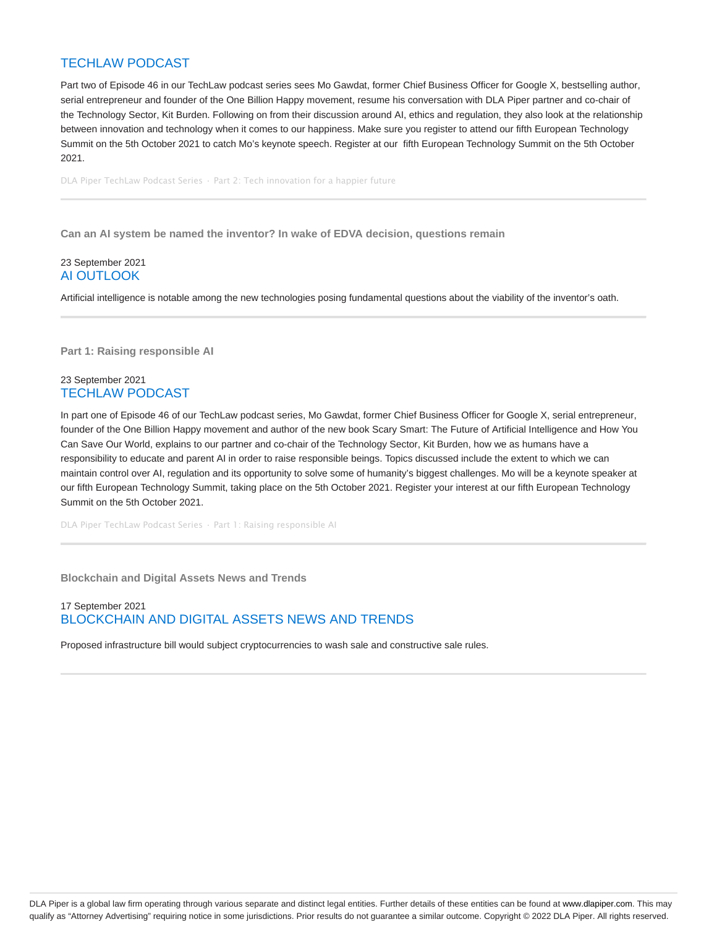# TECHLAW PODCAST

Part two of Episode 46 in our TechLaw podcast series sees Mo Gawdat, former Chief Business Officer for Google X, bestselling author, serial entrepreneur and founder of the One Billion Happy movement, resume his conversation with DLA Piper partner and co-chair of the Technology Sector, Kit Burden. Following on from their discussion around AI, ethics and regulation, they also look at the relationship between innovation and technology when it comes to our happiness. Make sure you register to attend our fifth European Technology Summit on the 5th October 2021 to catch Mo's keynote speech. Register at our fifth European Technology Summit on the 5th October 2021.

DLA Piper TechLaw Podcast Series · Part 2: Tech innovation for a happier future

**Can an AI system be named the inventor? In wake of EDVA decision, questions remain**

### 23 September 2021 AI OUTLOOK

Artificial intelligence is notable among the new technologies posing fundamental questions about the viability of the inventor's oath.

**Part 1: Raising responsible AI**

### 23 September 2021 TECHLAW PODCAST

In part one of Episode 46 of our TechLaw podcast series, Mo Gawdat, former Chief Business Officer for Google X, serial entrepreneur, founder of the One Billion Happy movement and author of the new book Scary Smart: The Future of Artificial Intelligence and How You Can Save Our World, explains to our partner and co-chair of the Technology Sector, Kit Burden, how we as humans have a responsibility to educate and parent AI in order to raise responsible beings. Topics discussed include the extent to which we can maintain control over AI, regulation and its opportunity to solve some of humanity's biggest challenges. Mo will be a keynote speaker at our fifth European Technology Summit, taking place on the 5th October 2021. Register your interest at our fifth European Technology Summit on the 5th October 2021.

DLA Piper TechLaw Podcast Series · Part 1: Raising responsible AI

**Blockchain and Digital Assets News and Trends**

### 17 September 2021 BLOCKCHAIN AND DIGITAL ASSETS NEWS AND TRENDS

Proposed infrastructure bill would subject cryptocurrencies to wash sale and constructive sale rules.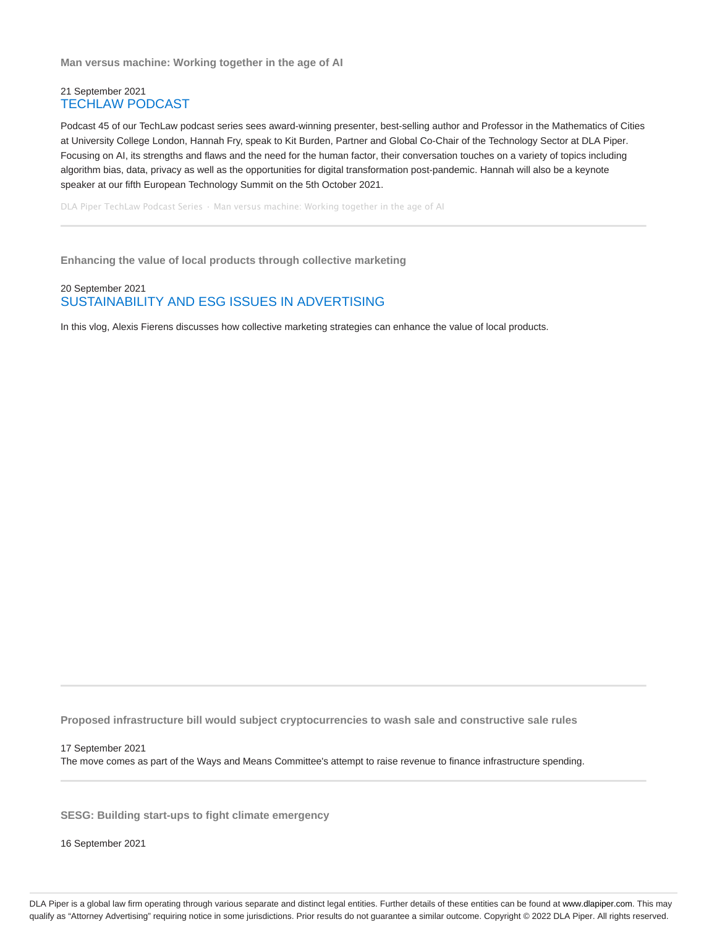**Man versus machine: Working together in the age of AI**

### 21 September 2021 TECHLAW PODCAST

Podcast 45 of our TechLaw podcast series sees award-winning presenter, best-selling author and Professor in the Mathematics of Cities at University College London, Hannah Fry, speak to Kit Burden, Partner and Global Co-Chair of the Technology Sector at DLA Piper. Focusing on AI, its strengths and flaws and the need for the human factor, their conversation touches on a variety of topics including algorithm bias, data, privacy as well as the opportunities for digital transformation post-pandemic. Hannah will also be a keynote speaker at our fifth European Technology Summit on the 5th October 2021.

DLA Piper TechLaw Podcast Series · Man versus machine: Working together in the age of AI

**Enhancing the value of local products through collective marketing**

### 20 September 2021 SUSTAINABILITY AND ESG ISSUES IN ADVERTISING

In this vlog, Alexis Fierens discusses how collective marketing strategies can enhance the value of local products.

**Proposed infrastructure bill would subject cryptocurrencies to wash sale and constructive sale rules**

17 September 2021 The move comes as part of the Ways and Means Committee's attempt to raise revenue to finance infrastructure spending.

**SESG: Building start-ups to fight climate emergency**

16 September 2021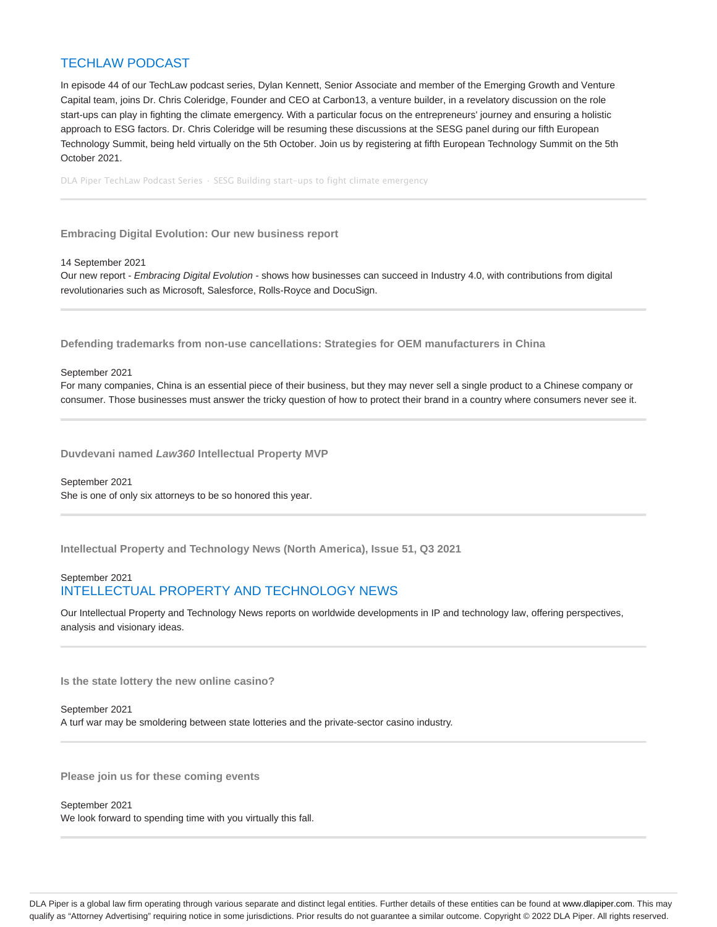# TECHLAW PODCAST

In episode 44 of our TechLaw podcast series, Dylan Kennett, Senior Associate and member of the Emerging Growth and Venture Capital team, joins Dr. Chris Coleridge, Founder and CEO at Carbon13, a venture builder, in a revelatory discussion on the role start-ups can play in fighting the climate emergency. With a particular focus on the entrepreneurs' journey and ensuring a holistic approach to ESG factors. Dr. Chris Coleridge will be resuming these discussions at the SESG panel during our fifth European Technology Summit, being held virtually on the 5th October. Join us by registering at fifth European Technology Summit on the 5th October 2021.

DLA Piper TechLaw Podcast Series · SESG Building start-ups to fight climate emergency

**Embracing Digital Evolution: Our new business report**

14 September 2021

Our new report - Embracing Digital Evolution - shows how businesses can succeed in Industry 4.0, with contributions from digital revolutionaries such as Microsoft, Salesforce, Rolls-Royce and DocuSign.

**Defending trademarks from non-use cancellations: Strategies for OEM manufacturers in China**

September 2021

For many companies, China is an essential piece of their business, but they may never sell a single product to a Chinese company or consumer. Those businesses must answer the tricky question of how to protect their brand in a country where consumers never see it.

**Duvdevani named Law360 Intellectual Property MVP**

September 2021 She is one of only six attorneys to be so honored this year.

**Intellectual Property and Technology News (North America), Issue 51, Q3 2021**

# September 2021 INTELLECTUAL PROPERTY AND TECHNOLOGY NEWS

Our Intellectual Property and Technology News reports on worldwide developments in IP and technology law, offering perspectives, analysis and visionary ideas.

**Is the state lottery the new online casino?**

September 2021 A turf war may be smoldering between state lotteries and the private-sector casino industry.

**Please join us for these coming events**

September 2021 We look forward to spending time with you virtually this fall.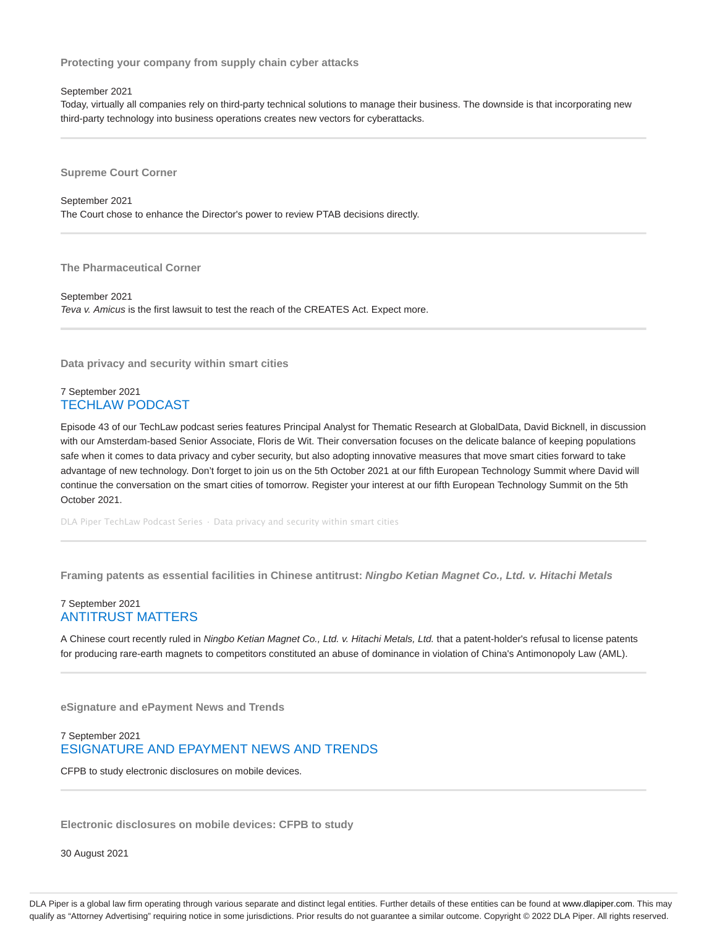**Protecting your company from supply chain cyber attacks**

September 2021

Today, virtually all companies rely on third-party technical solutions to manage their business. The downside is that incorporating new third-party technology into business operations creates new vectors for cyberattacks.

**Supreme Court Corner**

September 2021 The Court chose to enhance the Director's power to review PTAB decisions directly.

**The Pharmaceutical Corner**

September 2021 Teva v. Amicus is the first lawsuit to test the reach of the CREATES Act. Expect more.

**Data privacy and security within smart cities**

### 7 September 2021 TECHLAW PODCAST

Episode 43 of our TechLaw podcast series features Principal Analyst for Thematic Research at GlobalData, David Bicknell, in discussion with our Amsterdam-based Senior Associate, Floris de Wit. Their conversation focuses on the delicate balance of keeping populations safe when it comes to data privacy and cyber security, but also adopting innovative measures that move smart cities forward to take advantage of new technology. Don't forget to join us on the 5th October 2021 at our fifth European Technology Summit where David will continue the conversation on the smart cities of tomorrow. Register your interest at our fifth European Technology Summit on the 5th October 2021.

DLA Piper TechLaw Podcast Series · Data privacy and security within smart cities

**Framing patents as essential facilities in Chinese antitrust: Ningbo Ketian Magnet Co., Ltd. v. Hitachi Metals**

### 7 September 2021 ANTITRUST MATTERS

A Chinese court recently ruled in Ningbo Ketian Magnet Co., Ltd. v. Hitachi Metals, Ltd. that a patent-holder's refusal to license patents for producing rare-earth magnets to competitors constituted an abuse of dominance in violation of China's Antimonopoly Law (AML).

**eSignature and ePayment News and Trends**

# 7 September 2021 ESIGNATURE AND EPAYMENT NEWS AND TRENDS

CFPB to study electronic disclosures on mobile devices.

**Electronic disclosures on mobile devices: CFPB to study**

30 August 2021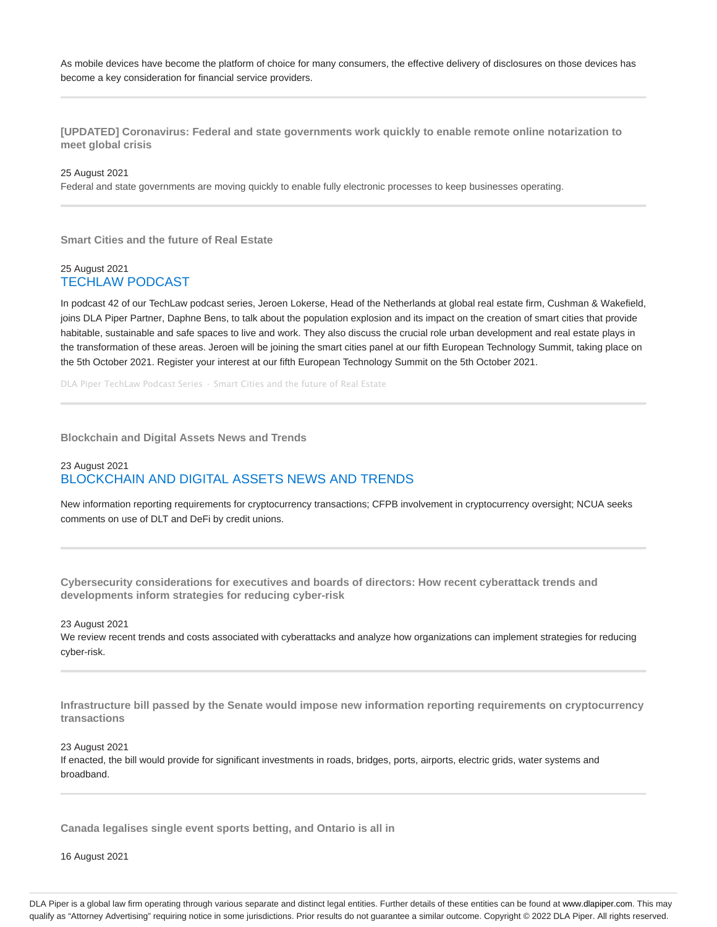As mobile devices have become the platform of choice for many consumers, the effective delivery of disclosures on those devices has become a key consideration for financial service providers.

**[UPDATED] Coronavirus: Federal and state governments work quickly to enable remote online notarization to meet global crisis**

25 August 2021

Federal and state governments are moving quickly to enable fully electronic processes to keep businesses operating.

**Smart Cities and the future of Real Estate**

#### 25 August 2021 TECHLAW PODCAST

In podcast 42 of our TechLaw podcast series, Jeroen Lokerse, Head of the Netherlands at global real estate firm, Cushman & Wakefield, joins DLA Piper Partner, Daphne Bens, to talk about the population explosion and its impact on the creation of smart cities that provide habitable, sustainable and safe spaces to live and work. They also discuss the crucial role urban development and real estate plays in the transformation of these areas. Jeroen will be joining the smart cities panel at our fifth European Technology Summit, taking place on the 5th October 2021. Register your interest at our fifth European Technology Summit on the 5th October 2021.

DLA Piper TechLaw Podcast Series · Smart Cities and the future of Real Estate

**Blockchain and Digital Assets News and Trends**

### 23 August 2021 BLOCKCHAIN AND DIGITAL ASSETS NEWS AND TRENDS

New information reporting requirements for cryptocurrency transactions; CFPB involvement in cryptocurrency oversight; NCUA seeks comments on use of DLT and DeFi by credit unions.

**Cybersecurity considerations for executives and boards of directors: How recent cyberattack trends and developments inform strategies for reducing cyber-risk**

23 August 2021

We review recent trends and costs associated with cyberattacks and analyze how organizations can implement strategies for reducing cyber-risk.

**Infrastructure bill passed by the Senate would impose new information reporting requirements on cryptocurrency transactions**

23 August 2021

If enacted, the bill would provide for significant investments in roads, bridges, ports, airports, electric grids, water systems and broadband.

**Canada legalises single event sports betting, and Ontario is all in**

16 August 2021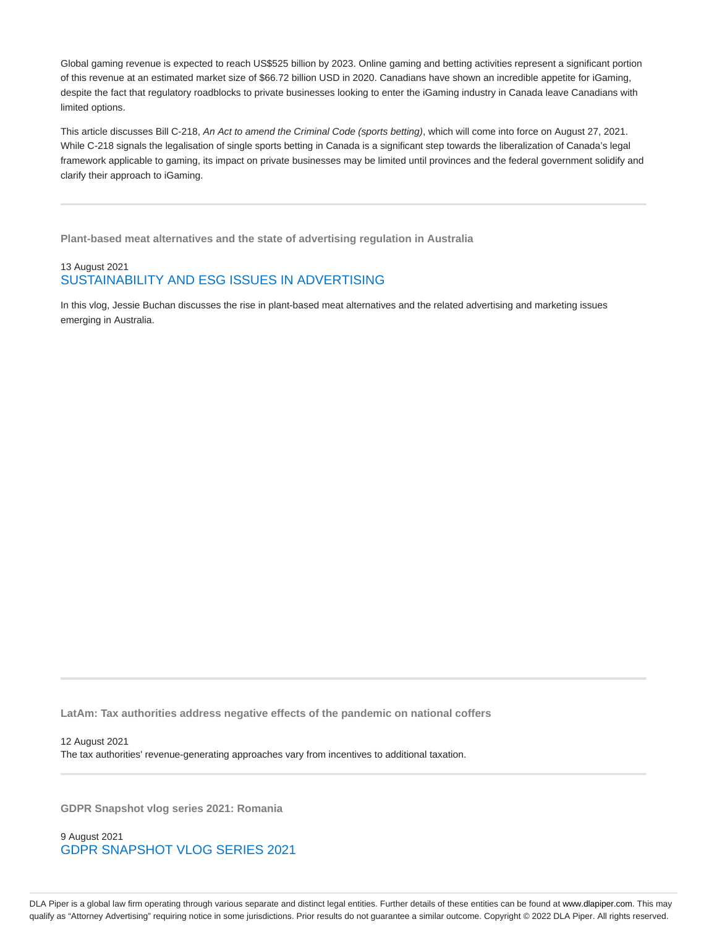Global gaming revenue is expected to reach US\$525 billion by 2023. Online gaming and betting activities represent a significant portion of this revenue at an estimated market size of \$66.72 billion USD in 2020. Canadians have shown an incredible appetite for iGaming, despite the fact that regulatory roadblocks to private businesses looking to enter the iGaming industry in Canada leave Canadians with limited options.

This article discusses Bill C-218, An Act to amend the Criminal Code (sports betting), which will come into force on August 27, 2021. While C-218 signals the legalisation of single sports betting in Canada is a significant step towards the liberalization of Canada's legal framework applicable to gaming, its impact on private businesses may be limited until provinces and the federal government solidify and clarify their approach to iGaming.

**Plant-based meat alternatives and the state of advertising regulation in Australia**

# 13 August 2021 SUSTAINABILITY AND ESG ISSUES IN ADVERTISING

In this vlog, Jessie Buchan discusses the rise in plant-based meat alternatives and the related advertising and marketing issues emerging in Australia.

**LatAm: Tax authorities address negative effects of the pandemic on national coffers**

12 August 2021 The tax authorities' revenue-generating approaches vary from incentives to additional taxation.

**GDPR Snapshot vlog series 2021: Romania**

9 August 2021 GDPR SNAPSHOT VLOG SERIES 2021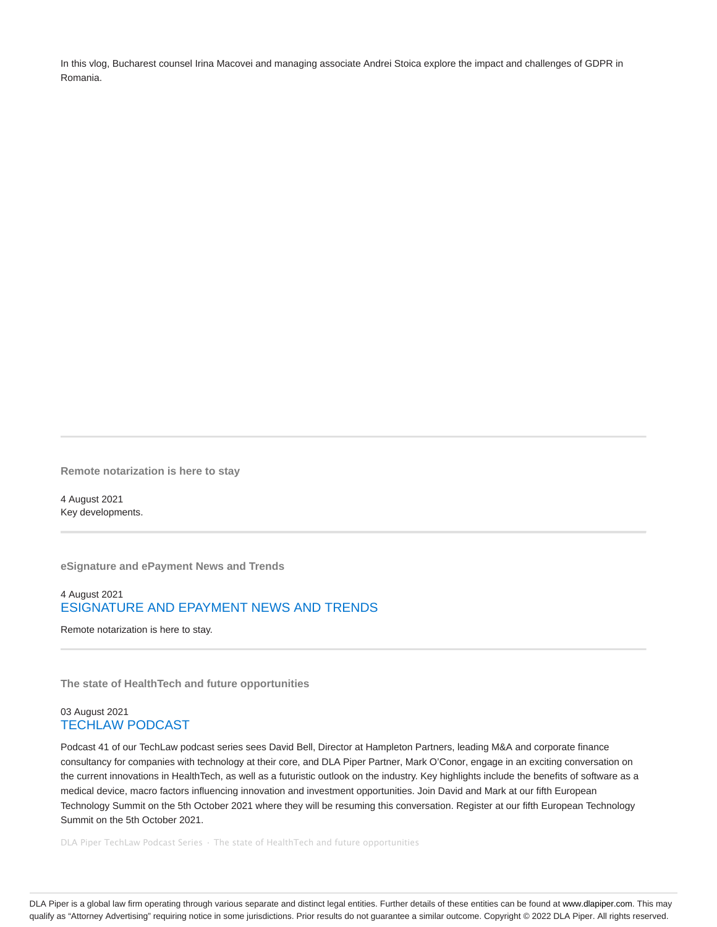In this vlog, Bucharest counsel Irina Macovei and managing associate Andrei Stoica explore the impact and challenges of GDPR in Romania.

**Remote notarization is here to stay**

4 August 2021 Key developments.

**eSignature and ePayment News and Trends**

# 4 August 2021 ESIGNATURE AND EPAYMENT NEWS AND TRENDS

Remote notarization is here to stay.

**The state of HealthTech and future opportunities**

### 03 August 2021 TECHLAW PODCAST

Podcast 41 of our TechLaw podcast series sees David Bell, Director at Hampleton Partners, leading M&A and corporate finance consultancy for companies with technology at their core, and DLA Piper Partner, Mark O'Conor, engage in an exciting conversation on the current innovations in HealthTech, as well as a futuristic outlook on the industry. Key highlights include the benefits of software as a medical device, macro factors influencing innovation and investment opportunities. Join David and Mark at our fifth European Technology Summit on the 5th October 2021 where they will be resuming this conversation. Register at our fifth European Technology Summit on the 5th October 2021.

DLA Piper TechLaw Podcast Series · The state of HealthTech and future opportunities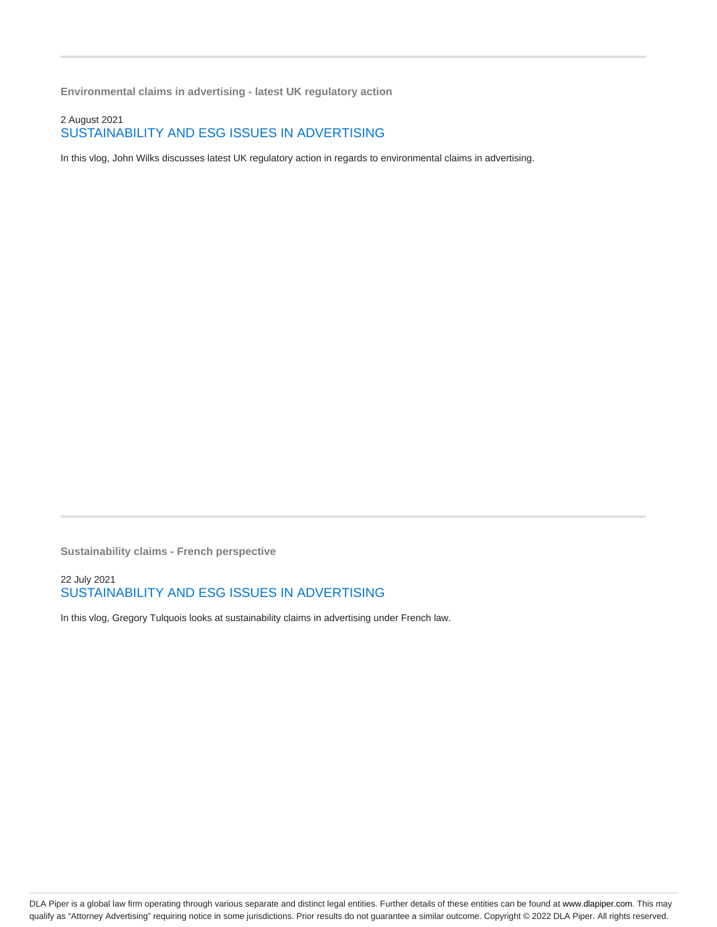**Environmental claims in advertising - latest UK regulatory action**

# 2 August 2021 SUSTAINABILITY AND ESG ISSUES IN ADVERTISING

In this vlog, John Wilks discusses latest UK regulatory action in regards to environmental claims in advertising.

**Sustainability claims - French perspective**

# 22 July 2021 SUSTAINABILITY AND ESG ISSUES IN ADVERTISING

In this vlog, Gregory Tulquois looks at sustainability claims in advertising under French law.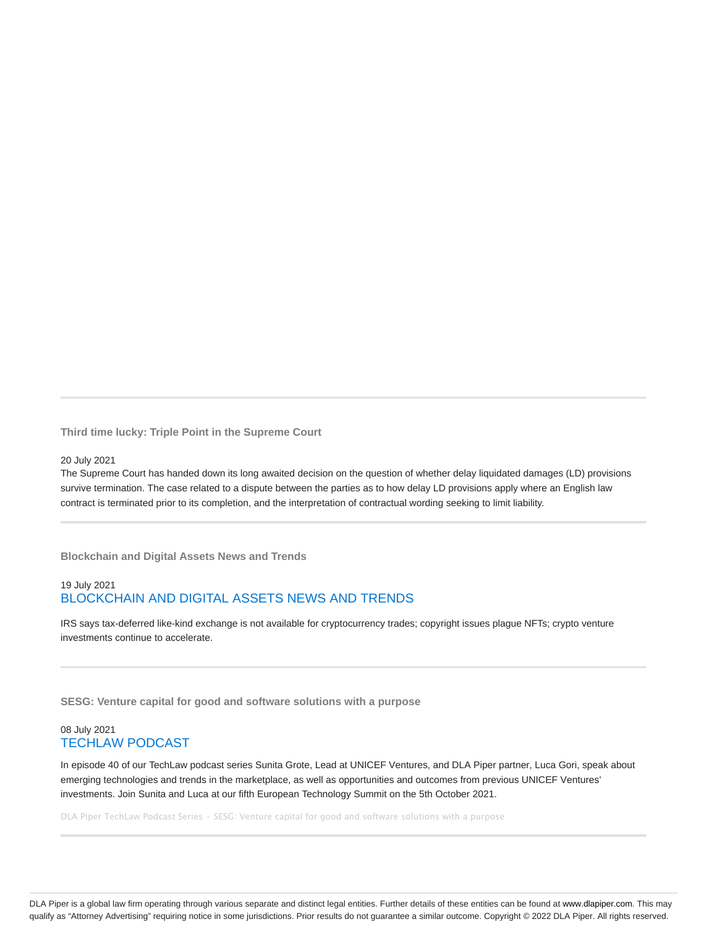**Third time lucky: Triple Point in the Supreme Court**

#### 20 July 2021

The Supreme Court has handed down its long awaited decision on the question of whether delay liquidated damages (LD) provisions survive termination. The case related to a dispute between the parties as to how delay LD provisions apply where an English law contract is terminated prior to its completion, and the interpretation of contractual wording seeking to limit liability.

**Blockchain and Digital Assets News and Trends**

# 19 July 2021 BLOCKCHAIN AND DIGITAL ASSETS NEWS AND TRENDS

IRS says tax-deferred like-kind exchange is not available for cryptocurrency trades; copyright issues plague NFTs; crypto venture investments continue to accelerate.

**SESG: Venture capital for good and software solutions with a purpose**

### 08 July 2021 TECHLAW PODCAST

In episode 40 of our TechLaw podcast series Sunita Grote, Lead at UNICEF Ventures, and DLA Piper partner, Luca Gori, speak about emerging technologies and trends in the marketplace, as well as opportunities and outcomes from previous UNICEF Ventures' investments. Join Sunita and Luca at our fifth European Technology Summit on the 5th October 2021.

DLA Piper TechLaw Podcast Series · SESG: Venture capital for good and software solutions with a purpose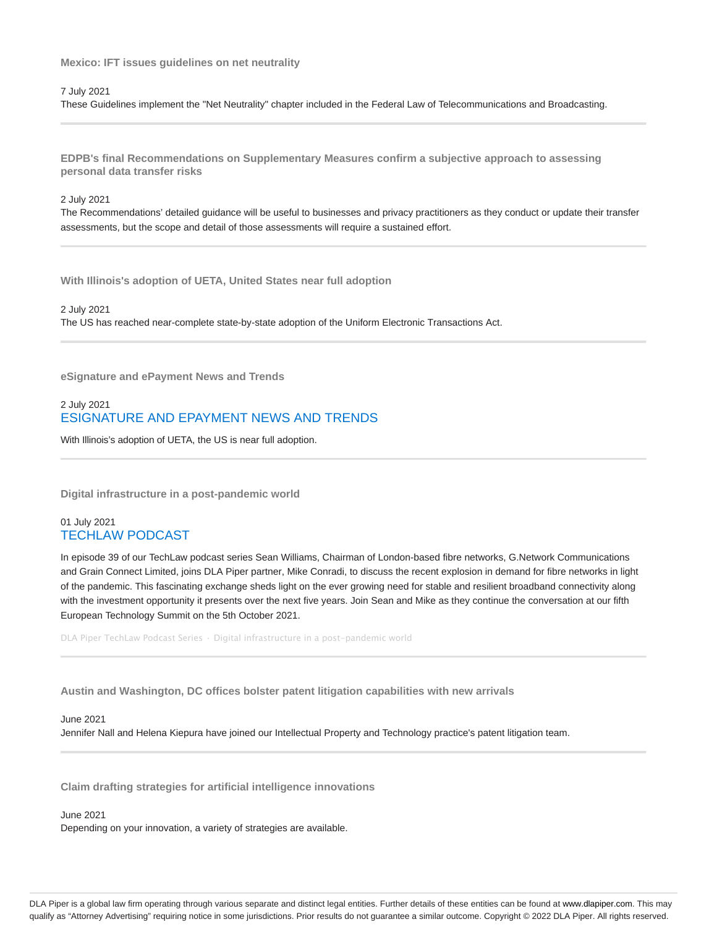**Mexico: IFT issues guidelines on net neutrality**

7 July 2021

These Guidelines implement the "Net Neutrality" chapter included in the Federal Law of Telecommunications and Broadcasting.

**EDPB's final Recommendations on Supplementary Measures confirm a subjective approach to assessing personal data transfer risks**

#### 2 July 2021

The Recommendations' detailed guidance will be useful to businesses and privacy practitioners as they conduct or update their transfer assessments, but the scope and detail of those assessments will require a sustained effort.

**With Illinois's adoption of UETA, United States near full adoption**

2 July 2021 The US has reached near-complete state-by-state adoption of the Uniform Electronic Transactions Act.

**eSignature and ePayment News and Trends**

# 2 July 2021 ESIGNATURE AND EPAYMENT NEWS AND TRENDS

With Illinois's adoption of UETA, the US is near full adoption.

**Digital infrastructure in a post-pandemic world**

### 01 July 2021 TECHLAW PODCAST

In episode 39 of our TechLaw podcast series Sean Williams, Chairman of London-based fibre networks, G.Network Communications and Grain Connect Limited, joins DLA Piper partner, Mike Conradi, to discuss the recent explosion in demand for fibre networks in light of the pandemic. This fascinating exchange sheds light on the ever growing need for stable and resilient broadband connectivity along with the investment opportunity it presents over the next five years. Join Sean and Mike as they continue the conversation at our fifth European Technology Summit on the 5th October 2021.

DLA Piper TechLaw Podcast Series · Digital infrastructure in a post-pandemic world

**Austin and Washington, DC offices bolster patent litigation capabilities with new arrivals**

### June 2021

Jennifer Nall and Helena Kiepura have joined our Intellectual Property and Technology practice's patent litigation team.

**Claim drafting strategies for artificial intelligence innovations**

June 2021

Depending on your innovation, a variety of strategies are available.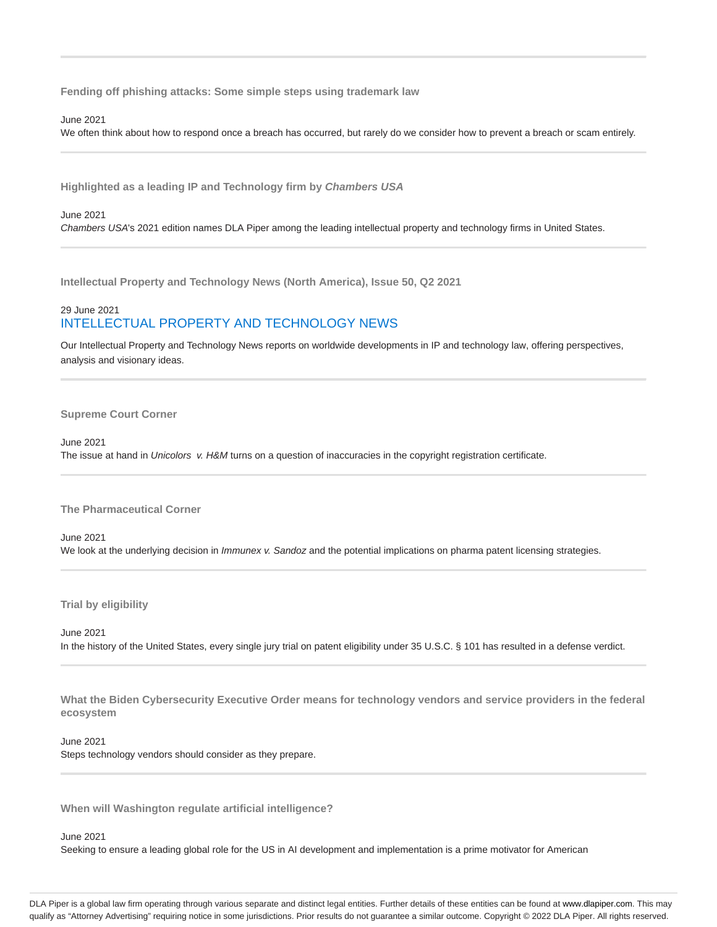**Fending off phishing attacks: Some simple steps using trademark law**

#### June 2021

We often think about how to respond once a breach has occurred, but rarely do we consider how to prevent a breach or scam entirely.

**Highlighted as a leading IP and Technology firm by Chambers USA**

#### June 2021

Chambers USA's 2021 edition names DLA Piper among the leading intellectual property and technology firms in United States.

**Intellectual Property and Technology News (North America), Issue 50, Q2 2021**

# 29 June 2021 INTELLECTUAL PROPERTY AND TECHNOLOGY NEWS

Our Intellectual Property and Technology News reports on worldwide developments in IP and technology law, offering perspectives, analysis and visionary ideas.

#### **Supreme Court Corner**

#### June 2021

The issue at hand in Unicolors v. H&M turns on a question of inaccuracies in the copyright registration certificate.

**The Pharmaceutical Corner**

### June 2021 We look at the underlying decision in *Immunex v. Sandoz* and the potential implications on pharma patent licensing strategies.

**Trial by eligibility**

#### June 2021

In the history of the United States, every single jury trial on patent eligibility under 35 U.S.C. § 101 has resulted in a defense verdict.

**What the Biden Cybersecurity Executive Order means for technology vendors and service providers in the federal ecosystem**

#### June 2021

Steps technology vendors should consider as they prepare.

**When will Washington regulate artificial intelligence?**

#### June 2021

Seeking to ensure a leading global role for the US in AI development and implementation is a prime motivator for American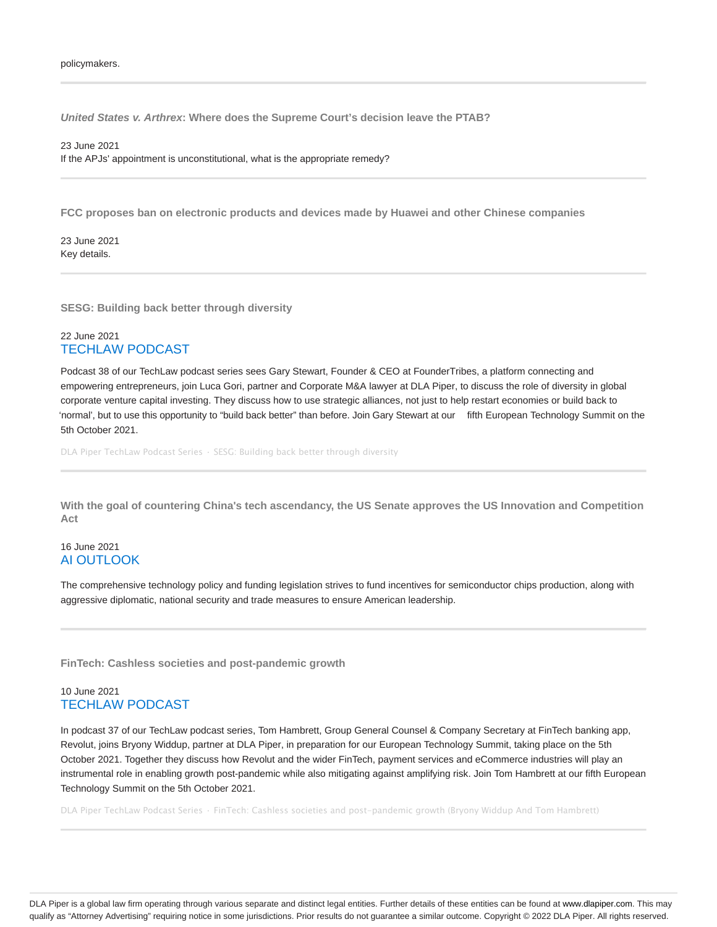**United States v. Arthrex: Where does the Supreme Court's decision leave the PTAB?**

23 June 2021 If the APJs' appointment is unconstitutional, what is the appropriate remedy?

**FCC proposes ban on electronic products and devices made by Huawei and other Chinese companies**

23 June 2021 Key details.

**SESG: Building back better through diversity**

### 22 June 2021 TECHLAW PODCAST

Podcast 38 of our TechLaw podcast series sees Gary Stewart, Founder & CEO at FounderTribes, a platform connecting and empowering entrepreneurs, join Luca Gori, partner and Corporate M&A lawyer at DLA Piper, to discuss the role of diversity in global corporate venture capital investing. They discuss how to use strategic alliances, not just to help restart economies or build back to 'normal', but to use this opportunity to "build back better" than before. Join Gary Stewart at our fifth European Technology Summit on the 5th October 2021.

DLA Piper TechLaw Podcast Series · SESG: Building back better through diversity

**With the goal of countering China's tech ascendancy, the US Senate approves the US Innovation and Competition Act**

### 16 June 2021 AI OUTLOOK

The comprehensive technology policy and funding legislation strives to fund incentives for semiconductor chips production, along with aggressive diplomatic, national security and trade measures to ensure American leadership.

**FinTech: Cashless societies and post-pandemic growth**

### 10 June 2021 TECHLAW PODCAST

In podcast 37 of our TechLaw podcast series, Tom Hambrett, Group General Counsel & Company Secretary at FinTech banking app, Revolut, joins Bryony Widdup, partner at DLA Piper, in preparation for our European Technology Summit, taking place on the 5th October 2021. Together they discuss how Revolut and the wider FinTech, payment services and eCommerce industries will play an instrumental role in enabling growth post-pandemic while also mitigating against amplifying risk. Join Tom Hambrett at our fifth European Technology Summit on the 5th October 2021.

DLA Piper TechLaw Podcast Series · FinTech: Cashless societies and post-pandemic growth (Bryony Widdup And Tom Hambrett)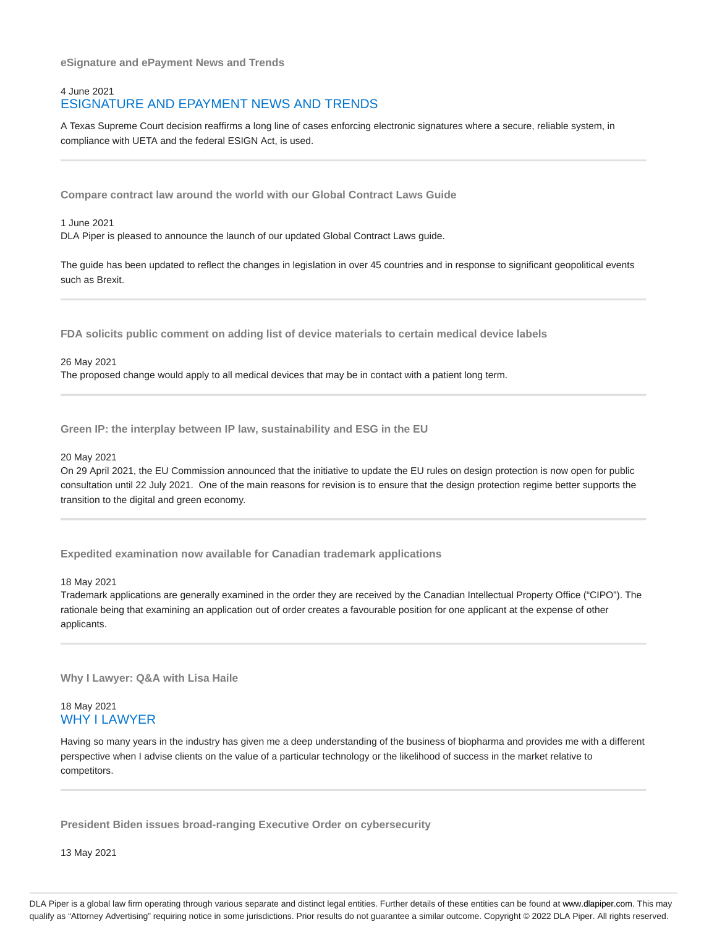**eSignature and ePayment News and Trends**

# 4 June 2021 ESIGNATURE AND EPAYMENT NEWS AND TRENDS

A Texas Supreme Court decision reaffirms a long line of cases enforcing electronic signatures where a secure, reliable system, in compliance with UETA and the federal ESIGN Act, is used.

**Compare contract law around the world with our Global Contract Laws Guide**

#### 1 June 2021

DLA Piper is pleased to announce the launch of our updated Global Contract Laws guide.

The guide has been updated to reflect the changes in legislation in over 45 countries and in response to significant geopolitical events such as Brexit.

**FDA solicits public comment on adding list of device materials to certain medical device labels**

#### 26 May 2021

The proposed change would apply to all medical devices that may be in contact with a patient long term.

**Green IP: the interplay between IP law, sustainability and ESG in the EU**

#### 20 May 2021

On 29 April 2021, the EU Commission announced that the initiative to update the EU rules on design protection is now open for public consultation until 22 July 2021. One of the main reasons for revision is to ensure that the design protection regime better supports the transition to the digital and green economy.

**Expedited examination now available for Canadian trademark applications**

#### 18 May 2021

Trademark applications are generally examined in the order they are received by the Canadian Intellectual Property Office ("CIPO"). The rationale being that examining an application out of order creates a favourable position for one applicant at the expense of other applicants.

**Why I Lawyer: Q&A with Lisa Haile**

### 18 May 2021 WHY I LAWYER

Having so many years in the industry has given me a deep understanding of the business of biopharma and provides me with a different perspective when I advise clients on the value of a particular technology or the likelihood of success in the market relative to competitors.

**President Biden issues broad-ranging Executive Order on cybersecurity**

13 May 2021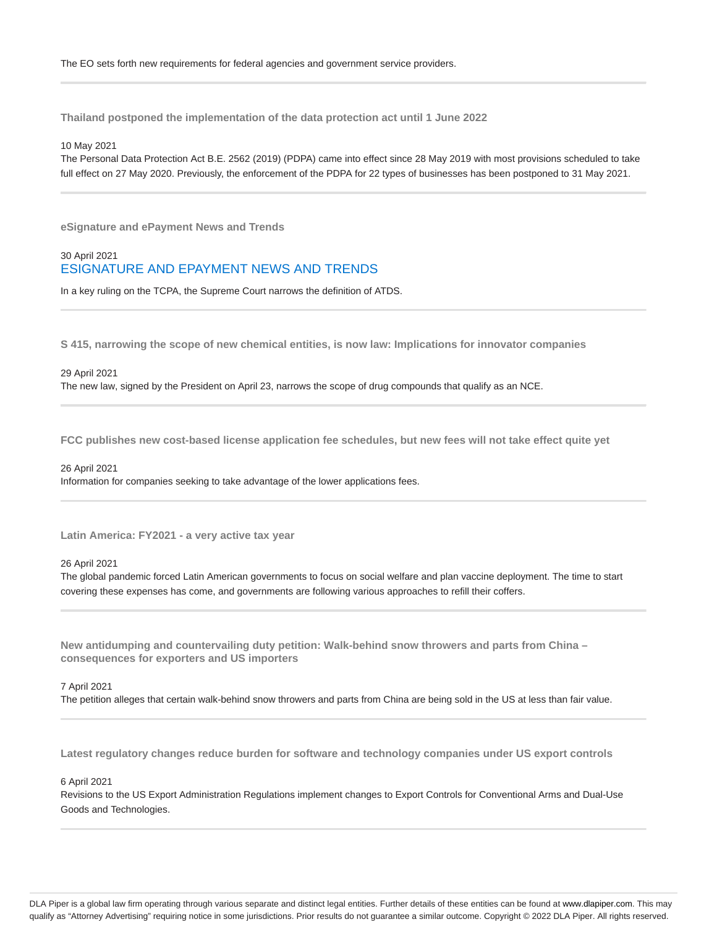**Thailand postponed the implementation of the data protection act until 1 June 2022**

#### 10 May 2021

The Personal Data Protection Act B.E. 2562 (2019) (PDPA) came into effect since 28 May 2019 with most provisions scheduled to take full effect on 27 May 2020. Previously, the enforcement of the PDPA for 22 types of businesses has been postponed to 31 May 2021.

**eSignature and ePayment News and Trends**

### 30 April 2021 ESIGNATURE AND EPAYMENT NEWS AND TRENDS

In a key ruling on the TCPA, the Supreme Court narrows the definition of ATDS.

**S 415, narrowing the scope of new chemical entities, is now law: Implications for innovator companies**

#### 29 April 2021

The new law, signed by the President on April 23, narrows the scope of drug compounds that qualify as an NCE.

**FCC publishes new cost-based license application fee schedules, but new fees will not take effect quite yet**

#### 26 April 2021

Information for companies seeking to take advantage of the lower applications fees.

**Latin America: FY2021 - a very active tax year**

#### 26 April 2021

The global pandemic forced Latin American governments to focus on social welfare and plan vaccine deployment. The time to start covering these expenses has come, and governments are following various approaches to refill their coffers.

**New antidumping and countervailing duty petition: Walk-behind snow throwers and parts from China – consequences for exporters and US importers**

#### 7 April 2021

The petition alleges that certain walk-behind snow throwers and parts from China are being sold in the US at less than fair value.

**Latest regulatory changes reduce burden for software and technology companies under US export controls**

#### 6 April 2021

Revisions to the US Export Administration Regulations implement changes to Export Controls for Conventional Arms and Dual-Use Goods and Technologies.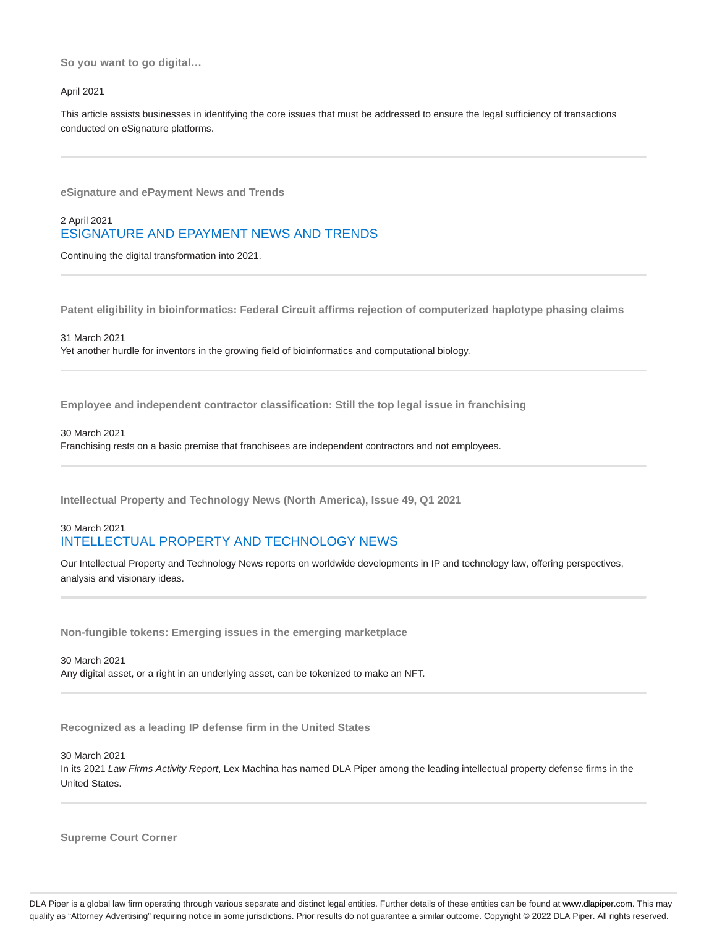**So you want to go digital…**

#### April 2021

This article assists businesses in identifying the core issues that must be addressed to ensure the legal sufficiency of transactions conducted on eSignature platforms.

**eSignature and ePayment News and Trends**

# 2 April 2021 ESIGNATURE AND EPAYMENT NEWS AND TRENDS

Continuing the digital transformation into 2021.

**Patent eligibility in bioinformatics: Federal Circuit affirms rejection of computerized haplotype phasing claims**

#### 31 March 2021

Yet another hurdle for inventors in the growing field of bioinformatics and computational biology.

**Employee and independent contractor classification: Still the top legal issue in franchising**

#### 30 March 2021

Franchising rests on a basic premise that franchisees are independent contractors and not employees.

**Intellectual Property and Technology News (North America), Issue 49, Q1 2021**

# 30 March 2021 INTELLECTUAL PROPERTY AND TECHNOLOGY NEWS

Our Intellectual Property and Technology News reports on worldwide developments in IP and technology law, offering perspectives, analysis and visionary ideas.

**Non-fungible tokens: Emerging issues in the emerging marketplace**

30 March 2021 Any digital asset, or a right in an underlying asset, can be tokenized to make an NFT.

**Recognized as a leading IP defense firm in the United States**

30 March 2021 In its 2021 Law Firms Activity Report, Lex Machina has named DLA Piper among the leading intellectual property defense firms in the United States.

**Supreme Court Corner**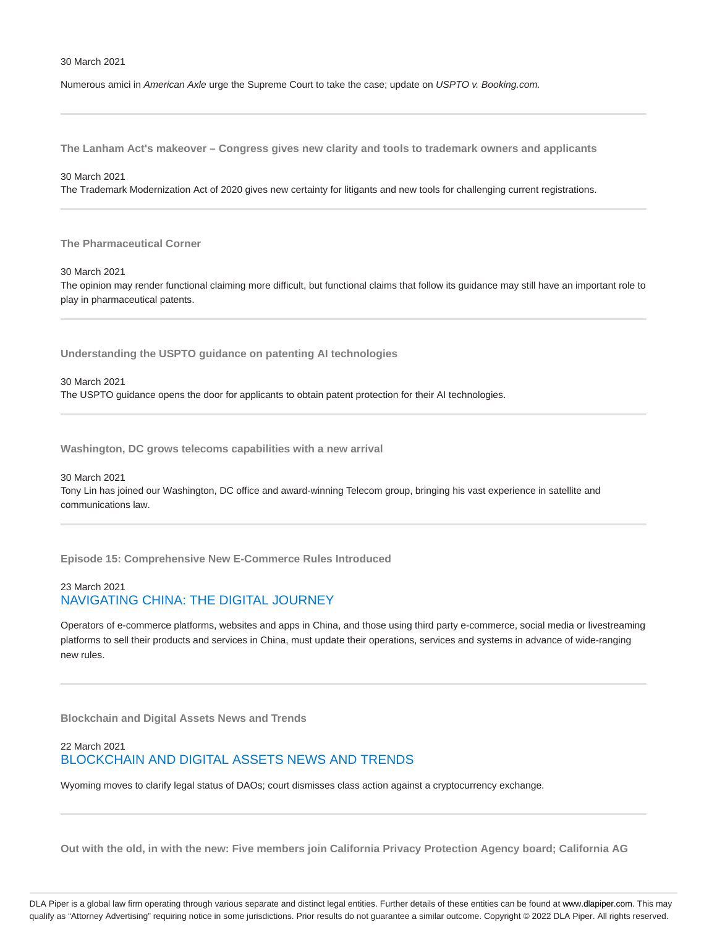#### 30 March 2021

Numerous amici in American Axle urge the Supreme Court to take the case; update on USPTO v. Booking.com.

**The Lanham Act's makeover – Congress gives new clarity and tools to trademark owners and applicants**

30 March 2021

The Trademark Modernization Act of 2020 gives new certainty for litigants and new tools for challenging current registrations.

**The Pharmaceutical Corner**

30 March 2021

The opinion may render functional claiming more difficult, but functional claims that follow its guidance may still have an important role to play in pharmaceutical patents.

**Understanding the USPTO guidance on patenting AI technologies**

30 March 2021 The USPTO guidance opens the door for applicants to obtain patent protection for their AI technologies.

**Washington, DC grows telecoms capabilities with a new arrival**

30 March 2021

Tony Lin has joined our Washington, DC office and award-winning Telecom group, bringing his vast experience in satellite and communications law.

**Episode 15: Comprehensive New E-Commerce Rules Introduced**

### 23 March 2021 NAVIGATING CHINA: THE DIGITAL JOURNEY

Operators of e-commerce platforms, websites and apps in China, and those using third party e-commerce, social media or livestreaming platforms to sell their products and services in China, must update their operations, services and systems in advance of wide-ranging new rules.

**Blockchain and Digital Assets News and Trends**

# 22 March 2021 BLOCKCHAIN AND DIGITAL ASSETS NEWS AND TRENDS

Wyoming moves to clarify legal status of DAOs; court dismisses class action against a cryptocurrency exchange.

**Out with the old, in with the new: Five members join California Privacy Protection Agency board; California AG**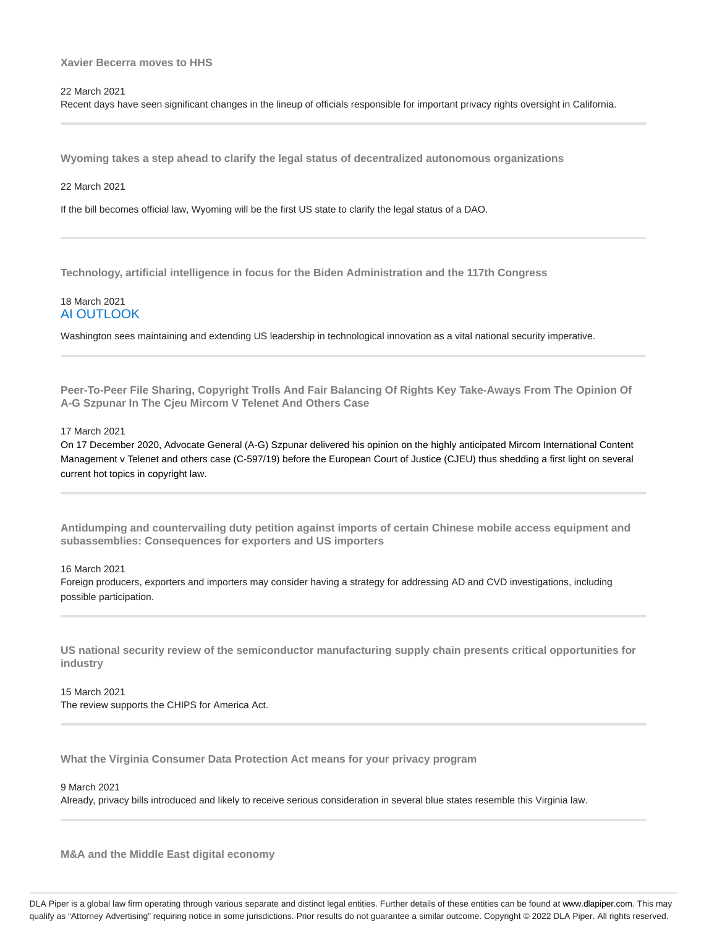### **Xavier Becerra moves to HHS**

22 March 2021

Recent days have seen significant changes in the lineup of officials responsible for important privacy rights oversight in California.

**Wyoming takes a step ahead to clarify the legal status of decentralized autonomous organizations**

#### 22 March 2021

If the bill becomes official law, Wyoming will be the first US state to clarify the legal status of a DAO.

**Technology, artificial intelligence in focus for the Biden Administration and the 117th Congress**

### 18 March 2021 AI OUTLOOK

Washington sees maintaining and extending US leadership in technological innovation as a vital national security imperative.

**Peer-To-Peer File Sharing, Copyright Trolls And Fair Balancing Of Rights Key Take-Aways From The Opinion Of A-G Szpunar In The Cjeu Mircom V Telenet And Others Case**

#### 17 March 2021

On 17 December 2020, Advocate General (A-G) Szpunar delivered his opinion on the highly anticipated Mircom International Content Management v Telenet and others case (C-597/19) before the European Court of Justice (CJEU) thus shedding a first light on several current hot topics in copyright law.

**Antidumping and countervailing duty petition against imports of certain Chinese mobile access equipment and subassemblies: Consequences for exporters and US importers**

#### 16 March 2021

Foreign producers, exporters and importers may consider having a strategy for addressing AD and CVD investigations, including possible participation.

**US national security review of the semiconductor manufacturing supply chain presents critical opportunities for industry**

15 March 2021 The review supports the CHIPS for America Act.

**What the Virginia Consumer Data Protection Act means for your privacy program**

9 March 2021

Already, privacy bills introduced and likely to receive serious consideration in several blue states resemble this Virginia law.

**M&A and the Middle East digital economy**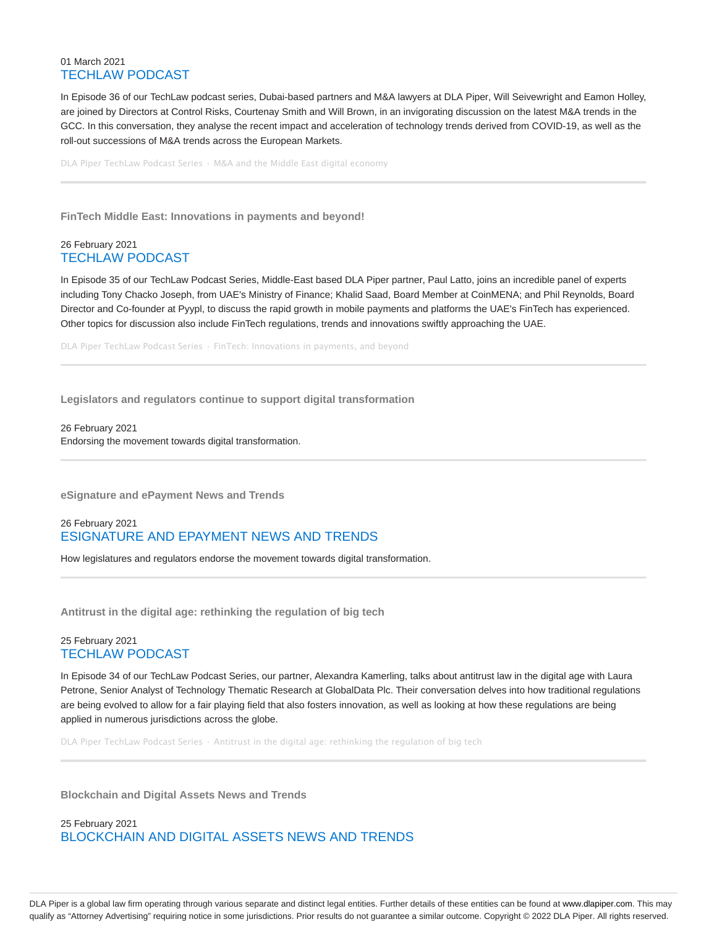### 01 March 2021 TECHLAW PODCAST

In Episode 36 of our TechLaw podcast series, Dubai-based partners and M&A lawyers at DLA Piper, Will Seivewright and Eamon Holley, are joined by Directors at Control Risks, Courtenay Smith and Will Brown, in an invigorating discussion on the latest M&A trends in the GCC. In this conversation, they analyse the recent impact and acceleration of technology trends derived from COVID-19, as well as the roll-out successions of M&A trends across the European Markets.

DLA Piper TechLaw Podcast Series · M&A and the Middle East digital economy

**FinTech Middle East: Innovations in payments and beyond!**

### 26 February 2021 TECHLAW PODCAST

In Episode 35 of our TechLaw Podcast Series, Middle-East based DLA Piper partner, Paul Latto, joins an incredible panel of experts including Tony Chacko Joseph, from UAE's Ministry of Finance; Khalid Saad, Board Member at CoinMENA; and Phil Reynolds, Board Director and Co-founder at Pyypl, to discuss the rapid growth in mobile payments and platforms the UAE's FinTech has experienced. Other topics for discussion also include FinTech regulations, trends and innovations swiftly approaching the UAE.

DLA Piper TechLaw Podcast Series · FinTech: Innovations in payments, and beyond

**Legislators and regulators continue to support digital transformation**

26 February 2021 Endorsing the movement towards digital transformation.

**eSignature and ePayment News and Trends**

# 26 February 2021 ESIGNATURE AND EPAYMENT NEWS AND TRENDS

How legislatures and regulators endorse the movement towards digital transformation.

**Antitrust in the digital age: rethinking the regulation of big tech**

### 25 February 2021 TECHLAW PODCAST

In Episode 34 of our TechLaw Podcast Series, our partner, Alexandra Kamerling, talks about antitrust law in the digital age with Laura Petrone, Senior Analyst of Technology Thematic Research at GlobalData Plc. Their conversation delves into how traditional regulations are being evolved to allow for a fair playing field that also fosters innovation, as well as looking at how these regulations are being applied in numerous jurisdictions across the globe.

DLA Piper TechLaw Podcast Series · Antitrust in the digital age: rethinking the regulation of big tech

**Blockchain and Digital Assets News and Trends**

25 February 2021 BLOCKCHAIN AND DIGITAL ASSETS NEWS AND TRENDS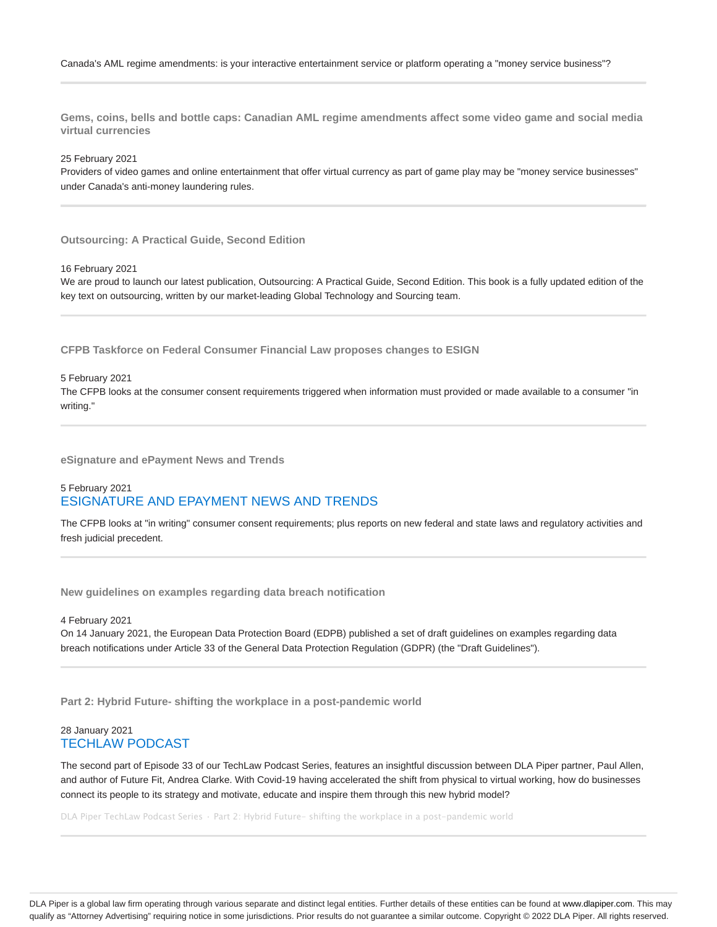**Gems, coins, bells and bottle caps: Canadian AML regime amendments affect some video game and social media virtual currencies**

25 February 2021

Providers of video games and online entertainment that offer virtual currency as part of game play may be "money service businesses" under Canada's anti-money laundering rules.

**Outsourcing: A Practical Guide, Second Edition**

16 February 2021

We are proud to launch our latest publication, Outsourcing: A Practical Guide, Second Edition. This book is a fully updated edition of the key text on outsourcing, written by our market-leading Global Technology and Sourcing team.

**CFPB Taskforce on Federal Consumer Financial Law proposes changes to ESIGN**

#### 5 February 2021

The CFPB looks at the consumer consent requirements triggered when information must provided or made available to a consumer "in writing."

**eSignature and ePayment News and Trends**

### 5 February 2021 ESIGNATURE AND EPAYMENT NEWS AND TRENDS

The CFPB looks at "in writing" consumer consent requirements; plus reports on new federal and state laws and regulatory activities and fresh judicial precedent.

**New guidelines on examples regarding data breach notification**

4 February 2021

On 14 January 2021, the European Data Protection Board (EDPB) published a set of draft guidelines on examples regarding data breach notifications under Article 33 of the General Data Protection Regulation (GDPR) (the "Draft Guidelines").

**Part 2: Hybrid Future- shifting the workplace in a post-pandemic world**

#### 28 January 2021 TECHLAW PODCAST

The second part of Episode 33 of our TechLaw Podcast Series, features an insightful discussion between DLA Piper partner, Paul Allen, and author of Future Fit, Andrea Clarke. With Covid-19 having accelerated the shift from physical to virtual working, how do businesses connect its people to its strategy and motivate, educate and inspire them through this new hybrid model?

DLA Piper TechLaw Podcast Series · Part 2: Hybrid Future- shifting the workplace in a post-pandemic world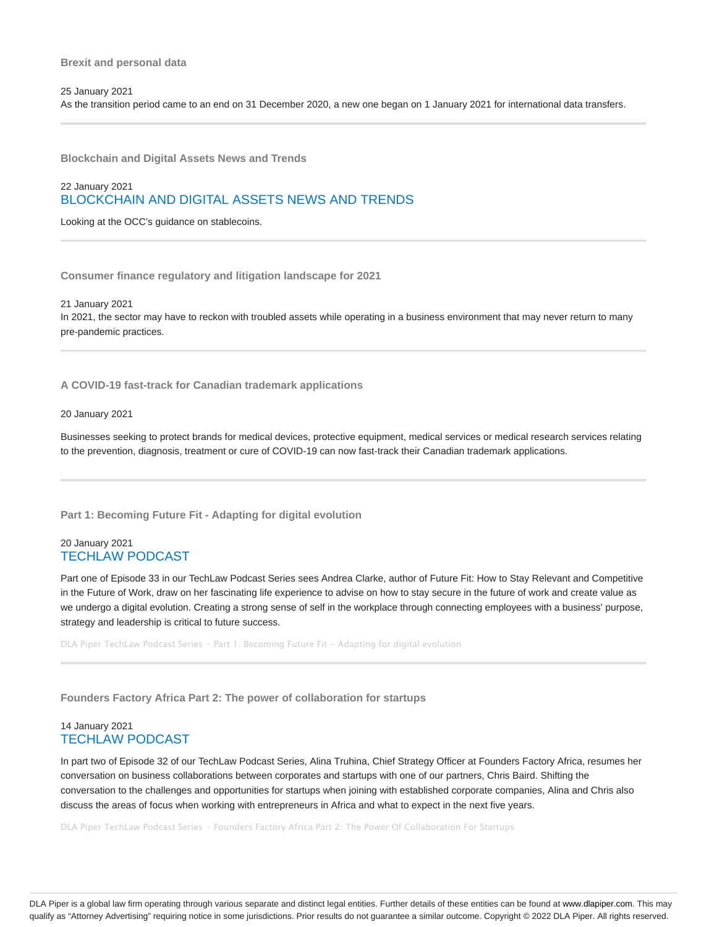**Blockchain and Digital Assets News and Trends**

# 22 January 2021 BLOCKCHAIN AND DIGITAL ASSETS NEWS AND TRENDS

Looking at the OCC's guidance on stablecoins.

**Consumer finance regulatory and litigation landscape for 2021**

21 January 2021

In 2021, the sector may have to reckon with troubled assets while operating in a business environment that may never return to many pre-pandemic practices.

**A COVID-19 fast-track for Canadian trademark applications**

20 January 2021

Businesses seeking to protect brands for medical devices, protective equipment, medical services or medical research services relating to the prevention, diagnosis, treatment or cure of COVID-19 can now fast-track their Canadian trademark applications.

**Part 1: Becoming Future Fit - Adapting for digital evolution**

#### 20 January 2021 TECHLAW PODCAST

Part one of Episode 33 in our TechLaw Podcast Series sees Andrea Clarke, author of Future Fit: How to Stay Relevant and Competitive in the Future of Work, draw on her fascinating life experience to advise on how to stay secure in the future of work and create value as we undergo a digital evolution. Creating a strong sense of self in the workplace through connecting employees with a business' purpose, strategy and leadership is critical to future success.

DLA Piper TechLaw Podcast Series · Part 1: Becoming Future Fit - Adapting for digital evolution

**Founders Factory Africa Part 2: The power of collaboration for startups**

### 14 January 2021 TECHLAW PODCAST

In part two of Episode 32 of our TechLaw Podcast Series, Alina Truhina, Chief Strategy Officer at Founders Factory Africa, resumes her conversation on business collaborations between corporates and startups with one of our partners, Chris Baird. Shifting the conversation to the challenges and opportunities for startups when joining with established corporate companies, Alina and Chris also discuss the areas of focus when working with entrepreneurs in Africa and what to expect in the next five years.

DLA Piper TechLaw Podcast Series · Founders Factory Africa Part 2: The Power Of Collaboration For Startups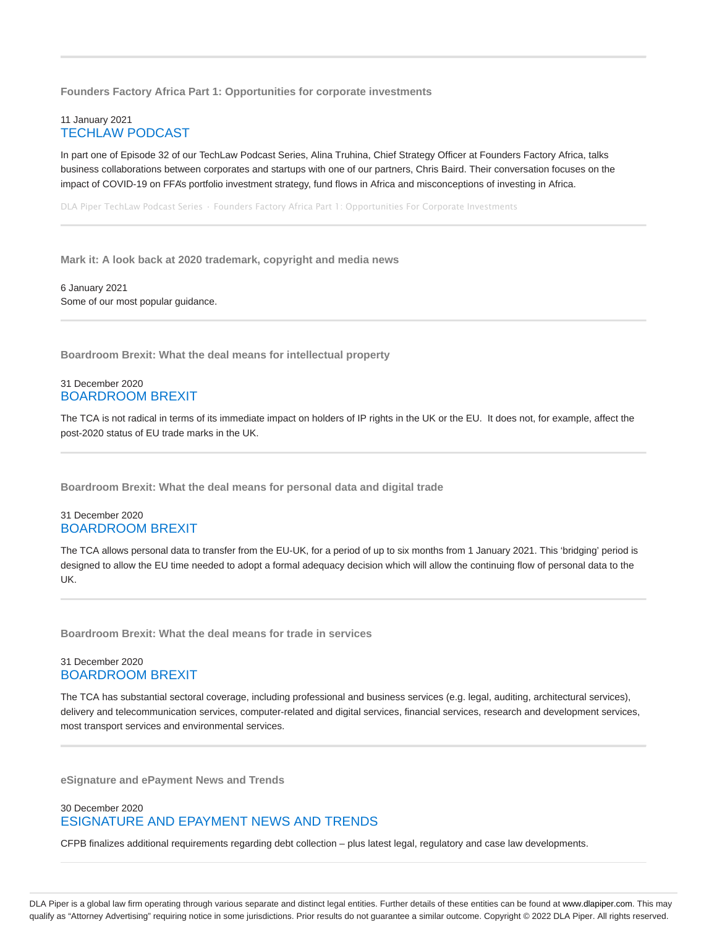**Founders Factory Africa Part 1: Opportunities for corporate investments**

### 11 January 2021 TECHLAW PODCAST

In part one of Episode 32 of our TechLaw Podcast Series, Alina Truhina, Chief Strategy Officer at Founders Factory Africa, talks business collaborations between corporates and startups with one of our partners, Chris Baird. Their conversation focuses on the impact of COVID-19 on FFA's portfolio investment strategy, fund flows in Africa and misconceptions of investing in Africa.

DLA Piper TechLaw Podcast Series · Founders Factory Africa Part 1: Opportunities For Corporate Investments

**Mark it: A look back at 2020 trademark, copyright and media news**

6 January 2021 Some of our most popular guidance.

**Boardroom Brexit: What the deal means for intellectual property**

### 31 December 2020 BOARDROOM BREXIT

The TCA is not radical in terms of its immediate impact on holders of IP rights in the UK or the EU. It does not, for example, affect the post-2020 status of EU trade marks in the UK.

**Boardroom Brexit: What the deal means for personal data and digital trade**

### 31 December 2020 BOARDROOM BREXIT

The TCA allows personal data to transfer from the EU-UK, for a period of up to six months from 1 January 2021. This 'bridging' period is designed to allow the EU time needed to adopt a formal adequacy decision which will allow the continuing flow of personal data to the UK.

**Boardroom Brexit: What the deal means for trade in services**

### 31 December 2020 BOARDROOM BREXIT

The TCA has substantial sectoral coverage, including professional and business services (e.g. legal, auditing, architectural services), delivery and telecommunication services, computer-related and digital services, financial services, research and development services, most transport services and environmental services.

**eSignature and ePayment News and Trends**

### 30 December 2020 ESIGNATURE AND EPAYMENT NEWS AND TRENDS

CFPB finalizes additional requirements regarding debt collection – plus latest legal, regulatory and case law developments.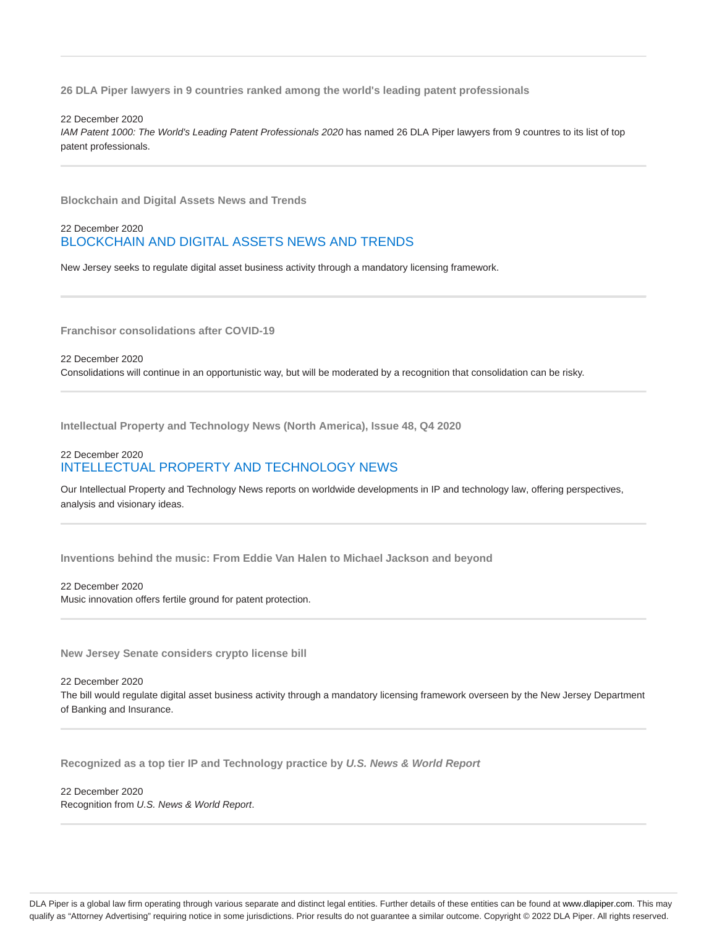**26 DLA Piper lawyers in 9 countries ranked among the world's leading patent professionals**

#### 22 December 2020

IAM Patent 1000: The World's Leading Patent Professionals 2020 has named 26 DLA Piper lawyers from 9 countres to its list of top patent professionals.

**Blockchain and Digital Assets News and Trends**

### 22 December 2020 BLOCKCHAIN AND DIGITAL ASSETS NEWS AND TRENDS

New Jersey seeks to regulate digital asset business activity through a mandatory licensing framework.

**Franchisor consolidations after COVID-19**

22 December 2020 Consolidations will continue in an opportunistic way, but will be moderated by a recognition that consolidation can be risky.

**Intellectual Property and Technology News (North America), Issue 48, Q4 2020**

# 22 December 2020 INTELLECTUAL PROPERTY AND TECHNOLOGY NEWS

Our Intellectual Property and Technology News reports on worldwide developments in IP and technology law, offering perspectives, analysis and visionary ideas.

**Inventions behind the music: From Eddie Van Halen to Michael Jackson and beyond**

#### 22 December 2020

Music innovation offers fertile ground for patent protection.

**New Jersey Senate considers crypto license bill**

#### 22 December 2020

The bill would regulate digital asset business activity through a mandatory licensing framework overseen by the New Jersey Department of Banking and Insurance.

**Recognized as a top tier IP and Technology practice by U.S. News & World Report**

22 December 2020 Recognition from U.S. News & World Report.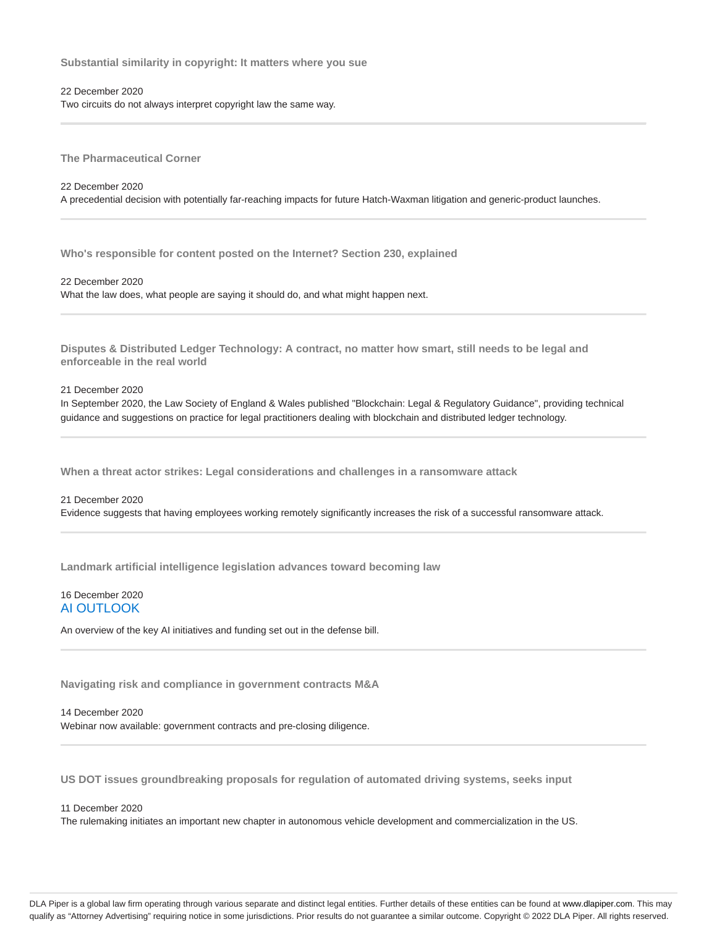**Substantial similarity in copyright: It matters where you sue**

22 December 2020 Two circuits do not always interpret copyright law the same way.

**The Pharmaceutical Corner**

22 December 2020 A precedential decision with potentially far-reaching impacts for future Hatch-Waxman litigation and generic-product launches.

**Who's responsible for content posted on the Internet? Section 230, explained**

22 December 2020 What the law does, what people are saying it should do, and what might happen next.

**Disputes & Distributed Ledger Technology: A contract, no matter how smart, still needs to be legal and enforceable in the real world**

21 December 2020

In September 2020, the Law Society of England & Wales published "Blockchain: Legal & Regulatory Guidance", providing technical guidance and suggestions on practice for legal practitioners dealing with blockchain and distributed ledger technology.

**When a threat actor strikes: Legal considerations and challenges in a ransomware attack**

21 December 2020 Evidence suggests that having employees working remotely significantly increases the risk of a successful ransomware attack.

**Landmark artificial intelligence legislation advances toward becoming law**

### 16 December 2020 AI OUTLOOK

An overview of the key AI initiatives and funding set out in the defense bill.

**Navigating risk and compliance in government contracts M&A**

14 December 2020 Webinar now available: government contracts and pre-closing diligence.

**US DOT issues groundbreaking proposals for regulation of automated driving systems, seeks input**

11 December 2020

The rulemaking initiates an important new chapter in autonomous vehicle development and commercialization in the US.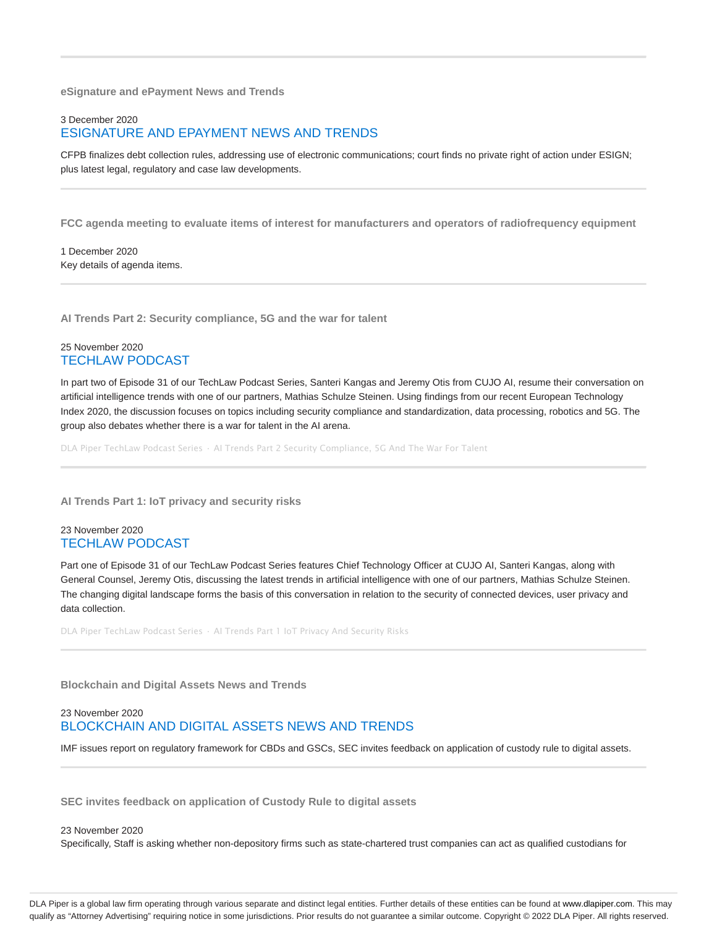**eSignature and ePayment News and Trends**

### 3 December 2020 ESIGNATURE AND EPAYMENT NEWS AND TRENDS

CFPB finalizes debt collection rules, addressing use of electronic communications; court finds no private right of action under ESIGN; plus latest legal, regulatory and case law developments.

**FCC agenda meeting to evaluate items of interest for manufacturers and operators of radiofrequency equipment**

1 December 2020 Key details of agenda items.

**AI Trends Part 2: Security compliance, 5G and the war for talent**

### 25 November 2020 TECHLAW PODCAST

In part two of Episode 31 of our TechLaw Podcast Series, Santeri Kangas and Jeremy Otis from CUJO AI, resume their conversation on artificial intelligence trends with one of our partners, Mathias Schulze Steinen. Using findings from our recent European Technology Index 2020, the discussion focuses on topics including security compliance and standardization, data processing, robotics and 5G. The group also debates whether there is a war for talent in the AI arena.

DLA Piper TechLaw Podcast Series · AI Trends Part 2 Security Compliance, 5G And The War For Talent

**AI Trends Part 1: IoT privacy and security risks**

### 23 November 2020 TECHLAW PODCAST

Part one of Episode 31 of our TechLaw Podcast Series features Chief Technology Officer at CUJO AI, Santeri Kangas, along with General Counsel, Jeremy Otis, discussing the latest trends in artificial intelligence with one of our partners, Mathias Schulze Steinen. The changing digital landscape forms the basis of this conversation in relation to the security of connected devices, user privacy and data collection.

DLA Piper TechLaw Podcast Series · AI Trends Part 1 IoT Privacy And Security Risks

**Blockchain and Digital Assets News and Trends**

# 23 November 2020 BLOCKCHAIN AND DIGITAL ASSETS NEWS AND TRENDS

IMF issues report on regulatory framework for CBDs and GSCs, SEC invites feedback on application of custody rule to digital assets.

**SEC invites feedback on application of Custody Rule to digital assets**

#### 23 November 2020

Specifically, Staff is asking whether non-depository firms such as state-chartered trust companies can act as qualified custodians for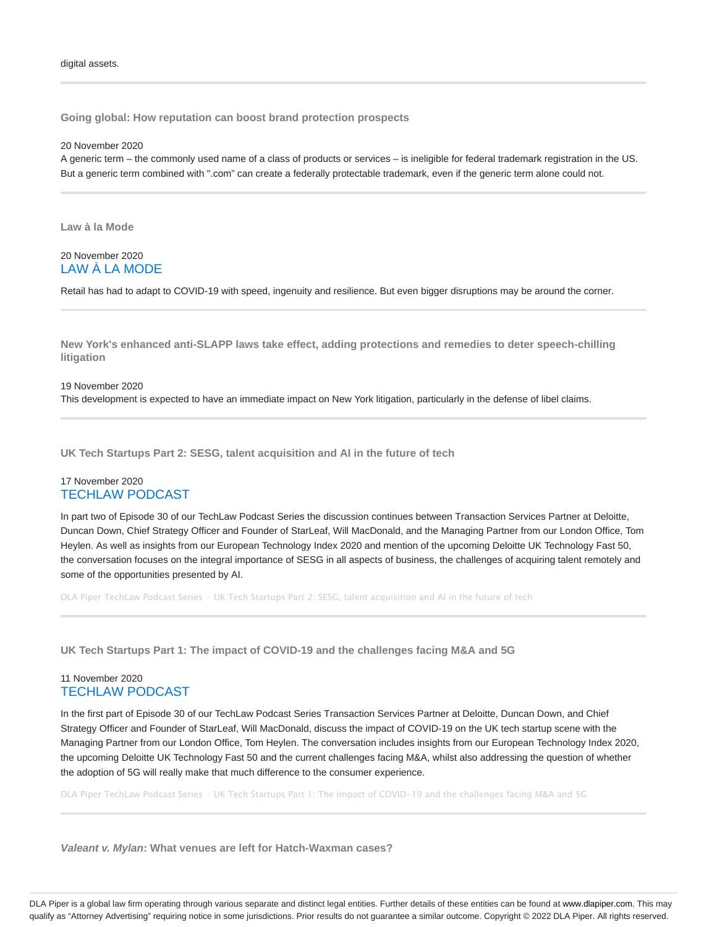**Going global: How reputation can boost brand protection prospects**

20 November 2020

A generic term – the commonly used name of a class of products or services – is ineligible for federal trademark registration in the US. But a generic term combined with ".com" can create a federally protectable trademark, even if the generic term alone could not.

**Law à la Mode**

### 20 November 2020 LAW À LA MODE

Retail has had to adapt to COVID-19 with speed, ingenuity and resilience. But even bigger disruptions may be around the corner.

**New York's enhanced anti-SLAPP laws take effect, adding protections and remedies to deter speech-chilling litigation**

#### 19 November 2020

This development is expected to have an immediate impact on New York litigation, particularly in the defense of libel claims.

**UK Tech Startups Part 2: SESG, talent acquisition and AI in the future of tech**

#### 17 November 2020 TECHLAW PODCAST

In part two of Episode 30 of our TechLaw Podcast Series the discussion continues between Transaction Services Partner at Deloitte, Duncan Down, Chief Strategy Officer and Founder of StarLeaf, Will MacDonald, and the Managing Partner from our London Office, Tom Heylen. As well as insights from our European Technology Index 2020 and mention of the upcoming Deloitte UK Technology Fast 50, the conversation focuses on the integral importance of SESG in all aspects of business, the challenges of acquiring talent remotely and some of the opportunities presented by AI.

DLA Piper TechLaw Podcast Series · UK Tech Startups Part 2: SESG, talent acquisition and AI in the future of tech

**UK Tech Startups Part 1: The impact of COVID-19 and the challenges facing M&A and 5G**

### 11 November 2020 TECHLAW PODCAST

In the first part of Episode 30 of our TechLaw Podcast Series Transaction Services Partner at Deloitte, Duncan Down, and Chief Strategy Officer and Founder of StarLeaf, Will MacDonald, discuss the impact of COVID-19 on the UK tech startup scene with the Managing Partner from our London Office, Tom Heylen. The conversation includes insights from our European Technology Index 2020, the upcoming Deloitte UK Technology Fast 50 and the current challenges facing M&A, whilst also addressing the question of whether the adoption of 5G will really make that much difference to the consumer experience.

DLA Piper TechLaw Podcast Series · UK Tech Startups Part 1: The impact of COVID-19 and the challenges facing M&A and 5G

**Valeant v. Mylan: What venues are left for Hatch-Waxman cases?**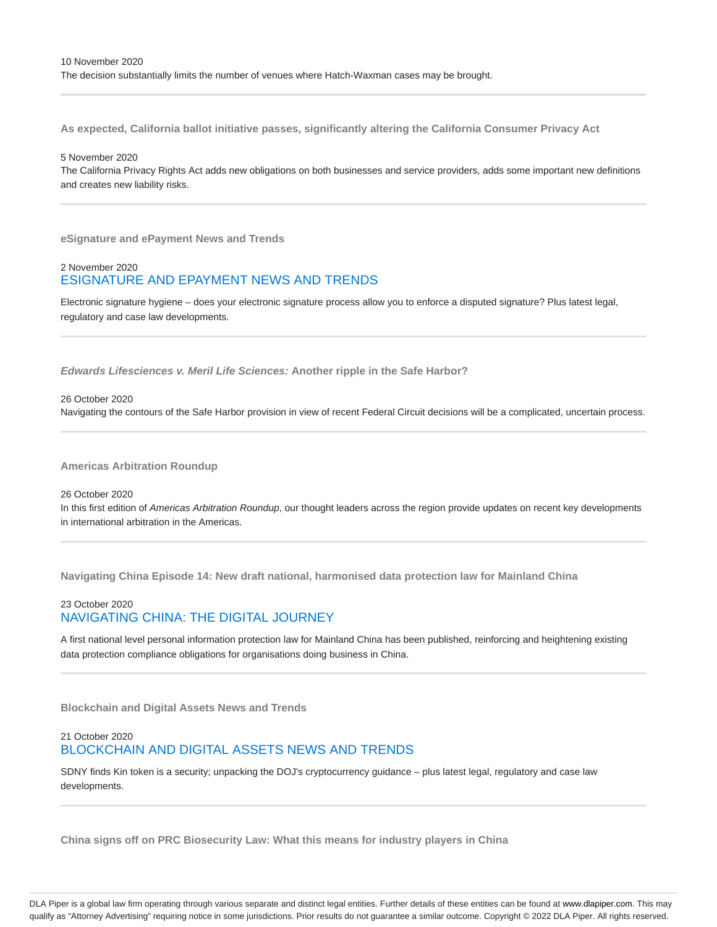**As expected, California ballot initiative passes, significantly altering the California Consumer Privacy Act**

#### 5 November 2020

The California Privacy Rights Act adds new obligations on both businesses and service providers, adds some important new definitions and creates new liability risks.

**eSignature and ePayment News and Trends**

## 2 November 2020 ESIGNATURE AND EPAYMENT NEWS AND TRENDS

Electronic signature hygiene – does your electronic signature process allow you to enforce a disputed signature? Plus latest legal, regulatory and case law developments.

**Edwards Lifesciences v. Meril Life Sciences: Another ripple in the Safe Harbor?**

#### 26 October 2020

Navigating the contours of the Safe Harbor provision in view of recent Federal Circuit decisions will be a complicated, uncertain process.

**Americas Arbitration Roundup**

26 October 2020 In this first edition of Americas Arbitration Roundup, our thought leaders across the region provide updates on recent key developments in international arbitration in the Americas.

**Navigating China Episode 14: New draft national, harmonised data protection law for Mainland China**

# 23 October 2020 NAVIGATING CHINA: THE DIGITAL JOURNEY

A first national level personal information protection law for Mainland China has been published, reinforcing and heightening existing data protection compliance obligations for organisations doing business in China.

**Blockchain and Digital Assets News and Trends**

# 21 October 2020 BLOCKCHAIN AND DIGITAL ASSETS NEWS AND TRENDS

SDNY finds Kin token is a security; unpacking the DOJ's cryptocurrency guidance – plus latest legal, regulatory and case law developments.

**China signs off on PRC Biosecurity Law: What this means for industry players in China**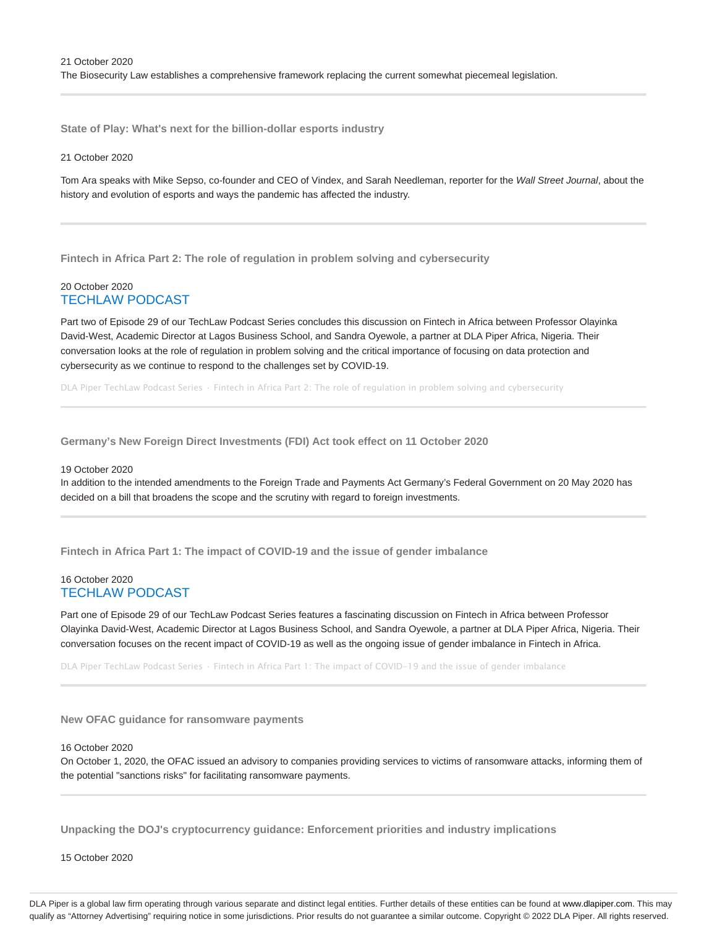**State of Play: What's next for the billion-dollar esports industry**

#### 21 October 2020

Tom Ara speaks with Mike Sepso, co-founder and CEO of Vindex, and Sarah Needleman, reporter for the Wall Street Journal, about the history and evolution of esports and ways the pandemic has affected the industry.

**Fintech in Africa Part 2: The role of regulation in problem solving and cybersecurity**

### 20 October 2020 TECHLAW PODCAST

Part two of Episode 29 of our TechLaw Podcast Series concludes this discussion on Fintech in Africa between Professor Olayinka David-West, Academic Director at Lagos Business School, and Sandra Oyewole, a partner at DLA Piper Africa, Nigeria. Their conversation looks at the role of regulation in problem solving and the critical importance of focusing on data protection and cybersecurity as we continue to respond to the challenges set by COVID-19.

DLA Piper TechLaw Podcast Series · Fintech in Africa Part 2: The role of regulation in problem solving and cybersecurity

**Germany's New Foreign Direct Investments (FDI) Act took effect on 11 October 2020**

#### 19 October 2020

In addition to the intended amendments to the Foreign Trade and Payments Act Germany's Federal Government on 20 May 2020 has decided on a bill that broadens the scope and the scrutiny with regard to foreign investments.

**Fintech in Africa Part 1: The impact of COVID-19 and the issue of gender imbalance**

### 16 October 2020 TECHLAW PODCAST

Part one of Episode 29 of our TechLaw Podcast Series features a fascinating discussion on Fintech in Africa between Professor Olayinka David-West, Academic Director at Lagos Business School, and Sandra Oyewole, a partner at DLA Piper Africa, Nigeria. Their conversation focuses on the recent impact of COVID-19 as well as the ongoing issue of gender imbalance in Fintech in Africa.

DLA Piper TechLaw Podcast Series · Fintech in Africa Part 1: The impact of COVID-19 and the issue of gender imbalance

**New OFAC guidance for ransomware payments**

16 October 2020

On October 1, 2020, the OFAC issued an advisory to companies providing services to victims of ransomware attacks, informing them of the potential "sanctions risks" for facilitating ransomware payments.

**Unpacking the DOJ's cryptocurrency guidance: Enforcement priorities and industry implications**

15 October 2020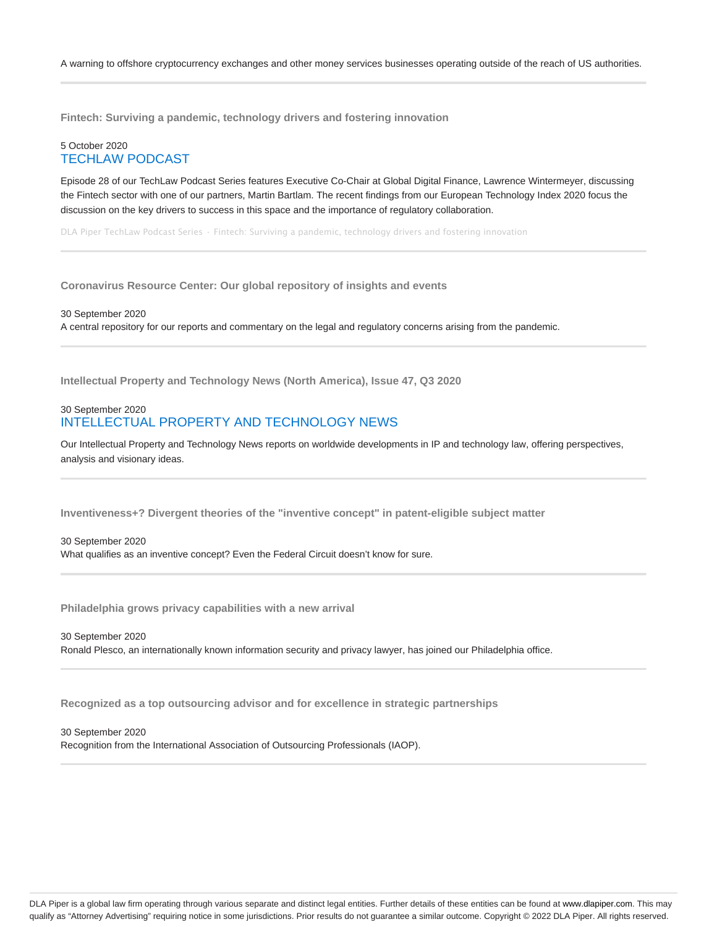**Fintech: Surviving a pandemic, technology drivers and fostering innovation**

### 5 October 2020 TECHLAW PODCAST

Episode 28 of our TechLaw Podcast Series features Executive Co-Chair at Global Digital Finance, Lawrence Wintermeyer, discussing the Fintech sector with one of our partners, Martin Bartlam. The recent findings from our European Technology Index 2020 focus the discussion on the key drivers to success in this space and the importance of regulatory collaboration.

DLA Piper TechLaw Podcast Series · Fintech: Surviving a pandemic, technology drivers and fostering innovation

**Coronavirus Resource Center: Our global repository of insights and events**

30 September 2020 A central repository for our reports and commentary on the legal and regulatory concerns arising from the pandemic.

**Intellectual Property and Technology News (North America), Issue 47, Q3 2020**

## 30 September 2020 INTELLECTUAL PROPERTY AND TECHNOLOGY NEWS

Our Intellectual Property and Technology News reports on worldwide developments in IP and technology law, offering perspectives, analysis and visionary ideas.

**Inventiveness+? Divergent theories of the "inventive concept" in patent-eligible subject matter**

#### 30 September 2020

What qualifies as an inventive concept? Even the Federal Circuit doesn't know for sure.

**Philadelphia grows privacy capabilities with a new arrival**

#### 30 September 2020

Ronald Plesco, an internationally known information security and privacy lawyer, has joined our Philadelphia office.

**Recognized as a top outsourcing advisor and for excellence in strategic partnerships**

30 September 2020 Recognition from the International Association of Outsourcing Professionals (IAOP).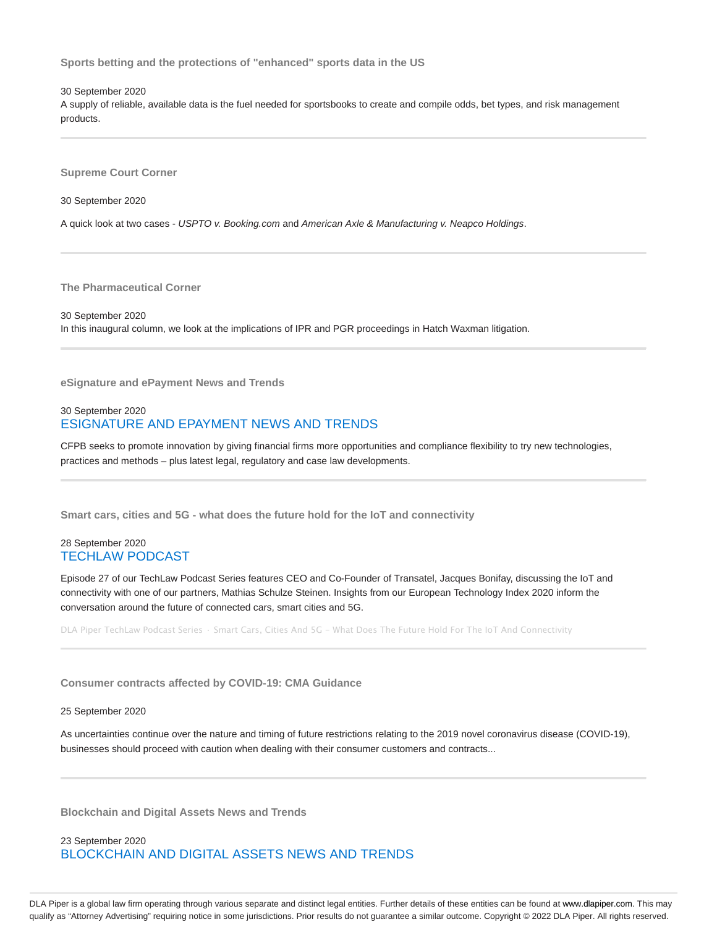**Sports betting and the protections of "enhanced" sports data in the US**

30 September 2020

A supply of reliable, available data is the fuel needed for sportsbooks to create and compile odds, bet types, and risk management products.

**Supreme Court Corner**

30 September 2020

A quick look at two cases - USPTO v. Booking.com and American Axle & Manufacturing v. Neapco Holdings.

**The Pharmaceutical Corner**

30 September 2020 In this inaugural column, we look at the implications of IPR and PGR proceedings in Hatch Waxman litigation.

**eSignature and ePayment News and Trends**

### 30 September 2020 ESIGNATURE AND EPAYMENT NEWS AND TRENDS

CFPB seeks to promote innovation by giving financial firms more opportunities and compliance flexibility to try new technologies, practices and methods – plus latest legal, regulatory and case law developments.

**Smart cars, cities and 5G - what does the future hold for the IoT and connectivity**

### 28 September 2020 TECHLAW PODCAST

Episode 27 of our TechLaw Podcast Series features CEO and Co-Founder of Transatel, Jacques Bonifay, discussing the IoT and connectivity with one of our partners, Mathias Schulze Steinen. Insights from our European Technology Index 2020 inform the conversation around the future of connected cars, smart cities and 5G.

DLA Piper TechLaw Podcast Series · Smart Cars, Cities And 5G - What Does The Future Hold For The IoT And Connectivity

**Consumer contracts affected by COVID-19: CMA Guidance**

#### 25 September 2020

As uncertainties continue over the nature and timing of future restrictions relating to the 2019 novel coronavirus disease (COVID-19), businesses should proceed with caution when dealing with their consumer customers and contracts...

**Blockchain and Digital Assets News and Trends**

23 September 2020 BLOCKCHAIN AND DIGITAL ASSETS NEWS AND TRENDS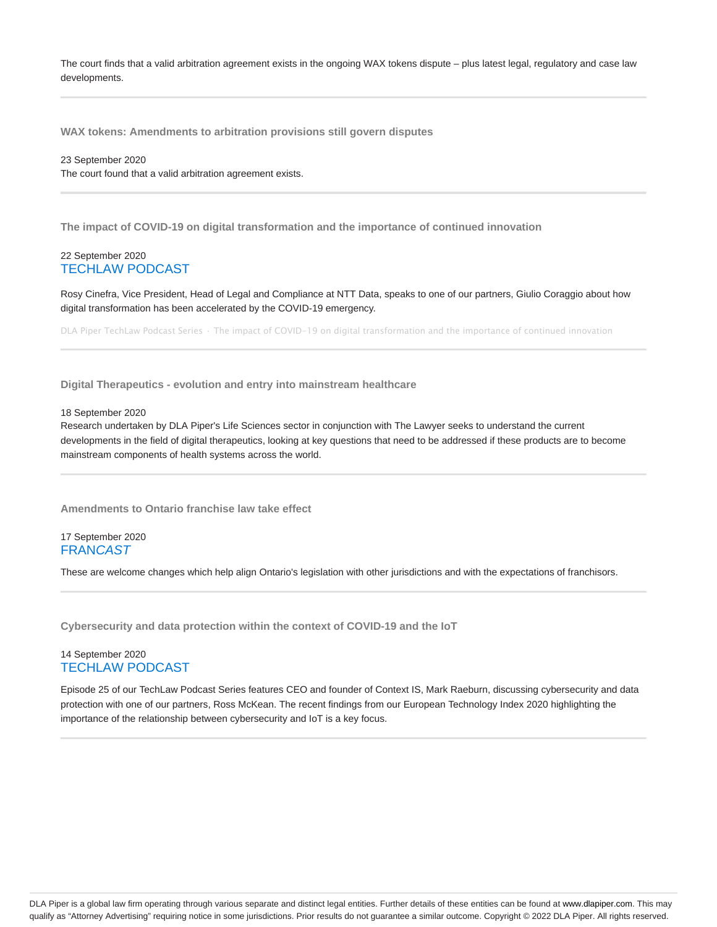The court finds that a valid arbitration agreement exists in the ongoing WAX tokens dispute – plus latest legal, regulatory and case law developments.

**WAX tokens: Amendments to arbitration provisions still govern disputes**

23 September 2020 The court found that a valid arbitration agreement exists.

**The impact of COVID-19 on digital transformation and the importance of continued innovation**

#### 22 September 2020 TECHLAW PODCAST

Rosy Cinefra, Vice President, Head of Legal and Compliance at NTT Data, speaks to one of our partners, Giulio Coraggio about how digital transformation has been accelerated by the COVID-19 emergency.

DLA Piper TechLaw Podcast Series · The impact of COVID-19 on digital transformation and the importance of continued innovation

**Digital Therapeutics - evolution and entry into mainstream healthcare**

#### 18 September 2020

Research undertaken by DLA Piper's Life Sciences sector in conjunction with The Lawyer seeks to understand the current developments in the field of digital therapeutics, looking at key questions that need to be addressed if these products are to become mainstream components of health systems across the world.

**Amendments to Ontario franchise law take effect**

17 September 2020 **FRANCAST** 

These are welcome changes which help align Ontario's legislation with other jurisdictions and with the expectations of franchisors.

**Cybersecurity and data protection within the context of COVID-19 and the IoT**

### 14 September 2020 TECHLAW PODCAST

Episode 25 of our TechLaw Podcast Series features CEO and founder of Context IS, Mark Raeburn, discussing cybersecurity and data protection with one of our partners, Ross McKean. The recent findings from our European Technology Index 2020 highlighting the importance of the relationship between cybersecurity and IoT is a key focus.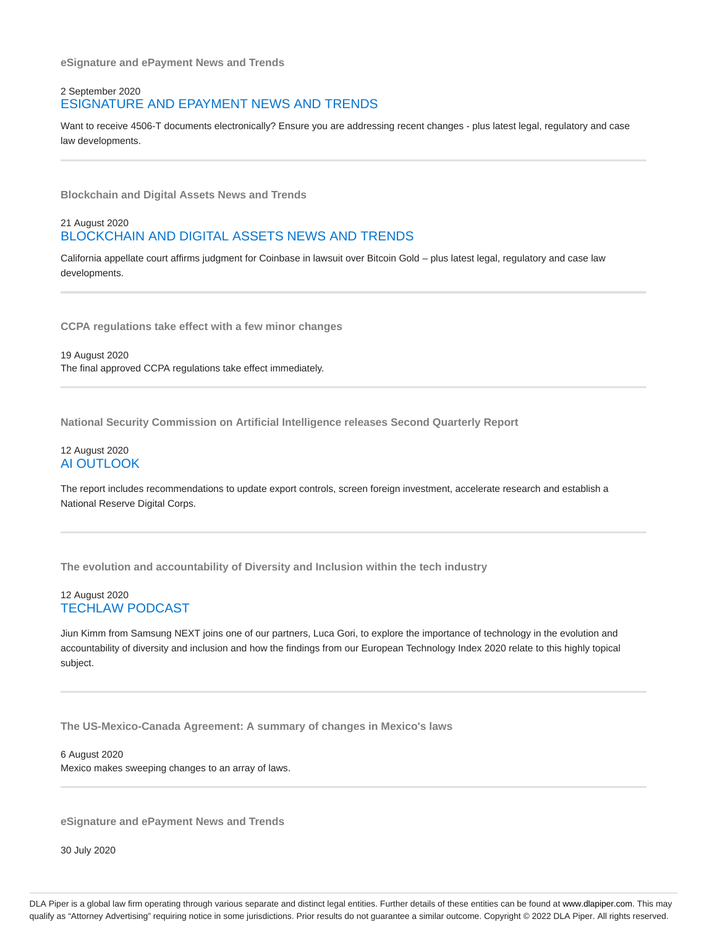**eSignature and ePayment News and Trends**

### 2 September 2020 ESIGNATURE AND EPAYMENT NEWS AND TRENDS

Want to receive 4506-T documents electronically? Ensure you are addressing recent changes - plus latest legal, regulatory and case law developments.

**Blockchain and Digital Assets News and Trends**

## 21 August 2020 BLOCKCHAIN AND DIGITAL ASSETS NEWS AND TRENDS

California appellate court affirms judgment for Coinbase in lawsuit over Bitcoin Gold – plus latest legal, regulatory and case law developments.

**CCPA regulations take effect with a few minor changes**

19 August 2020 The final approved CCPA regulations take effect immediately.

**National Security Commission on Artificial Intelligence releases Second Quarterly Report**

### 12 August 2020 AI OUTLOOK

The report includes recommendations to update export controls, screen foreign investment, accelerate research and establish a National Reserve Digital Corps.

**The evolution and accountability of Diversity and Inclusion within the tech industry**

### 12 August 2020 TECHLAW PODCAST

Jiun Kimm from Samsung NEXT joins one of our partners, Luca Gori, to explore the importance of technology in the evolution and accountability of diversity and inclusion and how the findings from our European Technology Index 2020 relate to this highly topical subject.

**The US-Mexico-Canada Agreement: A summary of changes in Mexico's laws**

6 August 2020 Mexico makes sweeping changes to an array of laws.

**eSignature and ePayment News and Trends**

30 July 2020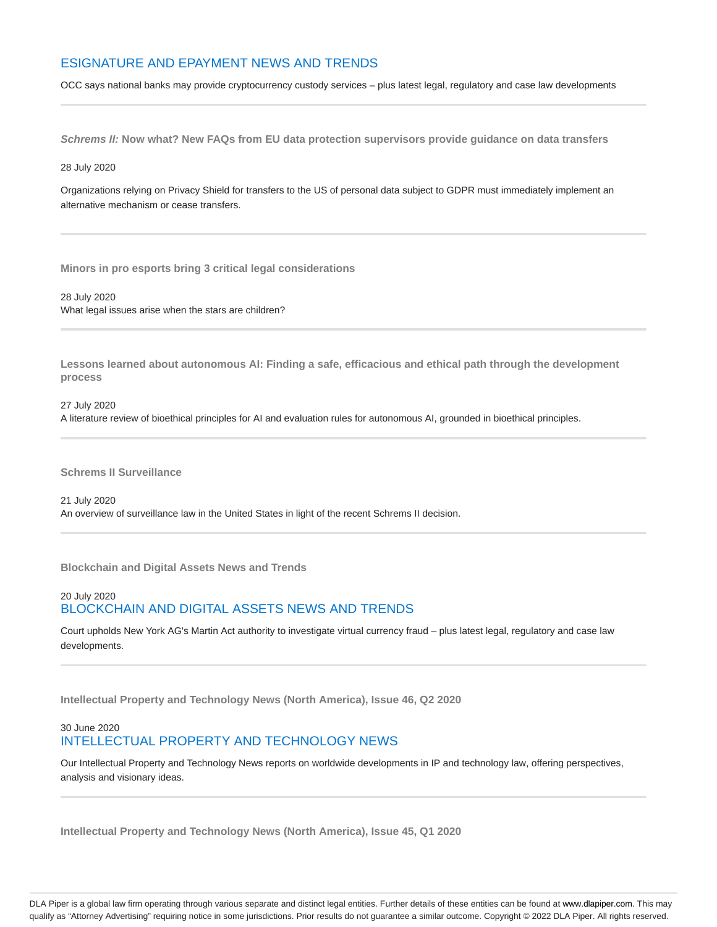# ESIGNATURE AND EPAYMENT NEWS AND TRENDS

OCC says national banks may provide cryptocurrency custody services – plus latest legal, regulatory and case law developments

**Schrems II: Now what? New FAQs from EU data protection supervisors provide guidance on data transfers**

28 July 2020

Organizations relying on Privacy Shield for transfers to the US of personal data subject to GDPR must immediately implement an alternative mechanism or cease transfers.

**Minors in pro esports bring 3 critical legal considerations**

28 July 2020 What legal issues arise when the stars are children?

**Lessons learned about autonomous AI: Finding a safe, efficacious and ethical path through the development process**

27 July 2020 A literature review of bioethical principles for AI and evaluation rules for autonomous AI, grounded in bioethical principles.

**Schrems II Surveillance**

21 July 2020 An overview of surveillance law in the United States in light of the recent Schrems II decision.

**Blockchain and Digital Assets News and Trends**

## 20 July 2020 BLOCKCHAIN AND DIGITAL ASSETS NEWS AND TRENDS

Court upholds New York AG's Martin Act authority to investigate virtual currency fraud – plus latest legal, regulatory and case law developments.

**Intellectual Property and Technology News (North America), Issue 46, Q2 2020**

# 30 June 2020 INTELLECTUAL PROPERTY AND TECHNOLOGY NEWS

Our Intellectual Property and Technology News reports on worldwide developments in IP and technology law, offering perspectives, analysis and visionary ideas.

**Intellectual Property and Technology News (North America), Issue 45, Q1 2020**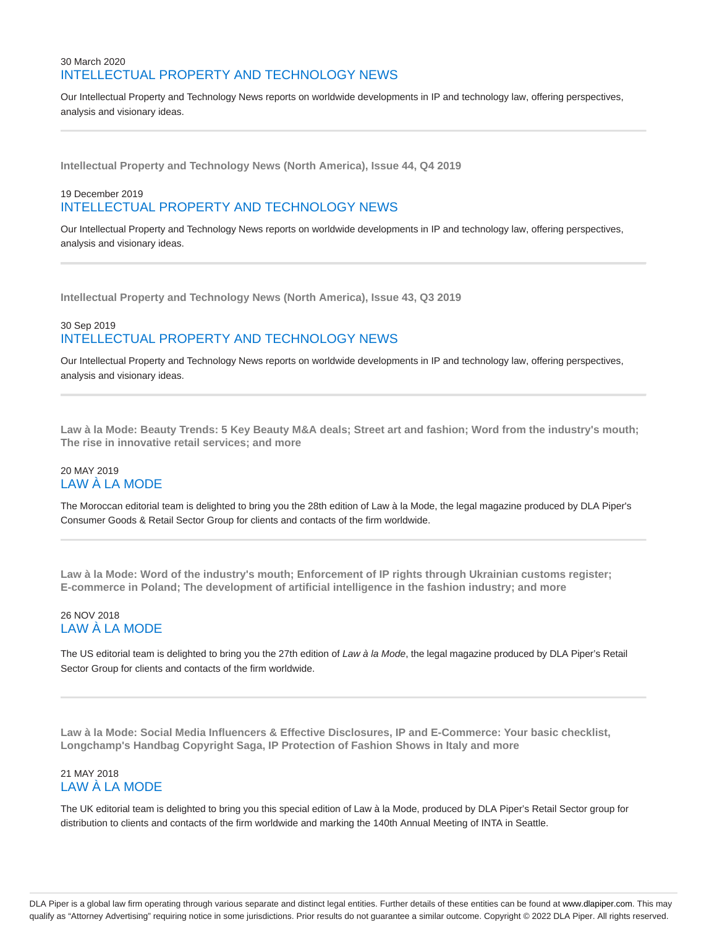# 30 March 2020 INTELLECTUAL PROPERTY AND TECHNOLOGY NEWS

Our Intellectual Property and Technology News reports on worldwide developments in IP and technology law, offering perspectives, analysis and visionary ideas.

**Intellectual Property and Technology News (North America), Issue 44, Q4 2019**

# 19 December 2019 INTELLECTUAL PROPERTY AND TECHNOLOGY NEWS

Our Intellectual Property and Technology News reports on worldwide developments in IP and technology law, offering perspectives, analysis and visionary ideas.

**Intellectual Property and Technology News (North America), Issue 43, Q3 2019**

# 30 Sep 2019 INTELLECTUAL PROPERTY AND TECHNOLOGY NEWS

Our Intellectual Property and Technology News reports on worldwide developments in IP and technology law, offering perspectives, analysis and visionary ideas.

**Law à la Mode: Beauty Trends: 5 Key Beauty M&A deals; Street art and fashion; Word from the industry's mouth; The rise in innovative retail services; and more**

# 20 MAY 2019 LAW À LA MODE

The Moroccan editorial team is delighted to bring you the 28th edition of Law à la Mode, the legal magazine produced by DLA Piper's Consumer Goods & Retail Sector Group for clients and contacts of the firm worldwide.

**Law à la Mode: Word of the industry's mouth; Enforcement of IP rights through Ukrainian customs register; E-commerce in Poland; The development of artificial intelligence in the fashion industry; and more**

## 26 NOV 2018 LAW À LA MODE

The US editorial team is delighted to bring you the 27th edition of Law à la Mode, the legal magazine produced by DLA Piper's Retail Sector Group for clients and contacts of the firm worldwide.

**Law à la Mode: Social Media Influencers & Effective Disclosures, IP and E-Commerce: Your basic checklist, Longchamp's Handbag Copyright Saga, IP Protection of Fashion Shows in Italy and more**

## 21 MAY 2018 LAW À LA MODE

The UK editorial team is delighted to bring you this special edition of Law à la Mode, produced by DLA Piper's Retail Sector group for distribution to clients and contacts of the firm worldwide and marking the 140th Annual Meeting of INTA in Seattle.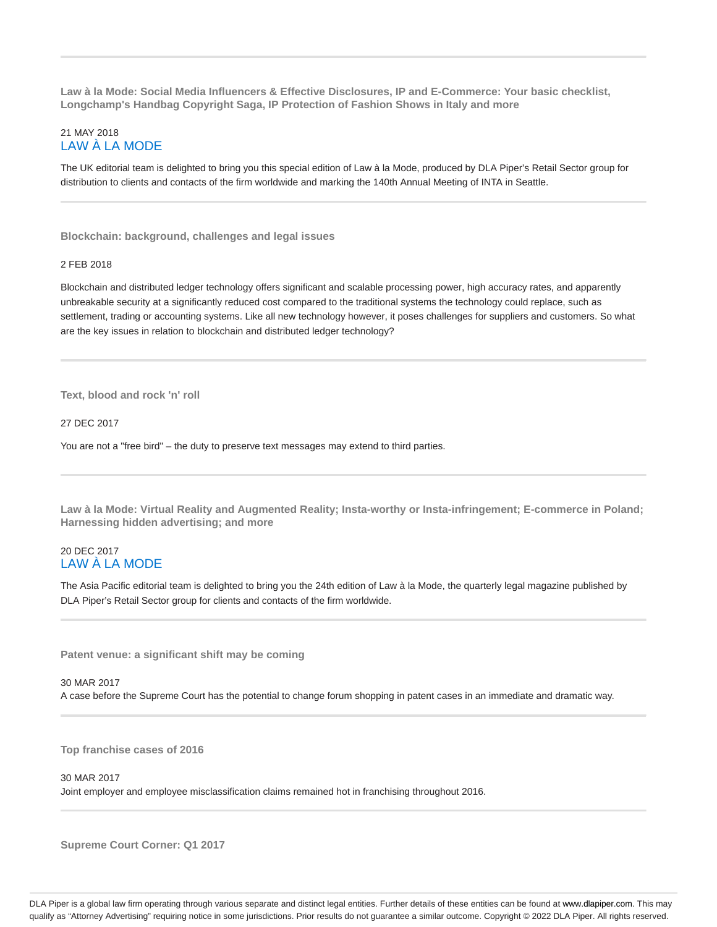**Law à la Mode: Social Media Influencers & Effective Disclosures, IP and E-Commerce: Your basic checklist, Longchamp's Handbag Copyright Saga, IP Protection of Fashion Shows in Italy and more**

### 21 MAY 2018 LAW À LA MODE

The UK editorial team is delighted to bring you this special edition of Law à la Mode, produced by DLA Piper's Retail Sector group for distribution to clients and contacts of the firm worldwide and marking the 140th Annual Meeting of INTA in Seattle.

**Blockchain: background, challenges and legal issues**

### 2 FEB 2018

Blockchain and distributed ledger technology offers significant and scalable processing power, high accuracy rates, and apparently unbreakable security at a significantly reduced cost compared to the traditional systems the technology could replace, such as settlement, trading or accounting systems. Like all new technology however, it poses challenges for suppliers and customers. So what are the key issues in relation to blockchain and distributed ledger technology?

**Text, blood and rock 'n' roll**

27 DEC 2017

You are not a "free bird" – the duty to preserve text messages may extend to third parties.

**Law à la Mode: Virtual Reality and Augmented Reality; Insta-worthy or Insta-infringement; E-commerce in Poland; Harnessing hidden advertising; and more**

## 20 DEC 2017 LAW À LA MODE

The Asia Pacific editorial team is delighted to bring you the 24th edition of Law à la Mode, the quarterly legal magazine published by DLA Piper's Retail Sector group for clients and contacts of the firm worldwide.

**Patent venue: a significant shift may be coming**

30 MAR 2017 A case before the Supreme Court has the potential to change forum shopping in patent cases in an immediate and dramatic way.

**Top franchise cases of 2016**

#### 30 MAR 2017

Joint employer and employee misclassification claims remained hot in franchising throughout 2016.

**Supreme Court Corner: Q1 2017**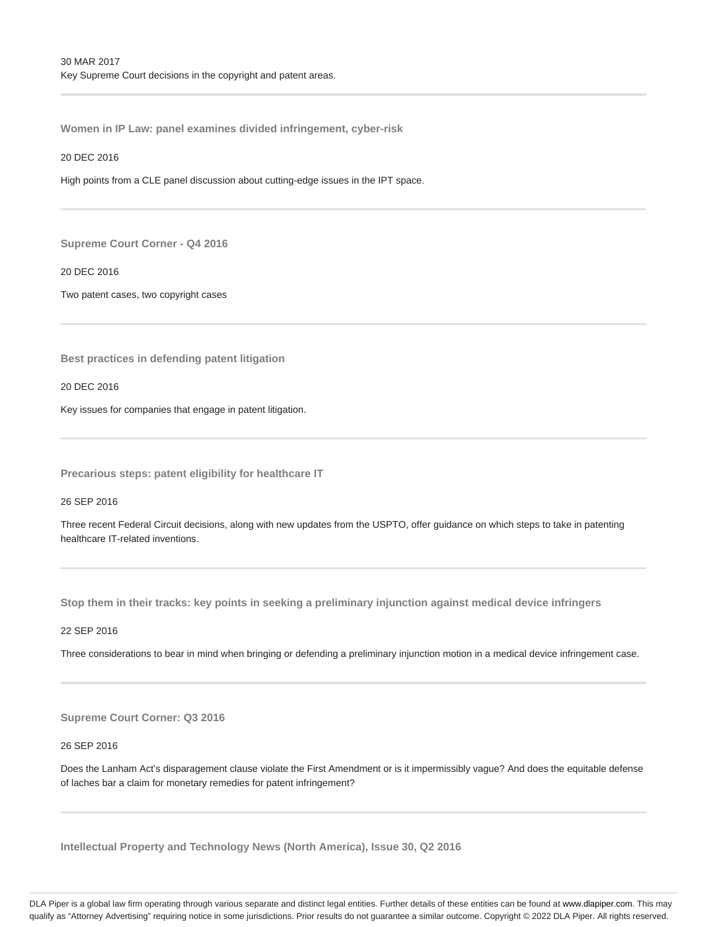**Women in IP Law: panel examines divided infringement, cyber-risk**

#### 20 DEC 2016

High points from a CLE panel discussion about cutting-edge issues in the IPT space.

**Supreme Court Corner - Q4 2016**

20 DEC 2016

Two patent cases, two copyright cases

**Best practices in defending patent litigation**

20 DEC 2016

Key issues for companies that engage in patent litigation.

**Precarious steps: patent eligibility for healthcare IT**

26 SEP 2016

Three recent Federal Circuit decisions, along with new updates from the USPTO, offer guidance on which steps to take in patenting healthcare IT-related inventions.

**Stop them in their tracks: key points in seeking a preliminary injunction against medical device infringers**

22 SEP 2016

Three considerations to bear in mind when bringing or defending a preliminary injunction motion in a medical device infringement case.

**Supreme Court Corner: Q3 2016**

26 SEP 2016

Does the Lanham Act's disparagement clause violate the First Amendment or is it impermissibly vague? And does the equitable defense of laches bar a claim for monetary remedies for patent infringement?

**Intellectual Property and Technology News (North America), Issue 30, Q2 2016**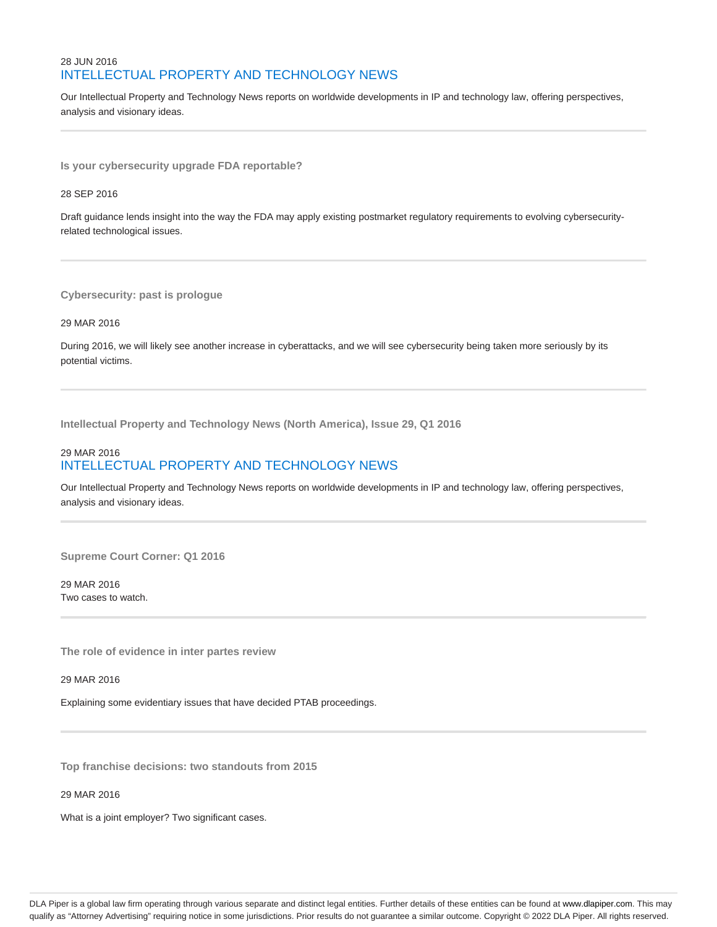# 28 JUN 2016 INTELLECTUAL PROPERTY AND TECHNOLOGY NEWS

Our Intellectual Property and Technology News reports on worldwide developments in IP and technology law, offering perspectives, analysis and visionary ideas.

**Is your cybersecurity upgrade FDA reportable?**

28 SEP 2016

Draft guidance lends insight into the way the FDA may apply existing postmarket regulatory requirements to evolving cybersecurityrelated technological issues.

**Cybersecurity: past is prologue**

29 MAR 2016

During 2016, we will likely see another increase in cyberattacks, and we will see cybersecurity being taken more seriously by its potential victims.

**Intellectual Property and Technology News (North America), Issue 29, Q1 2016**

# 29 MAR 2016 INTELLECTUAL PROPERTY AND TECHNOLOGY NEWS

Our Intellectual Property and Technology News reports on worldwide developments in IP and technology law, offering perspectives, analysis and visionary ideas.

**Supreme Court Corner: Q1 2016**

29 MAR 2016 Two cases to watch.

**The role of evidence in inter partes review**

29 MAR 2016

Explaining some evidentiary issues that have decided PTAB proceedings.

**Top franchise decisions: two standouts from 2015**

29 MAR 2016

What is a joint employer? Two significant cases.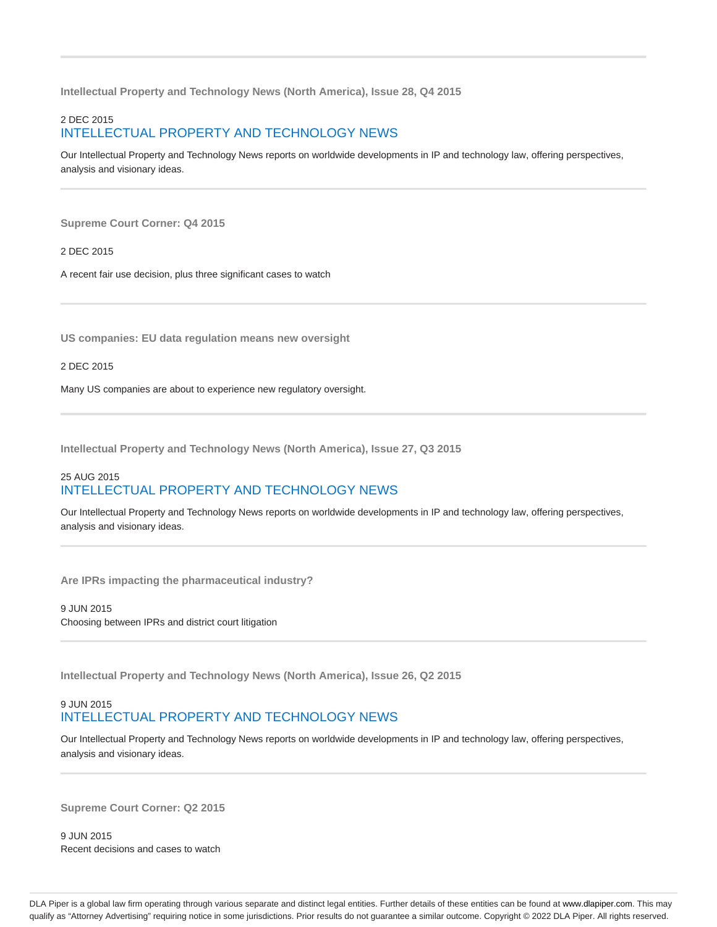**Intellectual Property and Technology News (North America), Issue 28, Q4 2015**

# 2 DEC 2015 INTELLECTUAL PROPERTY AND TECHNOLOGY NEWS

Our Intellectual Property and Technology News reports on worldwide developments in IP and technology law, offering perspectives, analysis and visionary ideas.

**Supreme Court Corner: Q4 2015**

2 DEC 2015

A recent fair use decision, plus three significant cases to watch

**US companies: EU data regulation means new oversight**

2 DEC 2015

Many US companies are about to experience new regulatory oversight.

**Intellectual Property and Technology News (North America), Issue 27, Q3 2015**

# 25 AUG 2015 INTELLECTUAL PROPERTY AND TECHNOLOGY NEWS

Our Intellectual Property and Technology News reports on worldwide developments in IP and technology law, offering perspectives, analysis and visionary ideas.

**Are IPRs impacting the pharmaceutical industry?**

9 JUN 2015 Choosing between IPRs and district court litigation

**Intellectual Property and Technology News (North America), Issue 26, Q2 2015**

### 9 JUN 2015 INTELLECTUAL PROPERTY AND TECHNOLOGY NEWS

Our Intellectual Property and Technology News reports on worldwide developments in IP and technology law, offering perspectives, analysis and visionary ideas.

**Supreme Court Corner: Q2 2015**

9 JUN 2015 Recent decisions and cases to watch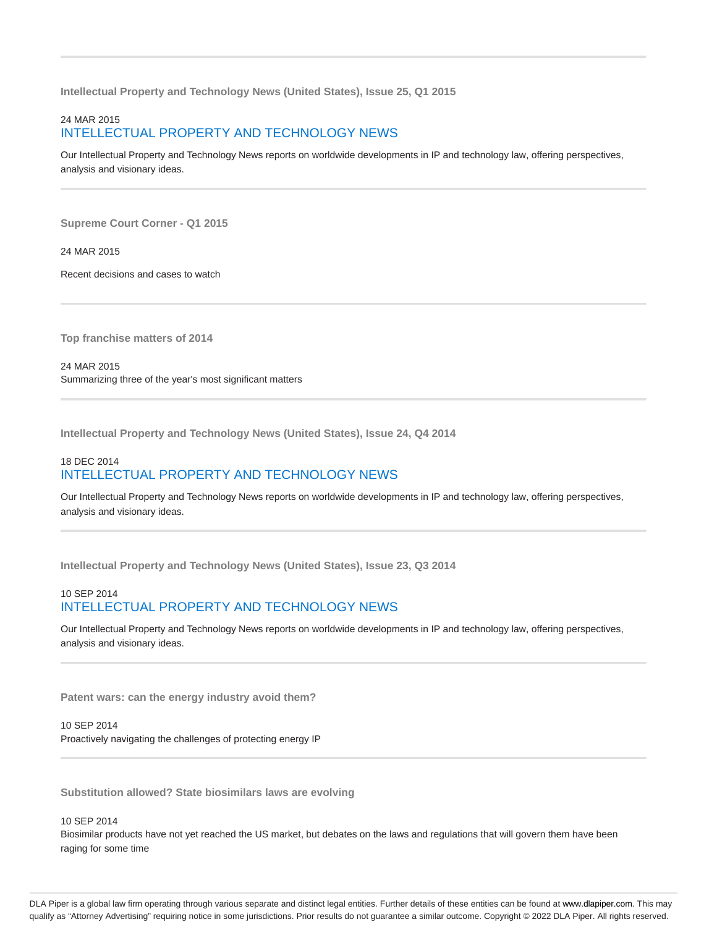**Intellectual Property and Technology News (United States), Issue 25, Q1 2015**

# 24 MAR 2015 INTELLECTUAL PROPERTY AND TECHNOLOGY NEWS

Our Intellectual Property and Technology News reports on worldwide developments in IP and technology law, offering perspectives, analysis and visionary ideas.

**Supreme Court Corner - Q1 2015**

24 MAR 2015

Recent decisions and cases to watch

**Top franchise matters of 2014**

24 MAR 2015 Summarizing three of the year's most significant matters

**Intellectual Property and Technology News (United States), Issue 24, Q4 2014**

# 18 DEC 2014 INTELLECTUAL PROPERTY AND TECHNOLOGY NEWS

Our Intellectual Property and Technology News reports on worldwide developments in IP and technology law, offering perspectives, analysis and visionary ideas.

**Intellectual Property and Technology News (United States), Issue 23, Q3 2014**

## 10 SEP 2014 INTELLECTUAL PROPERTY AND TECHNOLOGY NEWS

Our Intellectual Property and Technology News reports on worldwide developments in IP and technology law, offering perspectives, analysis and visionary ideas.

**Patent wars: can the energy industry avoid them?**

10 SEP 2014 Proactively navigating the challenges of protecting energy IP

**Substitution allowed? State biosimilars laws are evolving**

10 SEP 2014

Biosimilar products have not yet reached the US market, but debates on the laws and regulations that will govern them have been raging for some time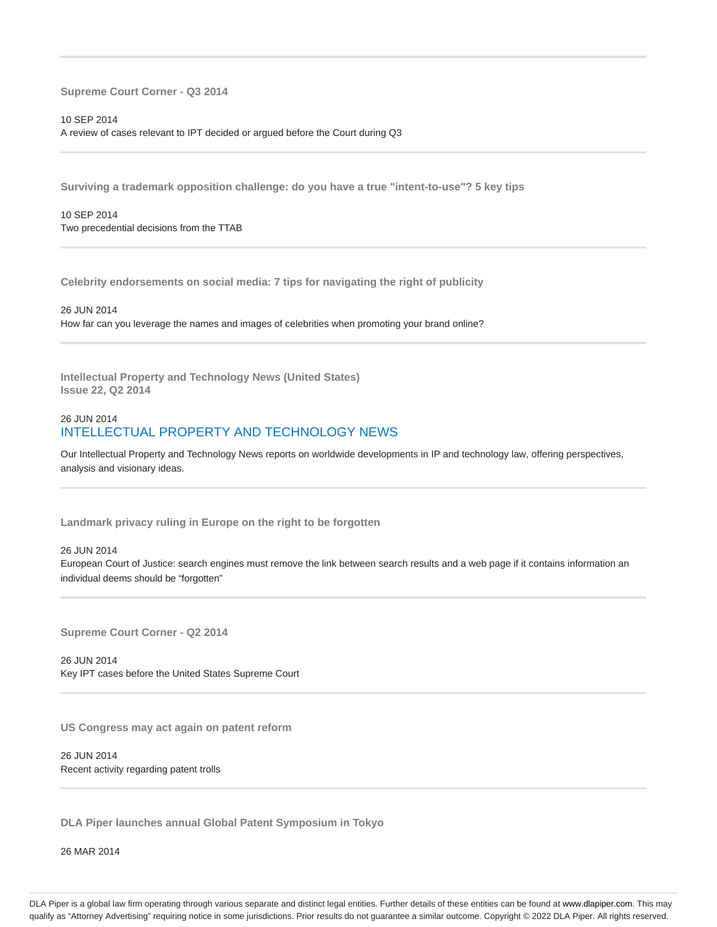**Supreme Court Corner - Q3 2014**

10 SEP 2014 A review of cases relevant to IPT decided or argued before the Court during Q3

**Surviving a trademark opposition challenge: do you have a true "intent-to-use"? 5 key tips**

10 SEP 2014 Two precedential decisions from the TTAB

**Celebrity endorsements on social media: 7 tips for navigating the right of publicity**

26 JUN 2014 How far can you leverage the names and images of celebrities when promoting your brand online?

**Intellectual Property and Technology News (United States) Issue 22, Q2 2014**

### 26 JUN 2014 INTELLECTUAL PROPERTY AND TECHNOLOGY NEWS

Our Intellectual Property and Technology News reports on worldwide developments in IP and technology law, offering perspectives, analysis and visionary ideas.

**Landmark privacy ruling in Europe on the right to be forgotten**

#### 26 JUN 2014

European Court of Justice: search engines must remove the link between search results and a web page if it contains information an individual deems should be "forgotten"

**Supreme Court Corner - Q2 2014**

26 JUN 2014 Key IPT cases before the United States Supreme Court

**US Congress may act again on patent reform**

26 JUN 2014 Recent activity regarding patent trolls

**DLA Piper launches annual Global Patent Symposium in Tokyo**

26 MAR 2014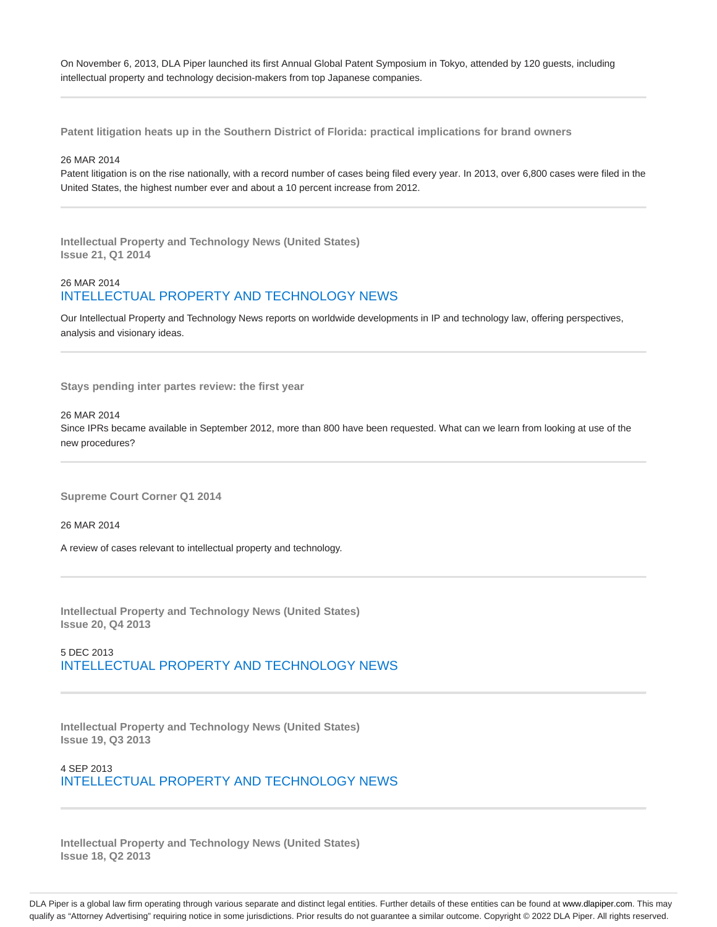On November 6, 2013, DLA Piper launched its first Annual Global Patent Symposium in Tokyo, attended by 120 guests, including intellectual property and technology decision-makers from top Japanese companies.

**Patent litigation heats up in the Southern District of Florida: practical implications for brand owners**

#### 26 MAR 2014

Patent litigation is on the rise nationally, with a record number of cases being filed every year. In 2013, over 6,800 cases were filed in the United States, the highest number ever and about a 10 percent increase from 2012.

**Intellectual Property and Technology News (United States) Issue 21, Q1 2014**

# 26 MAR 2014 INTELLECTUAL PROPERTY AND TECHNOLOGY NEWS

Our Intellectual Property and Technology News reports on worldwide developments in IP and technology law, offering perspectives, analysis and visionary ideas.

**Stays pending inter partes review: the first year**

### 26 MAR 2014

Since IPRs became available in September 2012, more than 800 have been requested. What can we learn from looking at use of the new procedures?

**Supreme Court Corner Q1 2014**

26 MAR 2014

A review of cases relevant to intellectual property and technology.

**Intellectual Property and Technology News (United States) Issue 20, Q4 2013**

5 DEC 2013 INTELLECTUAL PROPERTY AND TECHNOLOGY NEWS

**Intellectual Property and Technology News (United States) Issue 19, Q3 2013**

4 SEP 2013 INTELLECTUAL PROPERTY AND TECHNOLOGY NEWS

**Intellectual Property and Technology News (United States) Issue 18, Q2 2013**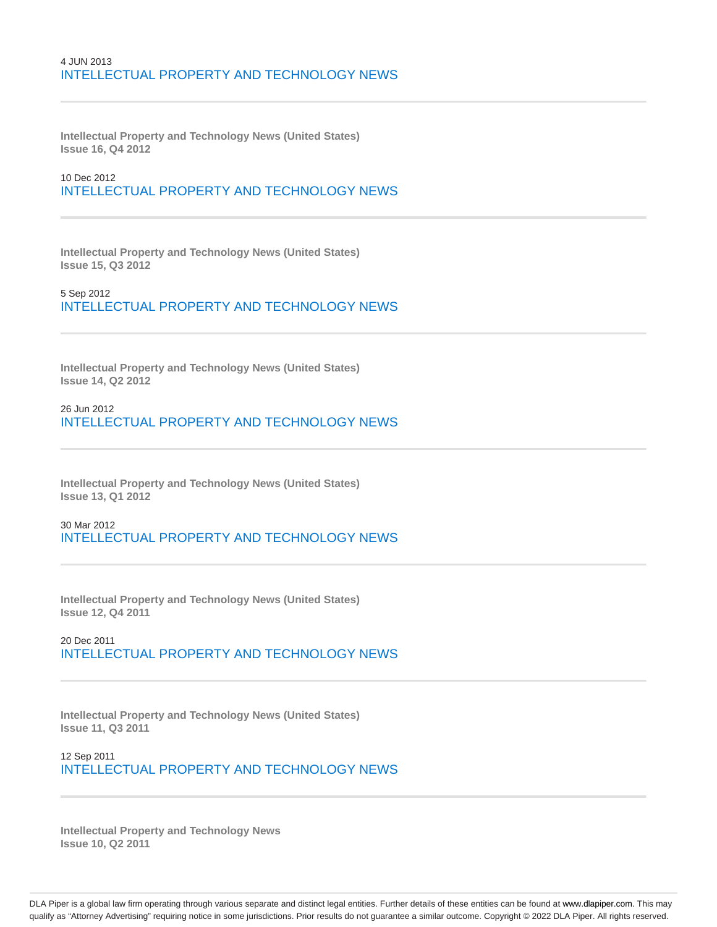## 4 JUN 2013 INTELLECTUAL PROPERTY AND TECHNOLOGY NEWS

**Intellectual Property and Technology News (United States) Issue 16, Q4 2012**

# 10 Dec 2012 INTELLECTUAL PROPERTY AND TECHNOLOGY NEWS

**Intellectual Property and Technology News (United States) Issue 15, Q3 2012**

5 Sep 2012 INTELLECTUAL PROPERTY AND TECHNOLOGY NEWS

**Intellectual Property and Technology News (United States) Issue 14, Q2 2012**

26 Jun 2012 INTELLECTUAL PROPERTY AND TECHNOLOGY NEWS

**Intellectual Property and Technology News (United States) Issue 13, Q1 2012**

30 Mar 2012 INTELLECTUAL PROPERTY AND TECHNOLOGY NEWS

**Intellectual Property and Technology News (United States) Issue 12, Q4 2011**

20 Dec 2011 INTELLECTUAL PROPERTY AND TECHNOLOGY NEWS

**Intellectual Property and Technology News (United States) Issue 11, Q3 2011**

12 Sep 2011 INTELLECTUAL PROPERTY AND TECHNOLOGY NEWS

**Intellectual Property and Technology News Issue 10, Q2 2011**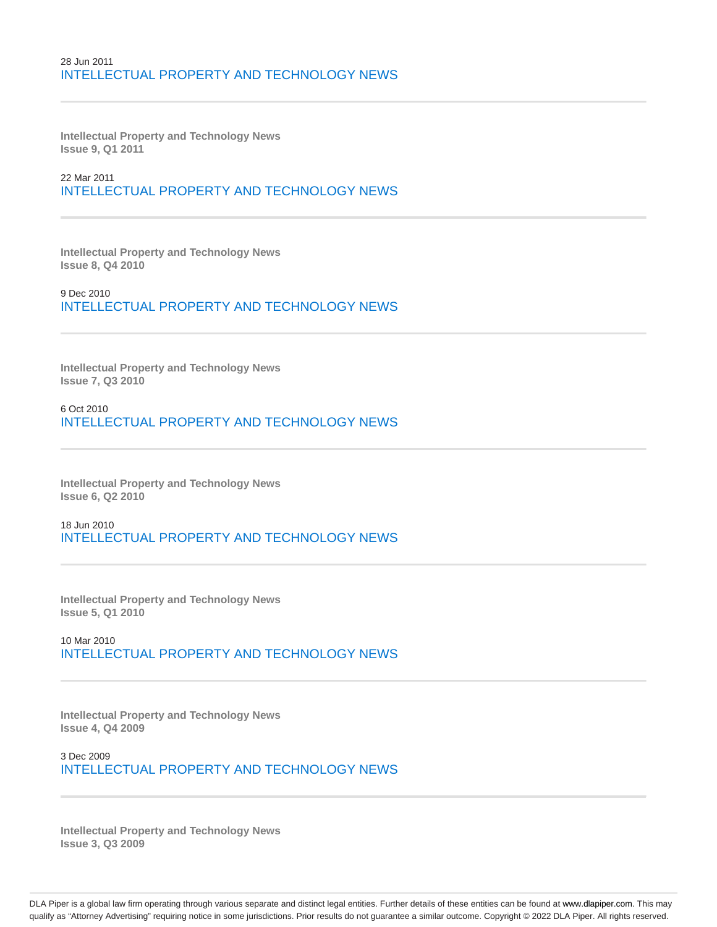### 28 Jun 2011 INTELLECTUAL PROPERTY AND TECHNOLOGY NEWS

**Intellectual Property and Technology News Issue 9, Q1 2011**

22 Mar 2011 INTELLECTUAL PROPERTY AND TECHNOLOGY NEWS

**Intellectual Property and Technology News Issue 8, Q4 2010**

9 Dec 2010 INTELLECTUAL PROPERTY AND TECHNOLOGY NEWS

**Intellectual Property and Technology News Issue 7, Q3 2010**

6 Oct 2010 INTELLECTUAL PROPERTY AND TECHNOLOGY NEWS

**Intellectual Property and Technology News Issue 6, Q2 2010**

18 Jun 2010 INTELLECTUAL PROPERTY AND TECHNOLOGY NEWS

**Intellectual Property and Technology News Issue 5, Q1 2010**

10 Mar 2010 INTELLECTUAL PROPERTY AND TECHNOLOGY NEWS

**Intellectual Property and Technology News Issue 4, Q4 2009**

3 Dec 2009 INTELLECTUAL PROPERTY AND TECHNOLOGY NEWS

**Intellectual Property and Technology News Issue 3, Q3 2009**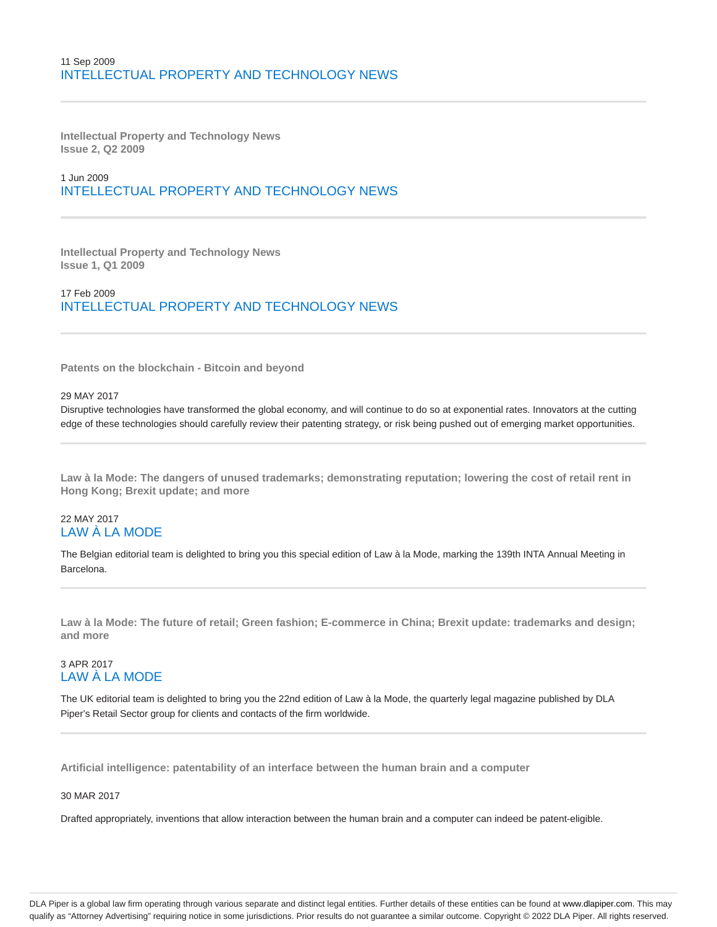## 11 Sep 2009 INTELLECTUAL PROPERTY AND TECHNOLOGY NEWS

**Intellectual Property and Technology News Issue 2, Q2 2009**

# 1 Jun 2009 INTELLECTUAL PROPERTY AND TECHNOLOGY NEWS

**Intellectual Property and Technology News Issue 1, Q1 2009**

17 Feb 2009 INTELLECTUAL PROPERTY AND TECHNOLOGY NEWS

**Patents on the blockchain - Bitcoin and beyond**

#### 29 MAY 2017

Disruptive technologies have transformed the global economy, and will continue to do so at exponential rates. Innovators at the cutting edge of these technologies should carefully review their patenting strategy, or risk being pushed out of emerging market opportunities.

**Law à la Mode: The dangers of unused trademarks; demonstrating reputation; lowering the cost of retail rent in Hong Kong; Brexit update; and more**

### 22 MAY 2017 LAW À LA MODE

The Belgian editorial team is delighted to bring you this special edition of Law à la Mode, marking the 139th INTA Annual Meeting in Barcelona.

**Law à la Mode: The future of retail; Green fashion; E-commerce in China; Brexit update: trademarks and design; and more**

# 3 APR 2017 LAW À LA MODE

The UK editorial team is delighted to bring you the 22nd edition of Law à la Mode, the quarterly legal magazine published by DLA Piper's Retail Sector group for clients and contacts of the firm worldwide.

**Artificial intelligence: patentability of an interface between the human brain and a computer**

### 30 MAR 2017

Drafted appropriately, inventions that allow interaction between the human brain and a computer can indeed be patent-eligible.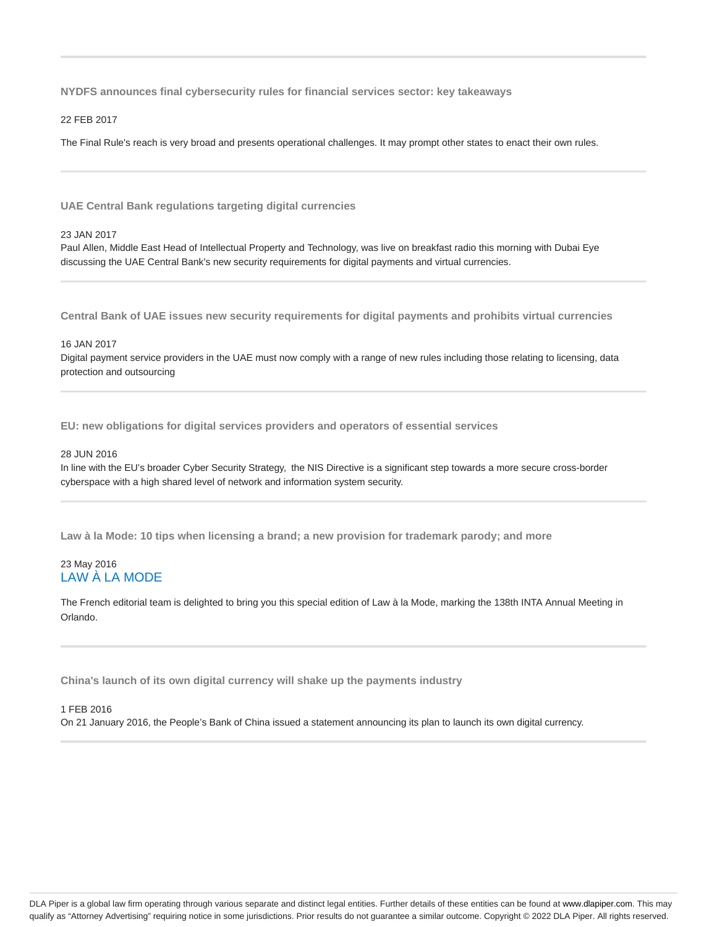**NYDFS announces final cybersecurity rules for financial services sector: key takeaways**

22 FEB 2017

The Final Rule's reach is very broad and presents operational challenges. It may prompt other states to enact their own rules.

**UAE Central Bank regulations targeting digital currencies**

#### 23 JAN 2017

Paul Allen, Middle East Head of Intellectual Property and Technology, was live on breakfast radio this morning with Dubai Eye discussing the UAE Central Bank's new security requirements for digital payments and virtual currencies.

**Central Bank of UAE issues new security requirements for digital payments and prohibits virtual currencies**

#### 16 JAN 2017

Digital payment service providers in the UAE must now comply with a range of new rules including those relating to licensing, data protection and outsourcing

**EU: new obligations for digital services providers and operators of essential services**

#### 28 JUN 2016

In line with the EU's broader Cyber Security Strategy, the NIS Directive is a significant step towards a more secure cross-border cyberspace with a high shared level of network and information system security.

**Law à la Mode: 10 tips when licensing a brand; a new provision for trademark parody; and more**

### 23 May 2016 LAW À LA MODE

The French editorial team is delighted to bring you this special edition of Law à la Mode, marking the 138th INTA Annual Meeting in Orlando.

**China's launch of its own digital currency will shake up the payments industry**

### 1 FEB 2016 On 21 January 2016, the People's Bank of China issued a statement announcing its plan to launch its own digital currency.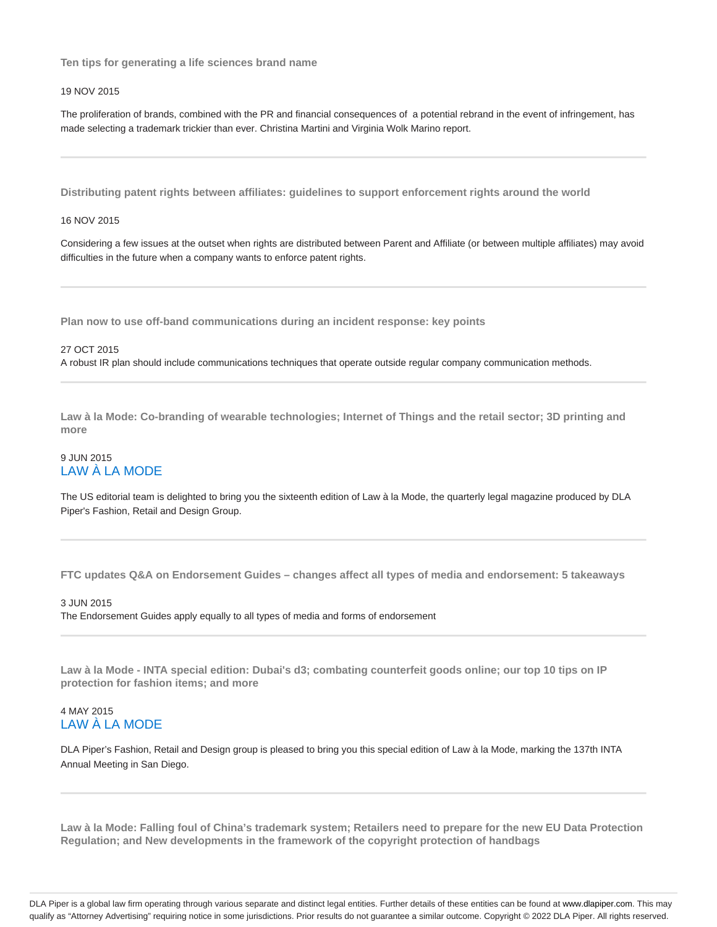**Ten tips for generating a life sciences brand name**

#### 19 NOV 2015

The proliferation of brands, combined with the PR and financial consequences of a potential rebrand in the event of infringement, has made selecting a trademark trickier than ever. Christina Martini and Virginia Wolk Marino report.

**Distributing patent rights between affiliates: guidelines to support enforcement rights around the world**

#### 16 NOV 2015

Considering a few issues at the outset when rights are distributed between Parent and Affiliate (or between multiple affiliates) may avoid difficulties in the future when a company wants to enforce patent rights.

**Plan now to use off-band communications during an incident response: key points**

27 OCT 2015 A robust IR plan should include communications techniques that operate outside regular company communication methods.

**Law à la Mode: Co-branding of wearable technologies; Internet of Things and the retail sector; 3D printing and more**

### 9 JUN 2015 LAW À LA MODE

The US editorial team is delighted to bring you the sixteenth edition of Law à la Mode, the quarterly legal magazine produced by DLA Piper's Fashion, Retail and Design Group.

**FTC updates Q&A on Endorsement Guides – changes affect all types of media and endorsement: 5 takeaways**

### 3 JUN 2015

The Endorsement Guides apply equally to all types of media and forms of endorsement

**Law à la Mode - INTA special edition: Dubai's d3; combating counterfeit goods online; our top 10 tips on IP protection for fashion items; and more**

### 4 MAY 2015 LAW À LA MODE

DLA Piper's Fashion, Retail and Design group is pleased to bring you this special edition of Law à la Mode, marking the 137th INTA Annual Meeting in San Diego.

**Law à la Mode: Falling foul of China's trademark system; Retailers need to prepare for the new EU Data Protection Regulation; and New developments in the framework of the copyright protection of handbags**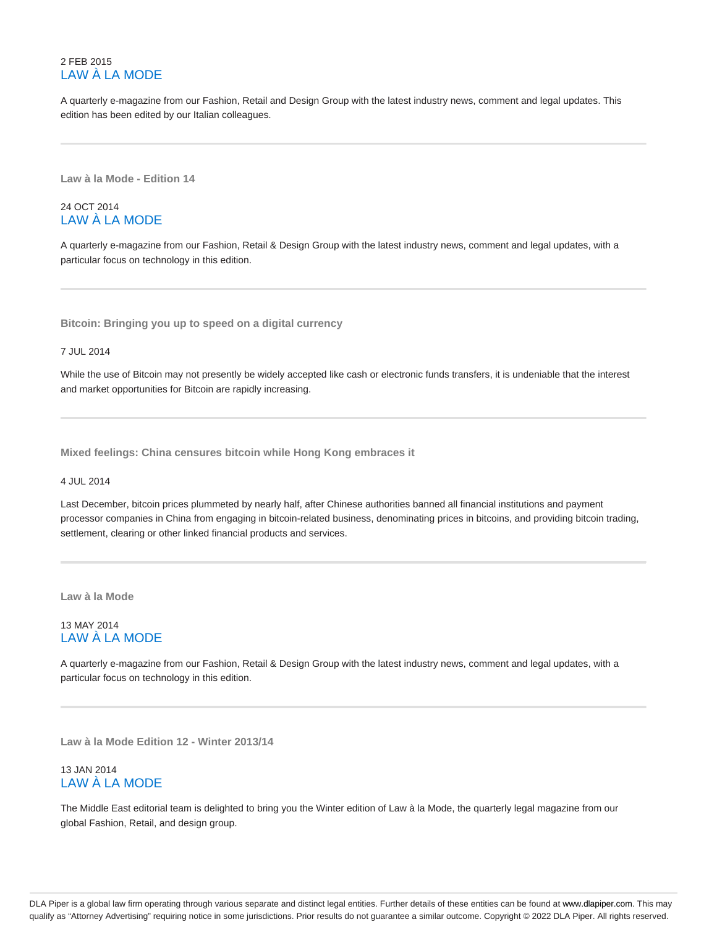## 2 FEB 2015 LAW À LA MODE

A quarterly e-magazine from our Fashion, Retail and Design Group with the latest industry news, comment and legal updates. This edition has been edited by our Italian colleagues.

**Law à la Mode - Edition 14**

## 24 OCT 2014 LAW À LA MODE

A quarterly e-magazine from our Fashion, Retail & Design Group with the latest industry news, comment and legal updates, with a particular focus on technology in this edition.

**Bitcoin: Bringing you up to speed on a digital currency**

7 JUL 2014

While the use of Bitcoin may not presently be widely accepted like cash or electronic funds transfers, it is undeniable that the interest and market opportunities for Bitcoin are rapidly increasing.

**Mixed feelings: China censures bitcoin while Hong Kong embraces it**

4 JUL 2014

Last December, bitcoin prices plummeted by nearly half, after Chinese authorities banned all financial institutions and payment processor companies in China from engaging in bitcoin-related business, denominating prices in bitcoins, and providing bitcoin trading, settlement, clearing or other linked financial products and services.

**Law à la Mode**

# 13 MAY 2014 LAW À LA MODE

A quarterly e-magazine from our Fashion, Retail & Design Group with the latest industry news, comment and legal updates, with a particular focus on technology in this edition.

**Law à la Mode Edition 12 - Winter 2013/14**

### 13 JAN 2014 LAW À LA MODE

The Middle East editorial team is delighted to bring you the Winter edition of Law à la Mode, the quarterly legal magazine from our global Fashion, Retail, and design group.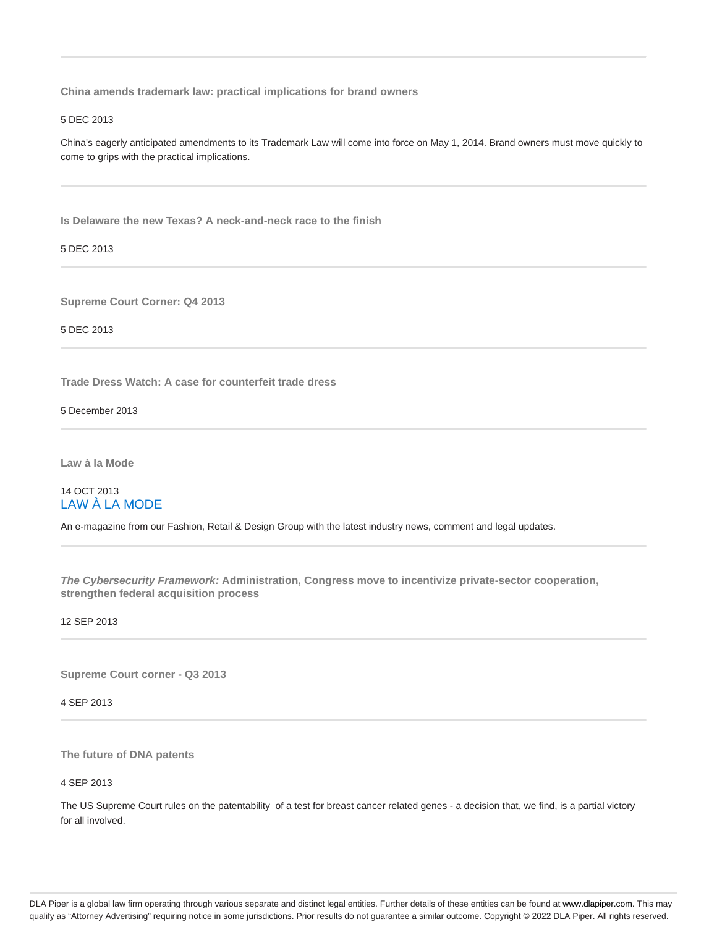**China amends trademark law: practical implications for brand owners**

### 5 DEC 2013

China's eagerly anticipated amendments to its Trademark Law will come into force on May 1, 2014. Brand owners must move quickly to come to grips with the practical implications.

**Is Delaware the new Texas? A neck-and-neck race to the finish**

5 DEC 2013

**Supreme Court Corner: Q4 2013**

5 DEC 2013

**Trade Dress Watch: A case for counterfeit trade dress**

5 December 2013

**Law à la Mode**

# 14 OCT 2013 LAW À LA MODE

An e-magazine from our Fashion, Retail & Design Group with the latest industry news, comment and legal updates.

**The Cybersecurity Framework: Administration, Congress move to incentivize private-sector cooperation, strengthen federal acquisition process**

12 SEP 2013

**Supreme Court corner - Q3 2013**

4 SEP 2013

**The future of DNA patents**

4 SEP 2013

The US Supreme Court rules on the patentability of a test for breast cancer related genes - a decision that, we find, is a partial victory for all involved.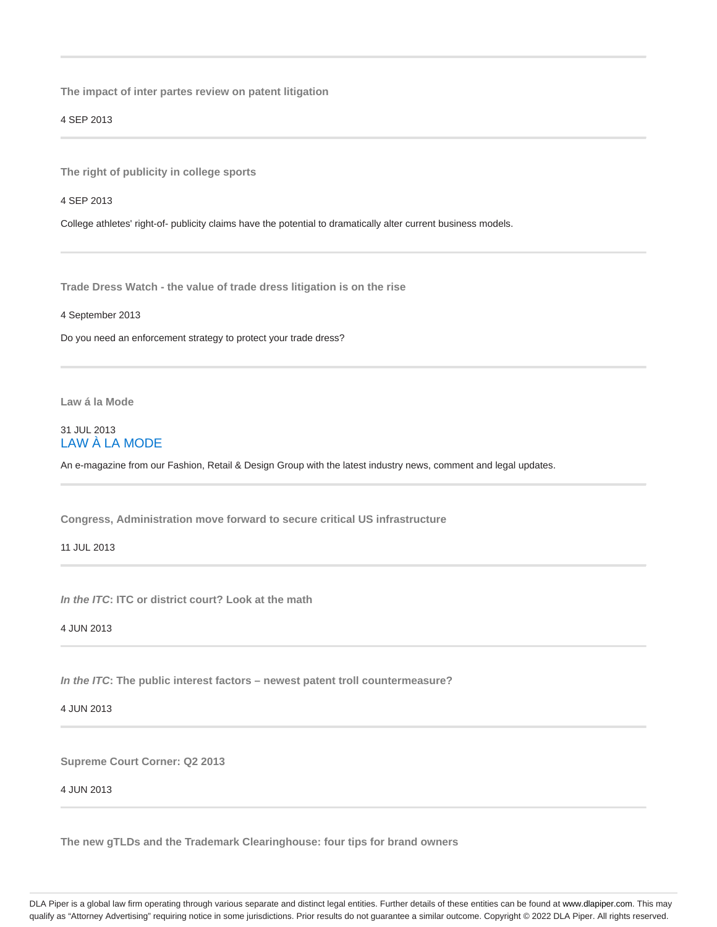**The impact of inter partes review on patent litigation**

4 SEP 2013

**The right of publicity in college sports**

4 SEP 2013

College athletes' right-of- publicity claims have the potential to dramatically alter current business models.

**Trade Dress Watch - the value of trade dress litigation is on the rise**

4 September 2013

Do you need an enforcement strategy to protect your trade dress?

**Law á la Mode**

## 31 JUL 2013 LAW À LA MODE

An e-magazine from our Fashion, Retail & Design Group with the latest industry news, comment and legal updates.

**Congress, Administration move forward to secure critical US infrastructure**

11 JUL 2013

**In the ITC: ITC or district court? Look at the math**

4 JUN 2013

**In the ITC: The public interest factors – newest patent troll countermeasure?**

4 JUN 2013

**Supreme Court Corner: Q2 2013**

4 JUN 2013

**The new gTLDs and the Trademark Clearinghouse: four tips for brand owners**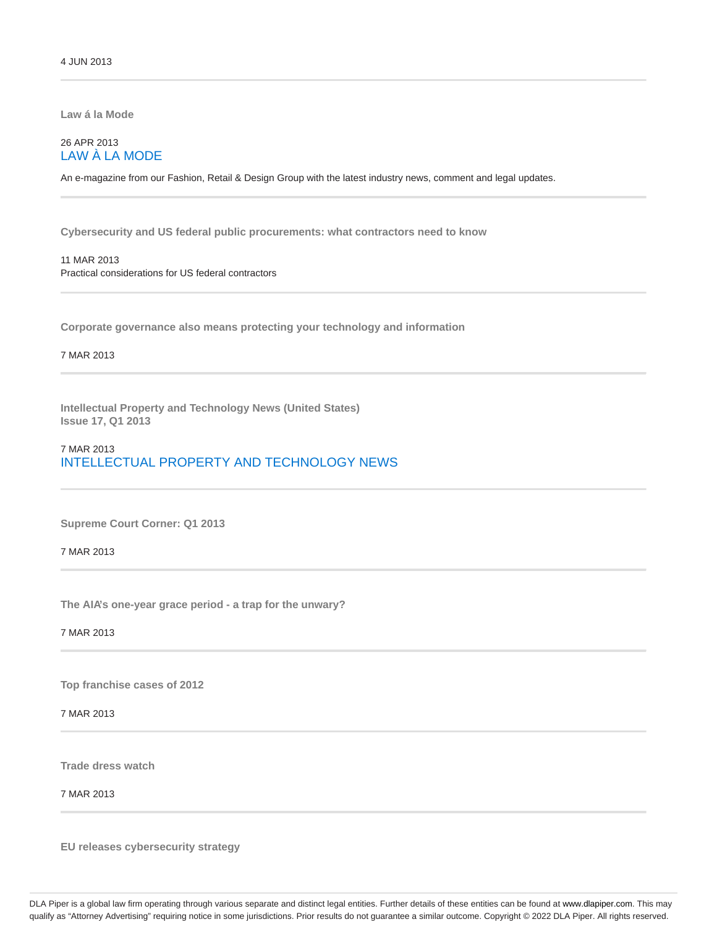**Law á la Mode**

# 26 APR 2013 LAW À LA MODE

An e-magazine from our Fashion, Retail & Design Group with the latest industry news, comment and legal updates.

**Cybersecurity and US federal public procurements: what contractors need to know**

### 11 MAR 2013 Practical considerations for US federal contractors

**Corporate governance also means protecting your technology and information**

7 MAR 2013

**Intellectual Property and Technology News (United States) Issue 17, Q1 2013**

### 7 MAR 2013 INTELLECTUAL PROPERTY AND TECHNOLOGY NEWS

**Supreme Court Corner: Q1 2013**

7 MAR 2013

**The AIA's one-year grace period - a trap for the unwary?**

7 MAR 2013

**Top franchise cases of 2012**

7 MAR 2013

**Trade dress watch**

7 MAR 2013

**EU releases cybersecurity strategy**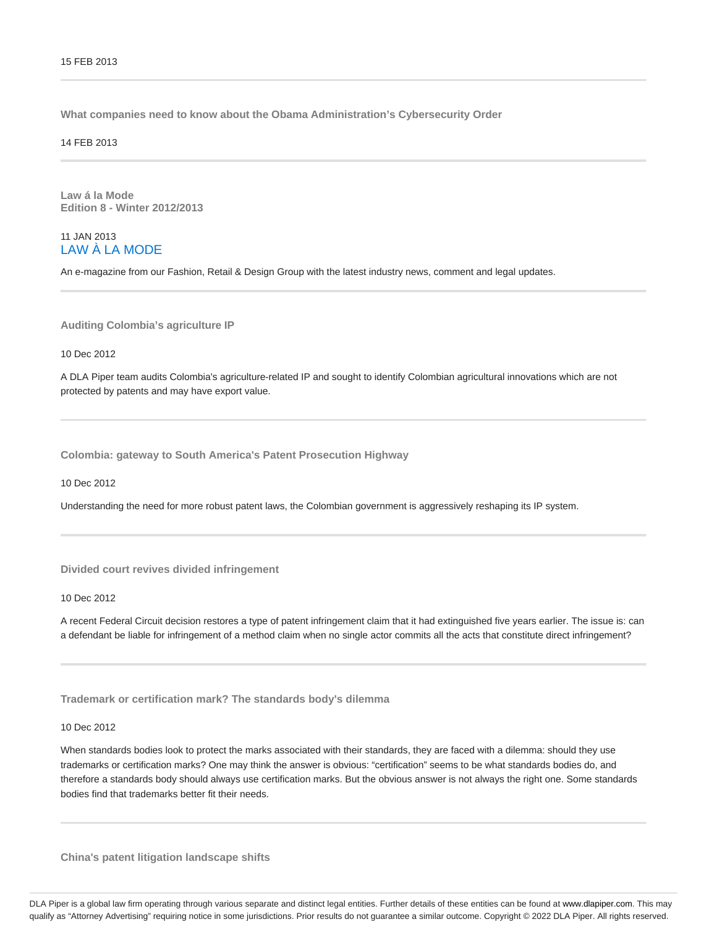**What companies need to know about the Obama Administration's Cybersecurity Order**

14 FEB 2013

**Law á la Mode Edition 8 - Winter 2012/2013**

### 11 JAN 2013 LAW À LA MODE

An e-magazine from our Fashion, Retail & Design Group with the latest industry news, comment and legal updates.

#### **Auditing Colombia's agriculture IP**

10 Dec 2012

A DLA Piper team audits Colombia's agriculture-related IP and sought to identify Colombian agricultural innovations which are not protected by patents and may have export value.

**Colombia: gateway to South America's Patent Prosecution Highway**

10 Dec 2012

Understanding the need for more robust patent laws, the Colombian government is aggressively reshaping its IP system.

#### **Divided court revives divided infringement**

10 Dec 2012

A recent Federal Circuit decision restores a type of patent infringement claim that it had extinguished five years earlier. The issue is: can a defendant be liable for infringement of a method claim when no single actor commits all the acts that constitute direct infringement?

#### **Trademark or certification mark? The standards body's dilemma**

#### 10 Dec 2012

When standards bodies look to protect the marks associated with their standards, they are faced with a dilemma: should they use trademarks or certification marks? One may think the answer is obvious: "certification" seems to be what standards bodies do, and therefore a standards body should always use certification marks. But the obvious answer is not always the right one. Some standards bodies find that trademarks better fit their needs.

**China's patent litigation landscape shifts**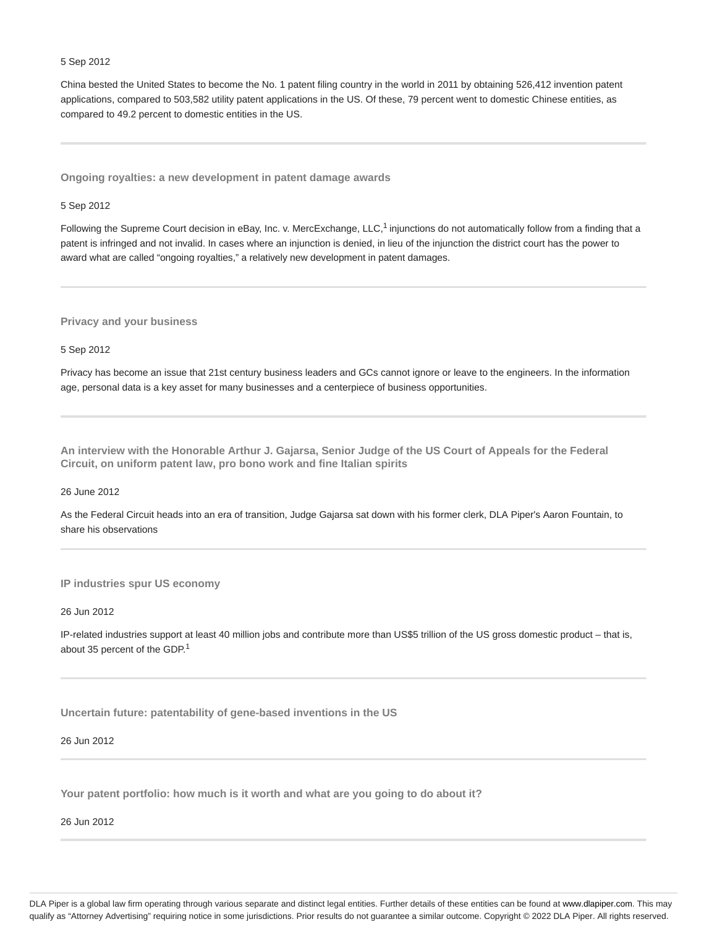#### 5 Sep 2012

China bested the United States to become the No. 1 patent filing country in the world in 2011 by obtaining 526,412 invention patent applications, compared to 503,582 utility patent applications in the US. Of these, 79 percent went to domestic Chinese entities, as compared to 49.2 percent to domestic entities in the US.

**Ongoing royalties: a new development in patent damage awards**

#### 5 Sep 2012

Following the Supreme Court decision in eBay, Inc. v. MercExchange, LLC,<sup>1</sup> injunctions do not automatically follow from a finding that a patent is infringed and not invalid. In cases where an injunction is denied, in lieu of the injunction the district court has the power to award what are called "ongoing royalties," a relatively new development in patent damages.

**Privacy and your business**

5 Sep 2012

Privacy has become an issue that 21st century business leaders and GCs cannot ignore or leave to the engineers. In the information age, personal data is a key asset for many businesses and a centerpiece of business opportunities.

**An interview with the Honorable Arthur J. Gajarsa, Senior Judge of the US Court of Appeals for the Federal Circuit, on uniform patent law, pro bono work and fine Italian spirits**

#### 26 June 2012

As the Federal Circuit heads into an era of transition, Judge Gajarsa sat down with his former clerk, DLA Piper's Aaron Fountain, to share his observations

**IP industries spur US economy**

26 Jun 2012

IP-related industries support at least 40 million jobs and contribute more than US\$5 trillion of the US gross domestic product – that is, about 35 percent of the GDP.<sup>1</sup>

**Uncertain future: patentability of gene-based inventions in the US**

#### 26 Jun 2012

**Your patent portfolio: how much is it worth and what are you going to do about it?**

26 Jun 2012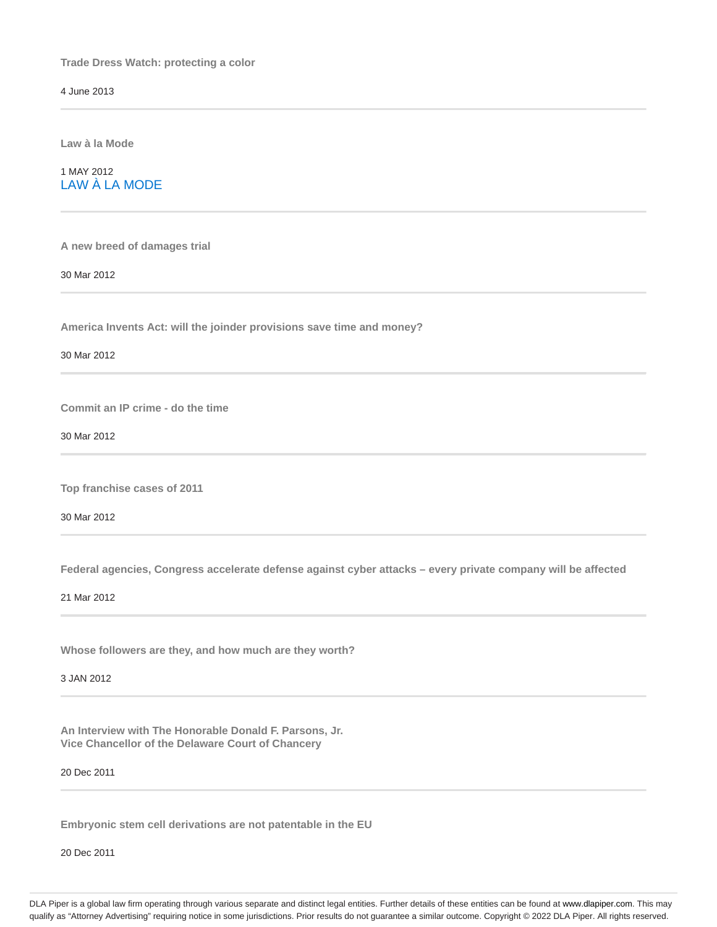**Trade Dress Watch: protecting a color**

4 June 2013

**Law à la Mode**

1 MAY 2012 LAW À LA MODE

**A new breed of damages trial**

30 Mar 2012

**America Invents Act: will the joinder provisions save time and money?**

30 Mar 2012

**Commit an IP crime - do the time**

30 Mar 2012

**Top franchise cases of 2011**

30 Mar 2012

**Federal agencies, Congress accelerate defense against cyber attacks – every private company will be affected**

21 Mar 2012

**Whose followers are they, and how much are they worth?**

3 JAN 2012

**An Interview with The Honorable Donald F. Parsons, Jr. Vice Chancellor of the Delaware Court of Chancery**

20 Dec 2011

**Embryonic stem cell derivations are not patentable in the EU**

20 Dec 2011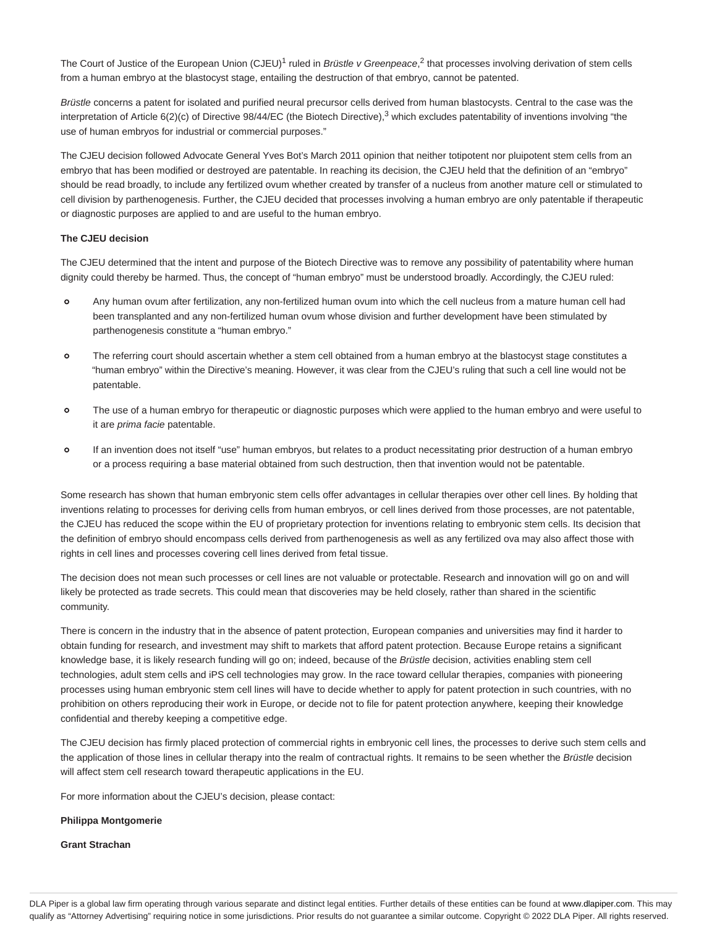The Court of Justice of the European Union (CJEU)<sup>1</sup> ruled in *Brüstle v Greenpeace*,<sup>2</sup> that processes involving derivation of stem cells from a human embryo at the blastocyst stage, entailing the destruction of that embryo, cannot be patented.

Brüstle concerns a patent for isolated and purified neural precursor cells derived from human blastocysts. Central to the case was the interpretation of Article 6(2)(c) of Directive 98/44/EC (the Biotech Directive),<sup>3</sup> which excludes patentability of inventions involving "the use of human embryos for industrial or commercial purposes."

The CJEU decision followed Advocate General Yves Bot's March 2011 opinion that neither totipotent nor pluipotent stem cells from an embryo that has been modified or destroyed are patentable. In reaching its decision, the CJEU held that the definition of an "embryo" should be read broadly, to include any fertilized ovum whether created by transfer of a nucleus from another mature cell or stimulated to cell division by parthenogenesis. Further, the CJEU decided that processes involving a human embryo are only patentable if therapeutic or diagnostic purposes are applied to and are useful to the human embryo.

#### **The CJEU decision**

The CJEU determined that the intent and purpose of the Biotech Directive was to remove any possibility of patentability where human dignity could thereby be harmed. Thus, the concept of "human embryo" must be understood broadly. Accordingly, the CJEU ruled:

- $\alpha$ Any human ovum after fertilization, any non-fertilized human ovum into which the cell nucleus from a mature human cell had been transplanted and any non-fertilized human ovum whose division and further development have been stimulated by parthenogenesis constitute a "human embryo."
- The referring court should ascertain whether a stem cell obtained from a human embryo at the blastocyst stage constitutes a  $\circ$ "human embryo" within the Directive's meaning. However, it was clear from the CJEU's ruling that such a cell line would not be patentable.
- $\alpha$ The use of a human embryo for therapeutic or diagnostic purposes which were applied to the human embryo and were useful to it are prima facie patentable.
- If an invention does not itself "use" human embryos, but relates to a product necessitating prior destruction of a human embryo  $\Omega$ or a process requiring a base material obtained from such destruction, then that invention would not be patentable.

Some research has shown that human embryonic stem cells offer advantages in cellular therapies over other cell lines. By holding that inventions relating to processes for deriving cells from human embryos, or cell lines derived from those processes, are not patentable, the CJEU has reduced the scope within the EU of proprietary protection for inventions relating to embryonic stem cells. Its decision that the definition of embryo should encompass cells derived from parthenogenesis as well as any fertilized ova may also affect those with rights in cell lines and processes covering cell lines derived from fetal tissue.

The decision does not mean such processes or cell lines are not valuable or protectable. Research and innovation will go on and will likely be protected as trade secrets. This could mean that discoveries may be held closely, rather than shared in the scientific community.

There is concern in the industry that in the absence of patent protection, European companies and universities may find it harder to obtain funding for research, and investment may shift to markets that afford patent protection. Because Europe retains a significant knowledge base, it is likely research funding will go on; indeed, because of the Brüstle decision, activities enabling stem cell technologies, adult stem cells and iPS cell technologies may grow. In the race toward cellular therapies, companies with pioneering processes using human embryonic stem cell lines will have to decide whether to apply for patent protection in such countries, with no prohibition on others reproducing their work in Europe, or decide not to file for patent protection anywhere, keeping their knowledge confidential and thereby keeping a competitive edge.

The CJEU decision has firmly placed protection of commercial rights in embryonic cell lines, the processes to derive such stem cells and the application of those lines in cellular therapy into the realm of contractual rights. It remains to be seen whether the Brüstle decision will affect stem cell research toward therapeutic applications in the EU.

For more information about the CJEU's decision, please contact:

#### **Philippa Montgomerie**

#### **Grant Strachan**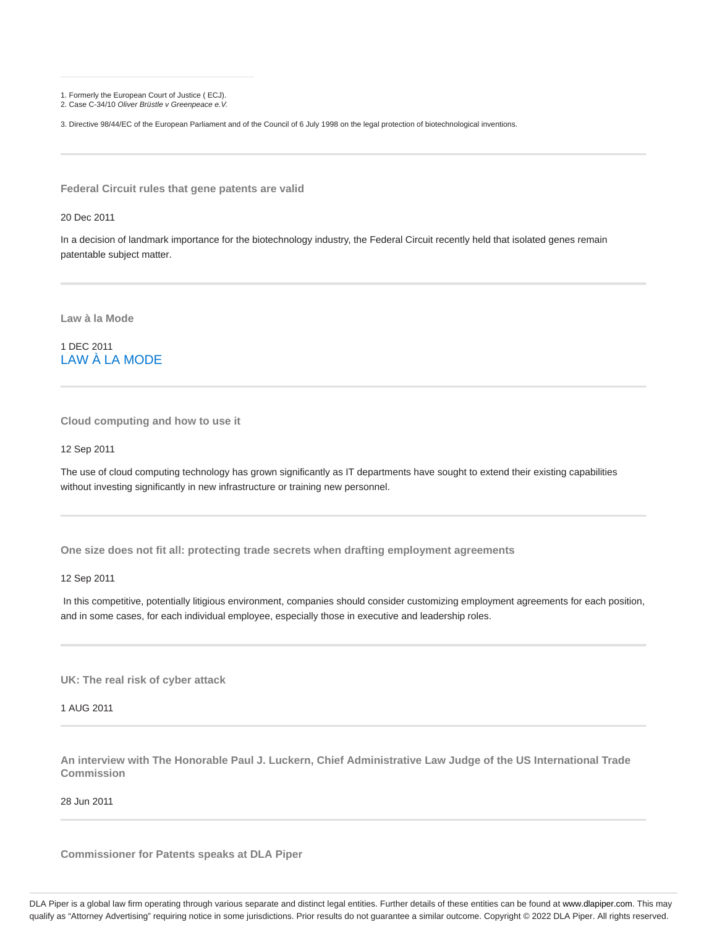1. Formerly the European Court of Justice ( ECJ).

2. Case C-34/10 Oliver Brüstle v Greenpeace e.V.

3. Directive 98/44/EC of the European Parliament and of the Council of 6 July 1998 on the legal protection of biotechnological inventions.

**Federal Circuit rules that gene patents are valid**

20 Dec 2011

In a decision of landmark importance for the biotechnology industry, the Federal Circuit recently held that isolated genes remain patentable subject matter.

**Law à la Mode**

1 DEC 2011 LAW À LA MODE

**Cloud computing and how to use it**

12 Sep 2011

The use of cloud computing technology has grown significantly as IT departments have sought to extend their existing capabilities without investing significantly in new infrastructure or training new personnel.

**One size does not fit all: protecting trade secrets when drafting employment agreements**

12 Sep 2011

 In this competitive, potentially litigious environment, companies should consider customizing employment agreements for each position, and in some cases, for each individual employee, especially those in executive and leadership roles.

**UK: The real risk of cyber attack**

1 AUG 2011

**An interview with The Honorable Paul J. Luckern, Chief Administrative Law Judge of the US International Trade Commission**

28 Jun 2011

**Commissioner for Patents speaks at DLA Piper**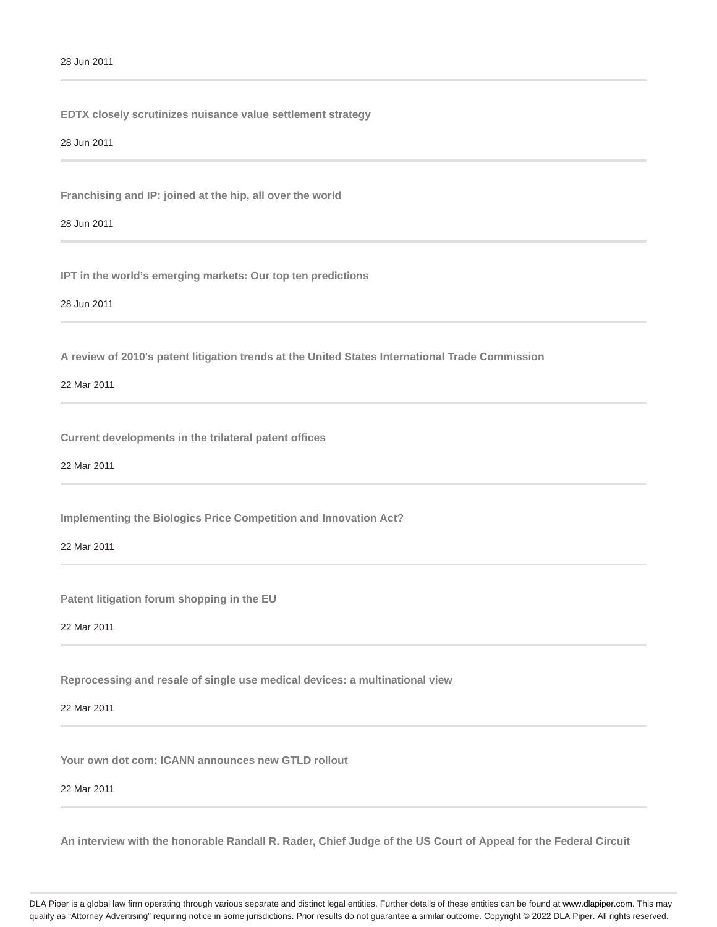**EDTX closely scrutinizes nuisance value settlement strategy**

28 Jun 2011

**Franchising and IP: joined at the hip, all over the world**

28 Jun 2011

**IPT in the world's emerging markets: Our top ten predictions**

28 Jun 2011

**A review of 2010's patent litigation trends at the United States International Trade Commission**

22 Mar 2011

**Current developments in the trilateral patent offices**

22 Mar 2011

**Implementing the Biologics Price Competition and Innovation Act?**

22 Mar 2011

**Patent litigation forum shopping in the EU**

22 Mar 2011

**Reprocessing and resale of single use medical devices: a multinational view**

22 Mar 2011

**Your own dot com: ICANN announces new GTLD rollout**

22 Mar 2011

**An interview with the honorable Randall R. Rader, Chief Judge of the US Court of Appeal for the Federal Circuit**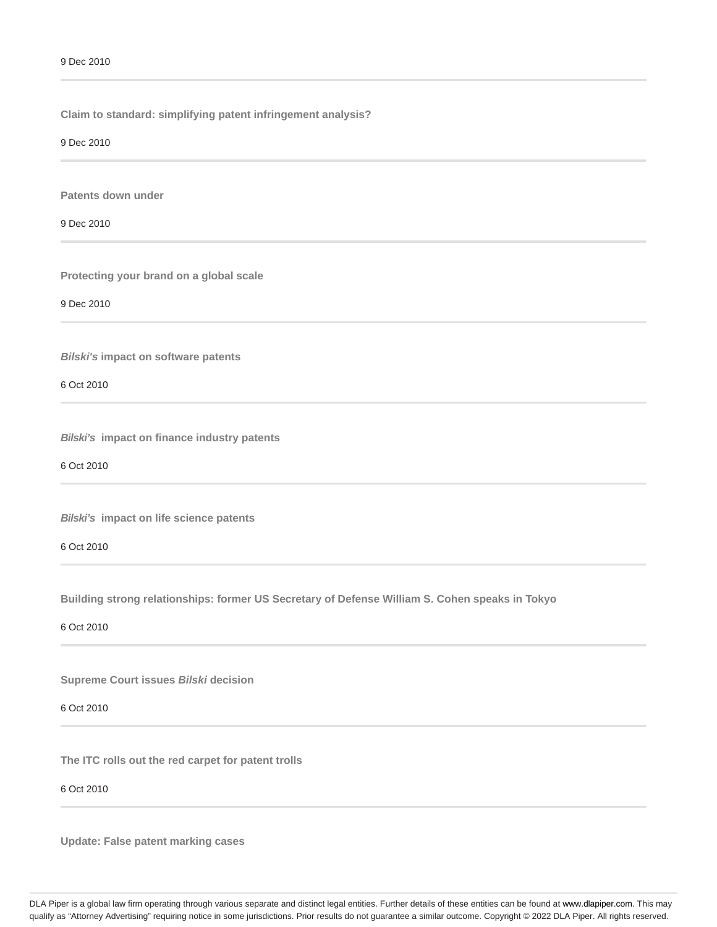**Claim to standard: simplifying patent infringement analysis?**

9 Dec 2010

**Patents down under**

9 Dec 2010

**Protecting your brand on a global scale**

9 Dec 2010

**Bilski's impact on software patents**

6 Oct 2010

**Bilski's impact on finance industry patents**

6 Oct 2010

**Bilski's impact on life science patents**

6 Oct 2010

**Building strong relationships: former US Secretary of Defense William S. Cohen speaks in Tokyo**

6 Oct 2010

**Supreme Court issues Bilski decision**

6 Oct 2010

**The ITC rolls out the red carpet for patent trolls**

### 6 Oct 2010

**Update: False patent marking cases**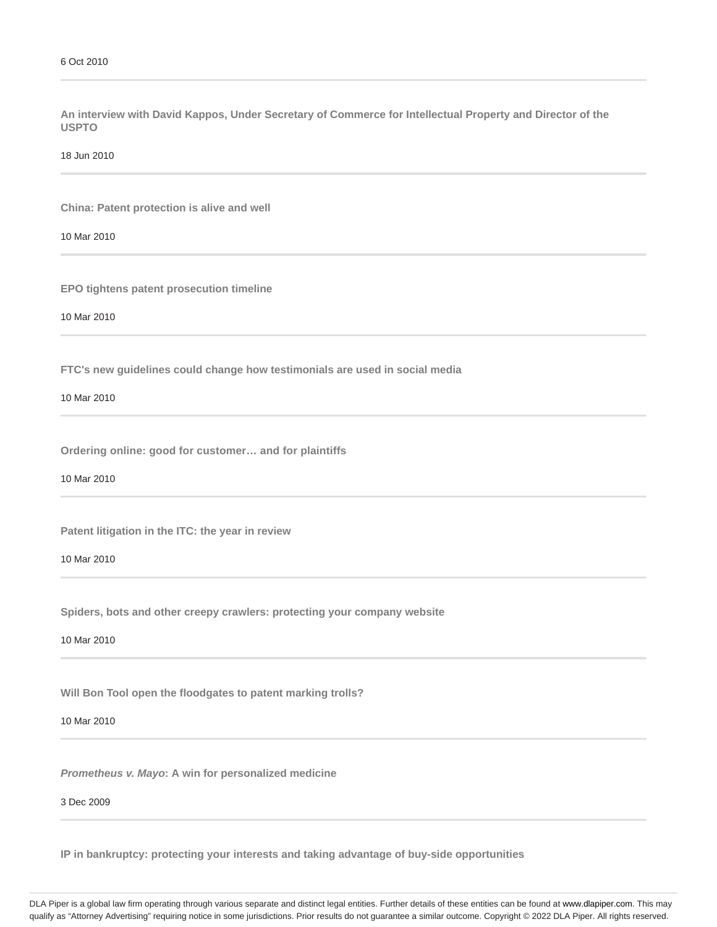**An interview with David Kappos, Under Secretary of Commerce for Intellectual Property and Director of the USPTO**

18 Jun 2010

**China: Patent protection is alive and well**

10 Mar 2010

**EPO tightens patent prosecution timeline**

10 Mar 2010

**FTC's new guidelines could change how testimonials are used in social media**

10 Mar 2010

**Ordering online: good for customer… and for plaintiffs**

10 Mar 2010

**Patent litigation in the ITC: the year in review**

10 Mar 2010

**Spiders, bots and other creepy crawlers: protecting your company website**

10 Mar 2010

**Will Bon Tool open the floodgates to patent marking trolls?**

10 Mar 2010

**Prometheus v. Mayo: A win for personalized medicine**

3 Dec 2009

**IP in bankruptcy: protecting your interests and taking advantage of buy-side opportunities**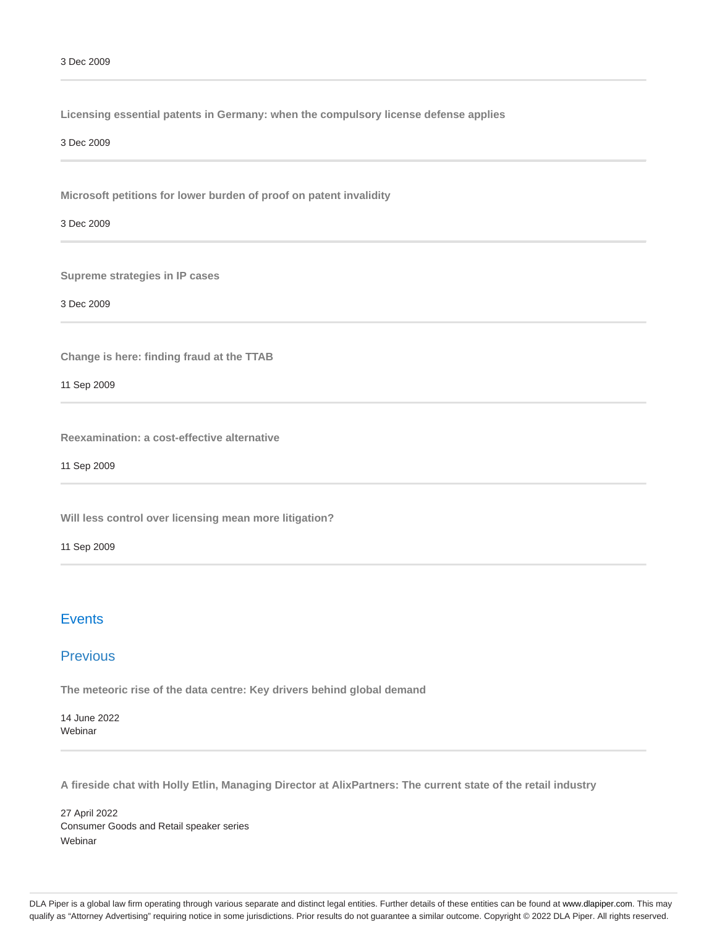**Licensing essential patents in Germany: when the compulsory license defense applies**

3 Dec 2009

**Microsoft petitions for lower burden of proof on patent invalidity**

3 Dec 2009

**Supreme strategies in IP cases**

3 Dec 2009

**Change is here: finding fraud at the TTAB**

11 Sep 2009

**Reexamination: a cost-effective alternative**

11 Sep 2009

**Will less control over licensing mean more litigation?**

11 Sep 2009

# **Events**

# **Previous**

**The meteoric rise of the data centre: Key drivers behind global demand**

14 June 2022 Webinar

**A fireside chat with Holly Etlin, Managing Director at AlixPartners: The current state of the retail industry**

27 April 2022 Consumer Goods and Retail speaker series **Webinar**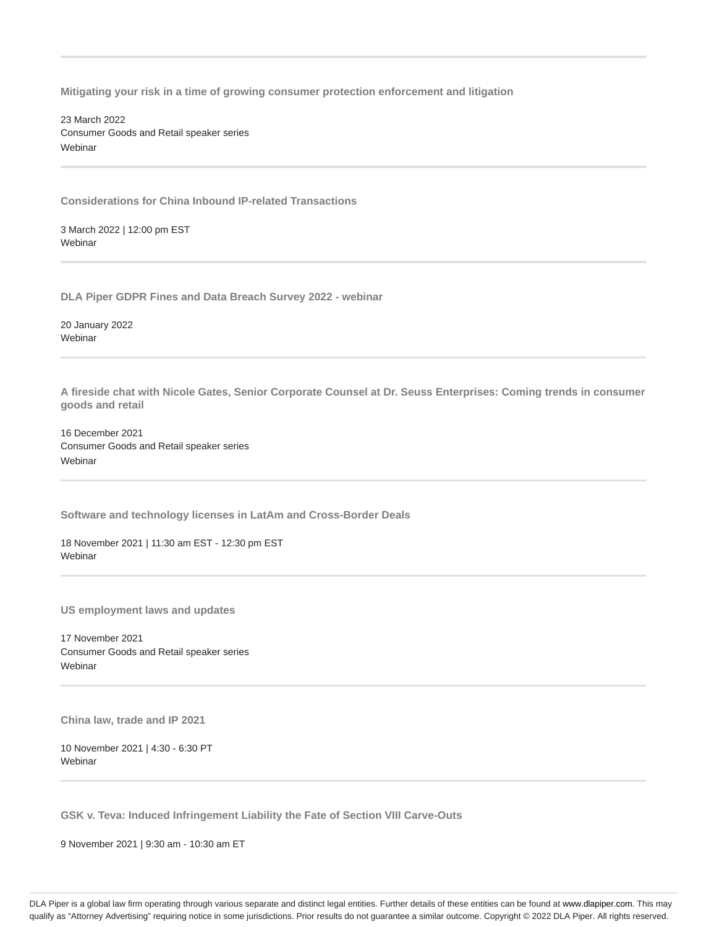**Mitigating your risk in a time of growing consumer protection enforcement and litigation**

23 March 2022 Consumer Goods and Retail speaker series Webinar

**Considerations for China Inbound IP-related Transactions**

3 March 2022 | 12:00 pm EST **Webinar** 

**DLA Piper GDPR Fines and Data Breach Survey 2022 - webinar**

20 January 2022 **Webinar** 

**A fireside chat with Nicole Gates, Senior Corporate Counsel at Dr. Seuss Enterprises: Coming trends in consumer goods and retail**

16 December 2021 Consumer Goods and Retail speaker series **Webinar** 

**Software and technology licenses in LatAm and Cross-Border Deals**

18 November 2021 | 11:30 am EST - 12:30 pm EST **Webinar** 

**US employment laws and updates**

17 November 2021 Consumer Goods and Retail speaker series Webinar

**China law, trade and IP 2021**

10 November 2021 | 4:30 - 6:30 PT **Webinar** 

**GSK v. Teva: Induced Infringement Liability the Fate of Section VIII Carve-Outs**

9 November 2021 | 9:30 am - 10:30 am ET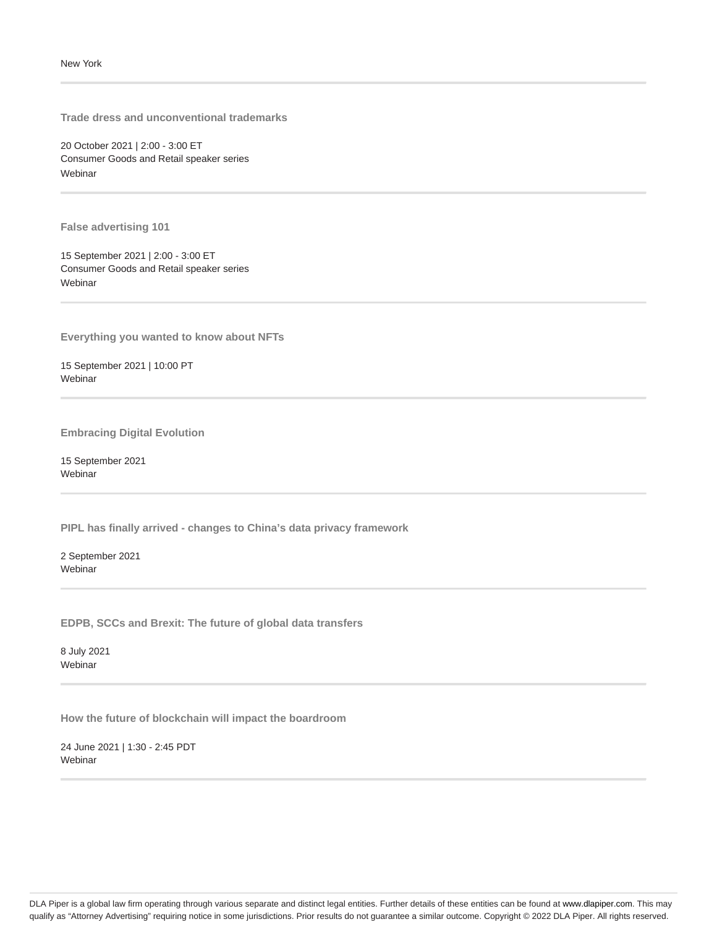**Trade dress and unconventional trademarks**

20 October 2021 | 2:00 - 3:00 ET Consumer Goods and Retail speaker series Webinar

**False advertising 101**

15 September 2021 | 2:00 - 3:00 ET Consumer Goods and Retail speaker series Webinar

**Everything you wanted to know about NFTs**

15 September 2021 | 10:00 PT Webinar

**Embracing Digital Evolution**

15 September 2021 **Webinar** 

**PIPL has finally arrived - changes to China's data privacy framework**

2 September 2021 Webinar

**EDPB, SCCs and Brexit: The future of global data transfers**

8 July 2021 Webinar

**How the future of blockchain will impact the boardroom**

24 June 2021 | 1:30 - 2:45 PDT Webinar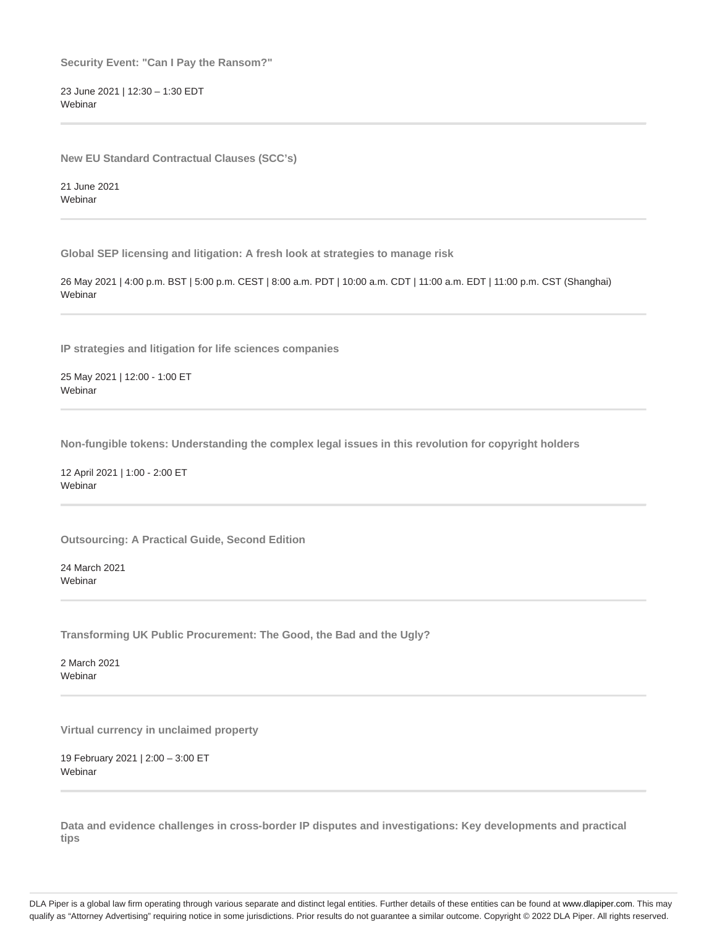**Security Event: "Can I Pay the Ransom?"**

23 June 2021 | 12:30 – 1:30 EDT Webinar

**New EU Standard Contractual Clauses (SCC's)**

21 June 2021 Webinar

**Global SEP licensing and litigation: A fresh look at strategies to manage risk**

26 May 2021 | 4:00 p.m. BST | 5:00 p.m. CEST | 8:00 a.m. PDT | 10:00 a.m. CDT | 11:00 a.m. EDT | 11:00 p.m. CST (Shanghai) **Webinar** 

**IP strategies and litigation for life sciences companies**

25 May 2021 | 12:00 - 1:00 ET **Webinar** 

**Non-fungible tokens: Understanding the complex legal issues in this revolution for copyright holders**

12 April 2021 | 1:00 - 2:00 ET **Webinar** 

**Outsourcing: A Practical Guide, Second Edition**

24 March 2021 Webinar

**Transforming UK Public Procurement: The Good, the Bad and the Ugly?**

2 March 2021 Webinar

**Virtual currency in unclaimed property**

19 February 2021 | 2:00 – 3:00 ET **Webinar** 

**Data and evidence challenges in cross-border IP disputes and investigations: Key developments and practical tips**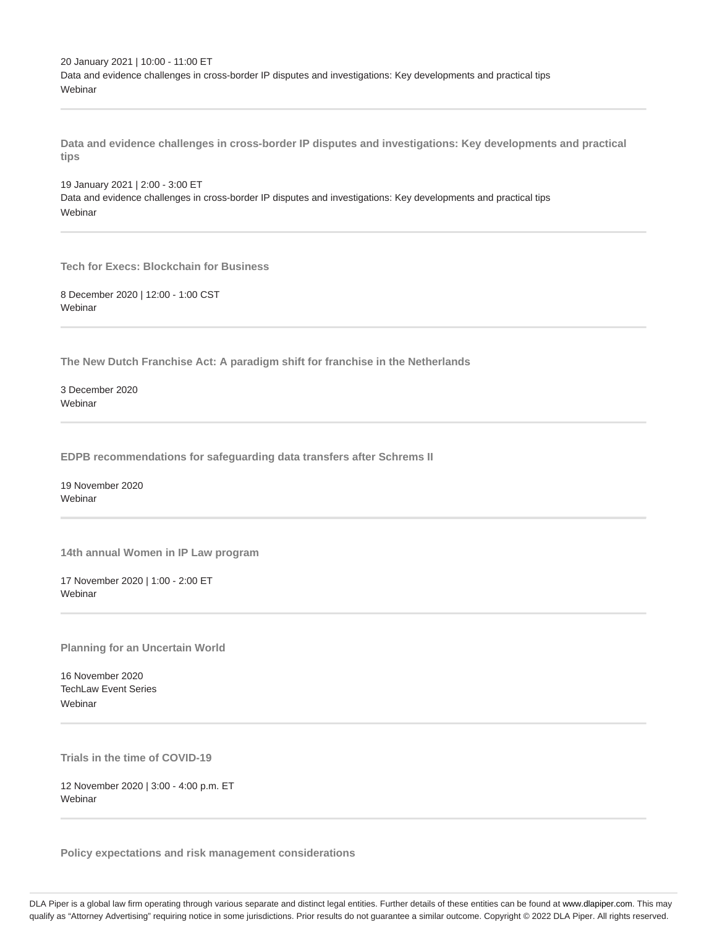20 January 2021 | 10:00 - 11:00 ET Data and evidence challenges in cross-border IP disputes and investigations: Key developments and practical tips Webinar

**Data and evidence challenges in cross-border IP disputes and investigations: Key developments and practical tips**

19 January 2021 | 2:00 - 3:00 ET Data and evidence challenges in cross-border IP disputes and investigations: Key developments and practical tips Webinar

**Tech for Execs: Blockchain for Business**

8 December 2020 | 12:00 - 1:00 CST Webinar

**The New Dutch Franchise Act: A paradigm shift for franchise in the Netherlands**

3 December 2020 Webinar

**EDPB recommendations for safeguarding data transfers after Schrems II**

19 November 2020 **Webinar** 

**14th annual Women in IP Law program**

17 November 2020 | 1:00 - 2:00 ET **Webinar** 

**Planning for an Uncertain World**

16 November 2020 TechLaw Event Series **Webinar** 

**Trials in the time of COVID-19**

12 November 2020 | 3:00 - 4:00 p.m. ET Webinar

**Policy expectations and risk management considerations**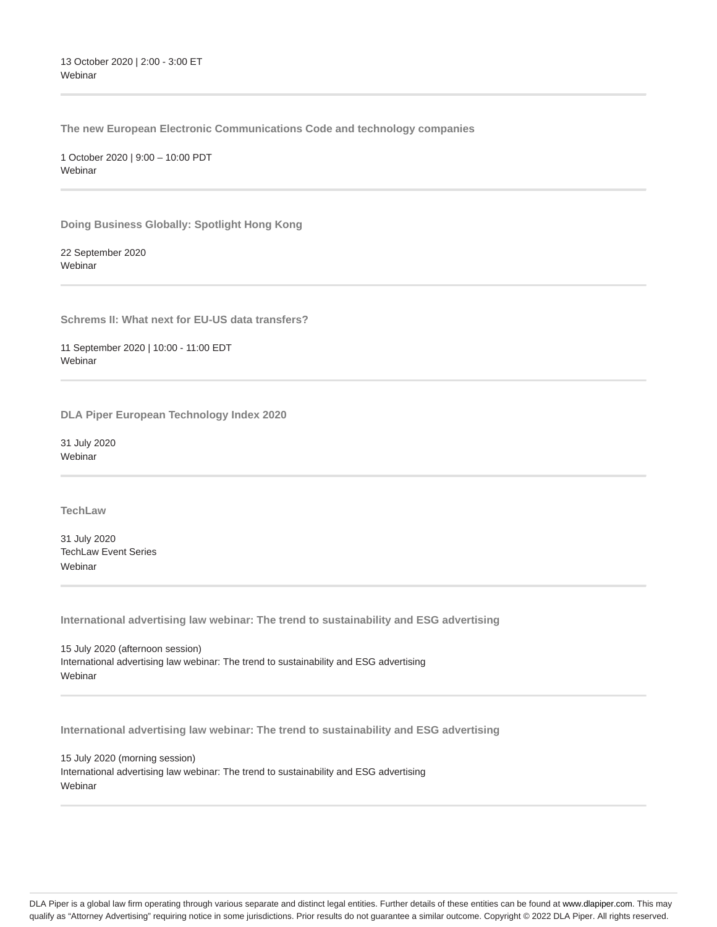**The new European Electronic Communications Code and technology companies**

1 October 2020 | 9:00 – 10:00 PDT **Webinar** 

**Doing Business Globally: Spotlight Hong Kong**

22 September 2020 Webinar

**Schrems II: What next for EU-US data transfers?**

11 September 2020 | 10:00 - 11:00 EDT Webinar

**DLA Piper European Technology Index 2020**

31 July 2020 Webinar

**TechLaw**

31 July 2020 TechLaw Event Series Webinar

**International advertising law webinar: The trend to sustainability and ESG advertising**

15 July 2020 (afternoon session) International advertising law webinar: The trend to sustainability and ESG advertising Webinar

**International advertising law webinar: The trend to sustainability and ESG advertising**

15 July 2020 (morning session) International advertising law webinar: The trend to sustainability and ESG advertising Webinar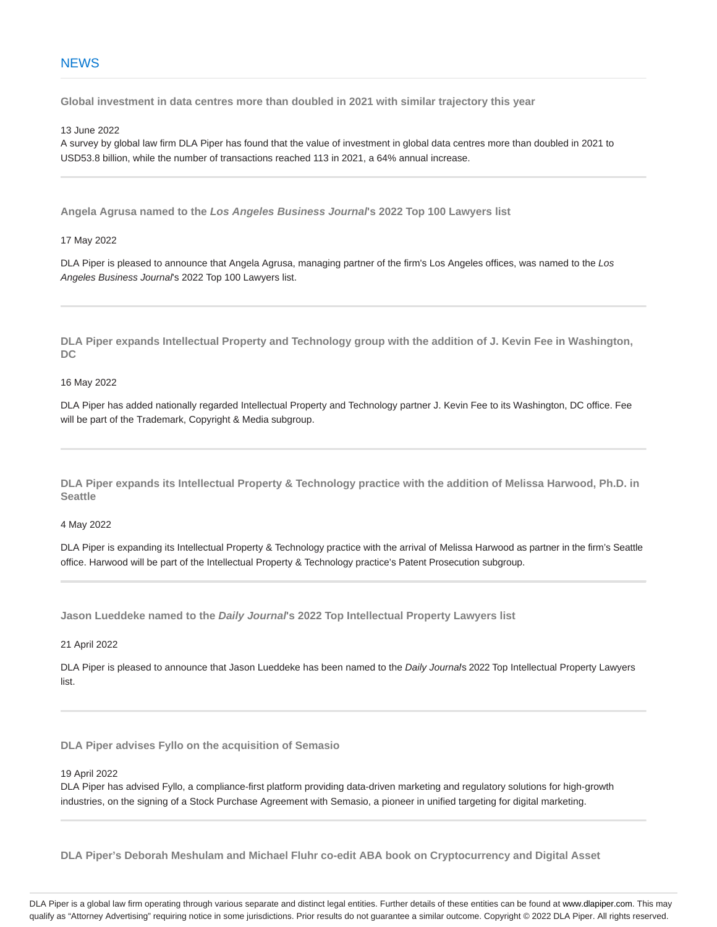**Global investment in data centres more than doubled in 2021 with similar trajectory this year**

13 June 2022

A survey by global law firm DLA Piper has found that the value of investment in global data centres more than doubled in 2021 to USD53.8 billion, while the number of transactions reached 113 in 2021, a 64% annual increase.

**Angela Agrusa named to the Los Angeles Business Journal's 2022 Top 100 Lawyers list**

17 May 2022

DLA Piper is pleased to announce that Angela Agrusa, managing partner of the firm's Los Angeles offices, was named to the Los Angeles Business Journal's 2022 Top 100 Lawyers list.

**DLA Piper expands Intellectual Property and Technology group with the addition of J. Kevin Fee in Washington, DC**

16 May 2022

DLA Piper has added nationally regarded Intellectual Property and Technology partner J. Kevin Fee to its Washington, DC office. Fee will be part of the Trademark, Copyright & Media subgroup.

**DLA Piper expands its Intellectual Property & Technology practice with the addition of Melissa Harwood, Ph.D. in Seattle**

4 May 2022

DLA Piper is expanding its Intellectual Property & Technology practice with the arrival of Melissa Harwood as partner in the firm's Seattle office. Harwood will be part of the Intellectual Property & Technology practice's Patent Prosecution subgroup.

**Jason Lueddeke named to the Daily Journal's 2022 Top Intellectual Property Lawyers list**

21 April 2022

DLA Piper is pleased to announce that Jason Lueddeke has been named to the Daily Journals 2022 Top Intellectual Property Lawyers list.

**DLA Piper advises Fyllo on the acquisition of Semasio**

19 April 2022

DLA Piper has advised Fyllo, a compliance-first platform providing data-driven marketing and regulatory solutions for high-growth industries, on the signing of a Stock Purchase Agreement with Semasio, a pioneer in unified targeting for digital marketing.

**DLA Piper's Deborah Meshulam and Michael Fluhr co-edit ABA book on Cryptocurrency and Digital Asset**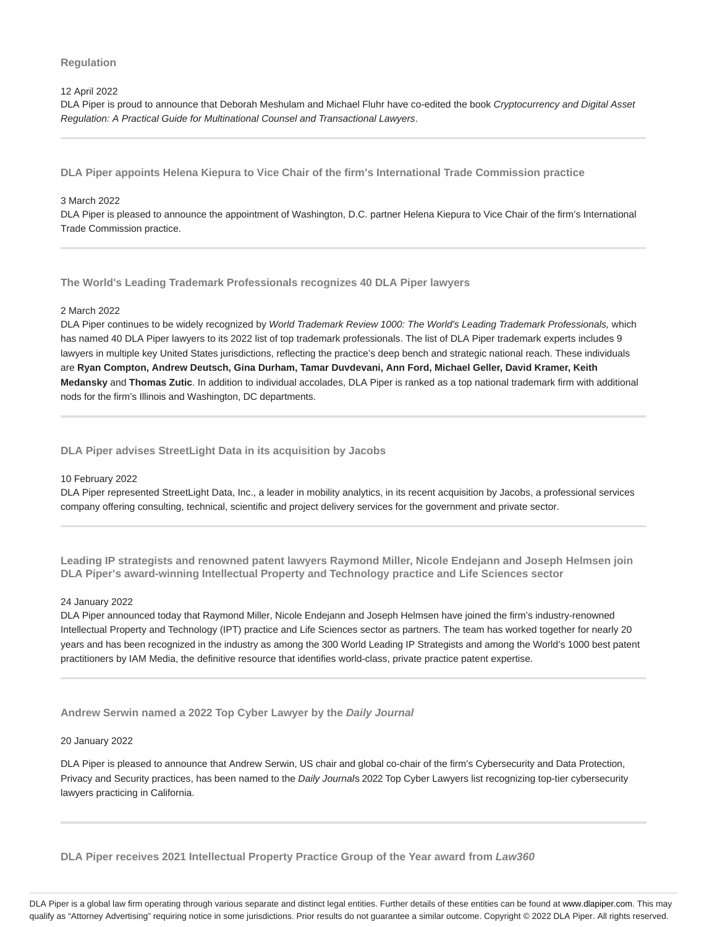# **Regulation**

## 12 April 2022

DLA Piper is proud to announce that Deborah Meshulam and Michael Fluhr have co-edited the book Cryptocurrency and Digital Asset Regulation: A Practical Guide for Multinational Counsel and Transactional Lawyers.

**DLA Piper appoints Helena Kiepura to Vice Chair of the firm's International Trade Commission practice**

# 3 March 2022

DLA Piper is pleased to announce the appointment of Washington, D.C. partner Helena Kiepura to Vice Chair of the firm's International Trade Commission practice.

**The World's Leading Trademark Professionals recognizes 40 DLA Piper lawyers**

# 2 March 2022

DLA Piper continues to be widely recognized by World Trademark Review 1000: The World's Leading Trademark Professionals, which has named 40 DLA Piper lawyers to its 2022 list of top trademark professionals. The list of DLA Piper trademark experts includes 9 lawyers in multiple key United States jurisdictions, reflecting the practice's deep bench and strategic national reach. These individuals are **Ryan Compton, Andrew Deutsch, Gina Durham, Tamar Duvdevani, Ann Ford, Michael Geller, David Kramer, Keith Medansky** and **Thomas Zutic**. In addition to individual accolades, DLA Piper is ranked as a top national trademark firm with additional nods for the firm's Illinois and Washington, DC departments.

**DLA Piper advises StreetLight Data in its acquisition by Jacobs**

## 10 February 2022

DLA Piper represented StreetLight Data, Inc., a leader in mobility analytics, in its recent acquisition by Jacobs, a professional services company offering consulting, technical, scientific and project delivery services for the government and private sector.

**Leading IP strategists and renowned patent lawyers Raymond Miller, Nicole Endejann and Joseph Helmsen join DLA Piper's award-winning Intellectual Property and Technology practice and Life Sciences sector**

## 24 January 2022

DLA Piper announced today that Raymond Miller, Nicole Endejann and Joseph Helmsen have joined the firm's industry-renowned Intellectual Property and Technology (IPT) practice and Life Sciences sector as partners. The team has worked together for nearly 20 years and has been recognized in the industry as among the 300 World Leading IP Strategists and among the World's 1000 best patent practitioners by IAM Media, the definitive resource that identifies world-class, private practice patent expertise.

**Andrew Serwin named a 2022 Top Cyber Lawyer by the Daily Journal**

## 20 January 2022

DLA Piper is pleased to announce that Andrew Serwin, US chair and global co-chair of the firm's Cybersecurity and Data Protection, Privacy and Security practices, has been named to the Daily Journals 2022 Top Cyber Lawyers list recognizing top-tier cybersecurity lawyers practicing in California.

**DLA Piper receives 2021 Intellectual Property Practice Group of the Year award from Law360**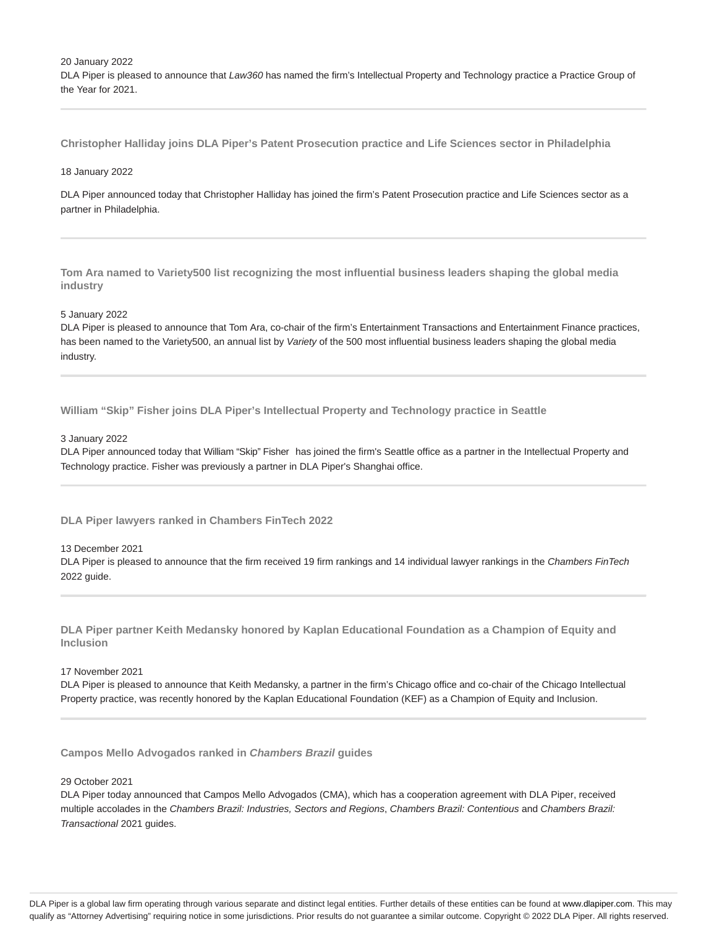20 January 2022

DLA Piper is pleased to announce that Law360 has named the firm's Intellectual Property and Technology practice a Practice Group of the Year for 2021.

**Christopher Halliday joins DLA Piper's Patent Prosecution practice and Life Sciences sector in Philadelphia**

## 18 January 2022

DLA Piper announced today that Christopher Halliday has joined the firm's Patent Prosecution practice and Life Sciences sector as a partner in Philadelphia.

**Tom Ara named to Variety500 list recognizing the most influential business leaders shaping the global media industry**

# 5 January 2022

DLA Piper is pleased to announce that Tom Ara, co-chair of the firm's Entertainment Transactions and Entertainment Finance practices, has been named to the Variety500, an annual list by Variety of the 500 most influential business leaders shaping the global media industry.

**William "Skip" Fisher joins DLA Piper's Intellectual Property and Technology practice in Seattle**

## 3 January 2022

DLA Piper announced today that William "Skip" Fisher has joined the firm's Seattle office as a partner in the Intellectual Property and Technology practice. Fisher was previously a partner in DLA Piper's Shanghai office.

**DLA Piper lawyers ranked in Chambers FinTech 2022**

# 13 December 2021

DLA Piper is pleased to announce that the firm received 19 firm rankings and 14 individual lawyer rankings in the Chambers FinTech 2022 guide.

**DLA Piper partner Keith Medansky honored by Kaplan Educational Foundation as a Champion of Equity and Inclusion**

### 17 November 2021

DLA Piper is pleased to announce that Keith Medansky, a partner in the firm's Chicago office and co-chair of the Chicago Intellectual Property practice, was recently honored by the Kaplan Educational Foundation (KEF) as a Champion of Equity and Inclusion.

**Campos Mello Advogados ranked in Chambers Brazil guides**

## 29 October 2021

DLA Piper today announced that Campos Mello Advogados (CMA), which has a cooperation agreement with DLA Piper, received multiple accolades in the Chambers Brazil: Industries, Sectors and Regions, Chambers Brazil: Contentious and Chambers Brazil: Transactional 2021 guides.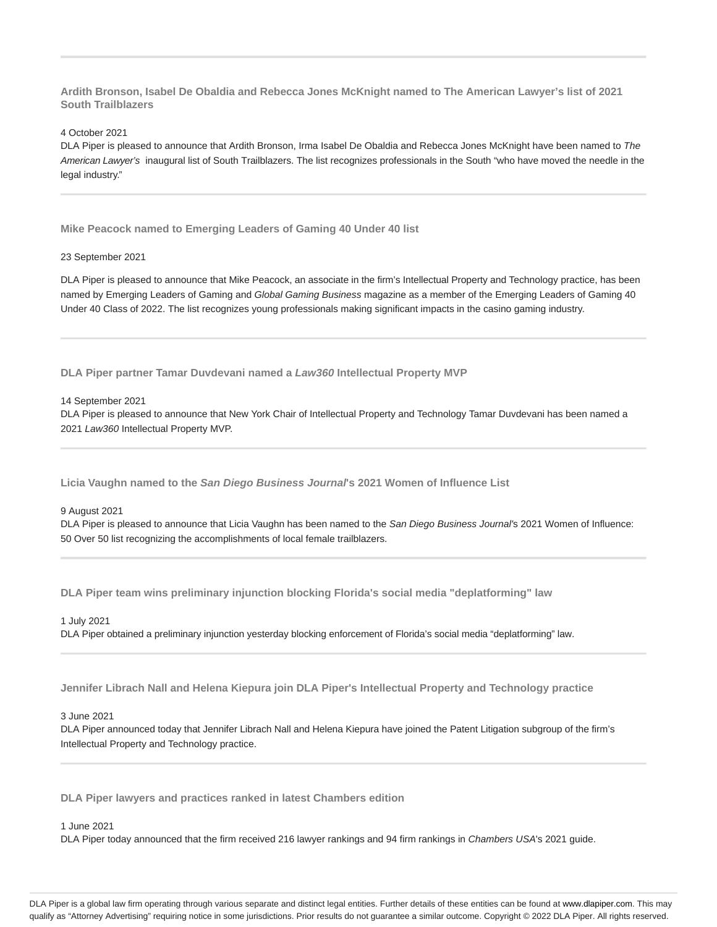**Ardith Bronson, Isabel De Obaldia and Rebecca Jones McKnight named to The American Lawyer's list of 2021 South Trailblazers**

4 October 2021

DLA Piper is pleased to announce that Ardith Bronson, Irma Isabel De Obaldia and Rebecca Jones McKnight have been named to The American Lawyer's inaugural list of South Trailblazers. The list recognizes professionals in the South "who have moved the needle in the legal industry."

**Mike Peacock named to Emerging Leaders of Gaming 40 Under 40 list**

## 23 September 2021

DLA Piper is pleased to announce that Mike Peacock, an associate in the firm's Intellectual Property and Technology practice, has been named by Emerging Leaders of Gaming and Global Gaming Business magazine as a member of the Emerging Leaders of Gaming 40 Under 40 Class of 2022. The list recognizes young professionals making significant impacts in the casino gaming industry.

**DLA Piper partner Tamar Duvdevani named a Law360 Intellectual Property MVP**

14 September 2021

DLA Piper is pleased to announce that New York Chair of Intellectual Property and Technology Tamar Duvdevani has been named a 2021 Law360 Intellectual Property MVP.

**Licia Vaughn named to the San Diego Business Journal's 2021 Women of Influence List**

9 August 2021

DLA Piper is pleased to announce that Licia Vaughn has been named to the San Diego Business Journal's 2021 Women of Influence: 50 Over 50 list recognizing the accomplishments of local female trailblazers.

**DLA Piper team wins preliminary injunction blocking Florida's social media "deplatforming" law**

1 July 2021

DLA Piper obtained a preliminary injunction yesterday blocking enforcement of Florida's social media "deplatforming" law.

**Jennifer Librach Nall and Helena Kiepura join DLA Piper's Intellectual Property and Technology practice**

3 June 2021

DLA Piper announced today that Jennifer Librach Nall and Helena Kiepura have joined the Patent Litigation subgroup of the firm's Intellectual Property and Technology practice.

**DLA Piper lawyers and practices ranked in latest Chambers edition**

1 June 2021

DLA Piper today announced that the firm received 216 lawyer rankings and 94 firm rankings in Chambers USA's 2021 guide.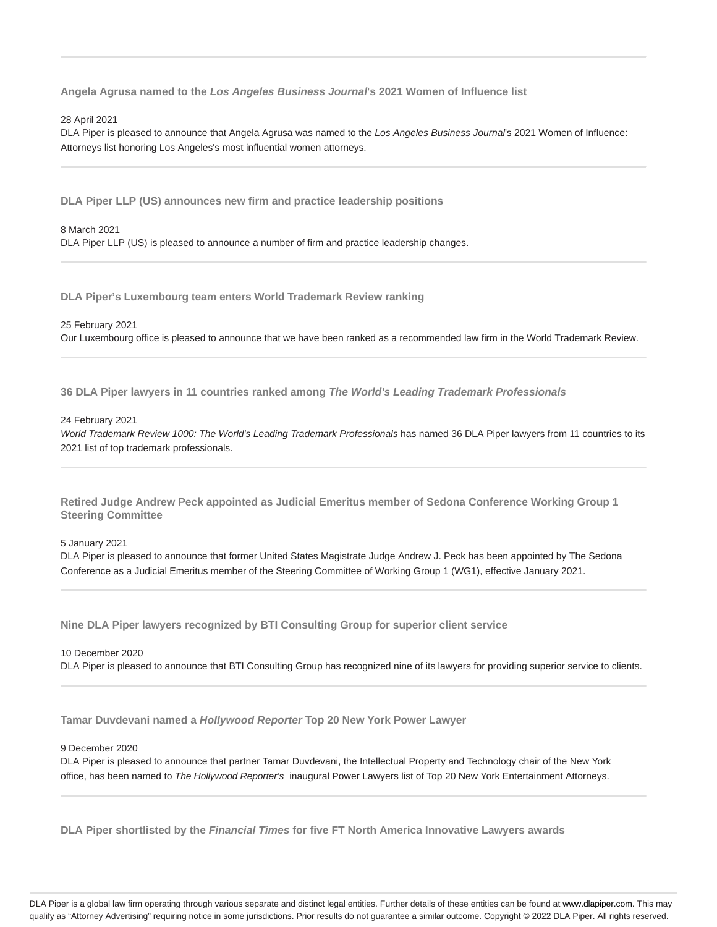**Angela Agrusa named to the Los Angeles Business Journal's 2021 Women of Influence list**

### 28 April 2021

DLA Piper is pleased to announce that Angela Agrusa was named to the Los Angeles Business Journal's 2021 Women of Influence: Attorneys list honoring Los Angeles's most influential women attorneys.

**DLA Piper LLP (US) announces new firm and practice leadership positions**

8 March 2021 DLA Piper LLP (US) is pleased to announce a number of firm and practice leadership changes.

**DLA Piper's Luxembourg team enters World Trademark Review ranking**

#### 25 February 2021

Our Luxembourg office is pleased to announce that we have been ranked as a recommended law firm in the World Trademark Review.

**36 DLA Piper lawyers in 11 countries ranked among The World's Leading Trademark Professionals**

#### 24 February 2021

World Trademark Review 1000: The World's Leading Trademark Professionals has named 36 DLA Piper lawyers from 11 countries to its 2021 list of top trademark professionals.

**Retired Judge Andrew Peck appointed as Judicial Emeritus member of Sedona Conference Working Group 1 Steering Committee**

5 January 2021

DLA Piper is pleased to announce that former United States Magistrate Judge Andrew J. Peck has been appointed by The Sedona Conference as a Judicial Emeritus member of the Steering Committee of Working Group 1 (WG1), effective January 2021.

**Nine DLA Piper lawyers recognized by BTI Consulting Group for superior client service**

# 10 December 2020 DLA Piper is pleased to announce that BTI Consulting Group has recognized nine of its lawyers for providing superior service to clients.

**Tamar Duvdevani named a Hollywood Reporter Top 20 New York Power Lawyer**

## 9 December 2020

DLA Piper is pleased to announce that partner Tamar Duvdevani, the Intellectual Property and Technology chair of the New York office, has been named to The Hollywood Reporter's inaugural Power Lawyers list of Top 20 New York Entertainment Attorneys.

**DLA Piper shortlisted by the Financial Times for five FT North America Innovative Lawyers awards**